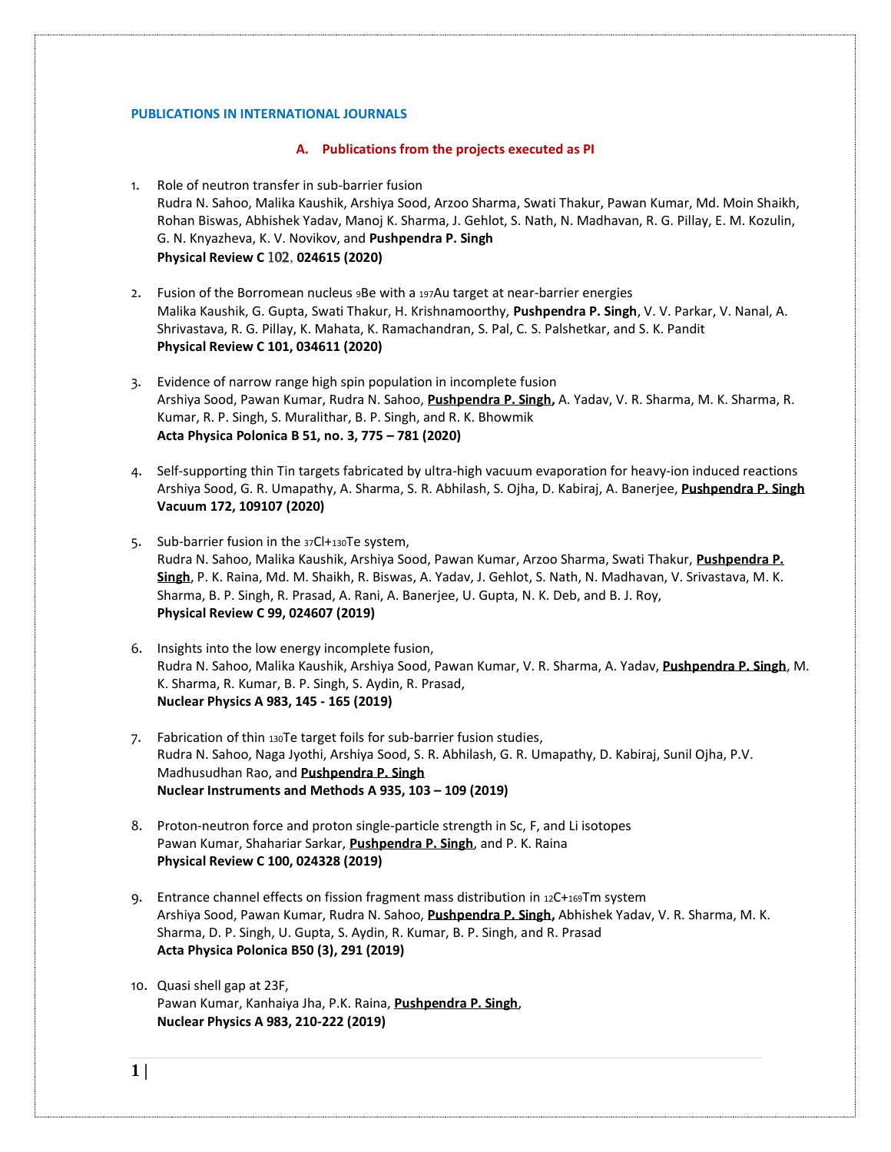### **PUBLICATIONS IN INTERNATIONAL JOURNALS**

### **A. Publications from the projects executed as PI**

- 1. Role of neutron transfer in sub-barrier fusion Rudra N. Sahoo, Malika Kaushik, Arshiya Sood, Arzoo Sharma, Swati Thakur, Pawan Kumar, Md. Moin Shaikh, Rohan Biswas, Abhishek Yadav, Manoj K. Sharma, J. Gehlot, S. Nath, N. Madhavan, R. G. Pillay, E. M. Kozulin, G. N. Knyazheva, K. V. Novikov, and **Pushpendra P. Singh Physical Review C** 102, **024615 (2020)**
- 2. Fusion of the Borromean nucleus 9Be with a 197Au target at near-barrier energies Malika Kaushik, G. Gupta, Swati Thakur, H. Krishnamoorthy, **Pushpendra P. Singh**, V. V. Parkar, V. Nanal, A. Shrivastava, R. G. Pillay, K. Mahata, K. Ramachandran, S. Pal, C. S. Palshetkar, and S. K. Pandit **Physical Review C 101, 034611 (2020)**
- 3. Evidence of narrow range high spin population in incomplete fusion Arshiya Sood, Pawan Kumar, Rudra N. Sahoo, **Pushpendra P. Singh,** A. Yadav, V. R. Sharma, M. K. Sharma, R. Kumar, R. P. Singh, S. Muralithar, B. P. Singh, and R. K. Bhowmik **Acta Physica Polonica B 51, no. 3, 775 – 781 (2020)**
- 4. Self-supporting thin Tin targets fabricated by ultra-high vacuum evaporation for heavy-ion induced reactions Arshiya Sood, G. R. Umapathy, A. Sharma, S. R. Abhilash, S. Ojha, D. Kabiraj, A. Banerjee, **Pushpendra P. Singh Vacuum 172, 109107 (2020)**
- 5. Sub-barrier fusion in the 37Cl+130Te system, Rudra N. Sahoo, Malika Kaushik, Arshiya Sood, Pawan Kumar, Arzoo Sharma, Swati Thakur, **Pushpendra P. Singh**, P. K. Raina, Md. M. Shaikh, R. Biswas, A. Yadav, J. Gehlot, S. Nath, N. Madhavan, V. Srivastava, M. K. Sharma, B. P. Singh, R. Prasad, A. Rani, A. Banerjee, U. Gupta, N. K. Deb, and B. J. Roy, **Physical Review C 99, 024607 (2019)**
- 6. Insights into the low energy incomplete fusion, Rudra N. Sahoo, Malika Kaushik, Arshiya Sood, Pawan Kumar, V. R. Sharma, A. Yadav, **Pushpendra P. Singh**, M. K. Sharma, R. Kumar, B. P. Singh, S. Aydin, R. Prasad, **Nuclear Physics A 983, 145 - 165 (2019)**
- 7. Fabrication of thin 130Te target foils for sub-barrier fusion studies, Rudra N. Sahoo, Naga Jyothi, Arshiya Sood, S. R. Abhilash, G. R. Umapathy, D. Kabiraj, Sunil Ojha, P.V. Madhusudhan Rao, and **[Pushpendra P. Singh](https://www.facebook.com/iPPSingh?__tn__=K-R&eid=ARAAQTSjf7Rvq7Y-rQ0-ygNrQvhIvqKFcMce540P55HWSGXIbs93Mlv4s2zAlr5dtcTphFln3qiR2Jnq&fref=mentions&__xts__%5B0%5D=68.ARCAz-4kucYOiW2JuAb7X1zS7iBuT295qljyyee_oy0RDyZ69E5z475p1DWZb3BgiNzyslghTazwgU1nZx8REV-tJ4qM4I06XGzEugwq7GpIehAi0kyb-xjPjzU5aU4ZHfAGKcfxRa-O5qp0IBapD2p5jatDcD5O64Kr6ayO6m29xDv7g3lFaLAmGTXHlyvAvmELvQ_ZnRpjFCZWwWJ6ITpyxoBUQi4zmq4MekAx-RhaoV6L0cKkZBwLoZ1Z8MffqkguXGAtJOlT9l6mkUtKOj5CxJQ43dmELQysLJb14zNk7PDxbuHSVgpiNWyJLJuCT-MjRnEK2-dxw-MncDFRergGZVix3ja_byRp) [Nuclear Instruments and Methods](https://www.sciencedirect.com/science/journal/01689002) A 935, 103 – 109 (2019)**
- 8. Proton-neutron force and proton single-particle strength in Sc, F, and Li isotopes Pawan Kumar, Shahariar Sarkar, **Pushpendra P. Singh**, and P. K. Raina **Physical Review C 100, 024328 (2019)**
- 9. Entrance channel effects on fission fragment mass distribution in 12C+169Tm system Arshiya Sood, Pawan Kumar, Rudra N. Sahoo, **Pushpendra P. Singh,** Abhishek Yadav, V. R. Sharma, M. K. Sharma, D. P. Singh, U. Gupta, S. Aydin, R. Kumar, B. P. Singh, and R. Prasad **Acta Physica Polonica B50 (3), 291 (2019)**
- 10. Quasi shell gap at 23F, Pawan Kumar, Kanhaiya Jha, P.K. Raina, **Pushpendra P. Singh**, **Nuclear Physics A 983, 210-222 (2019)**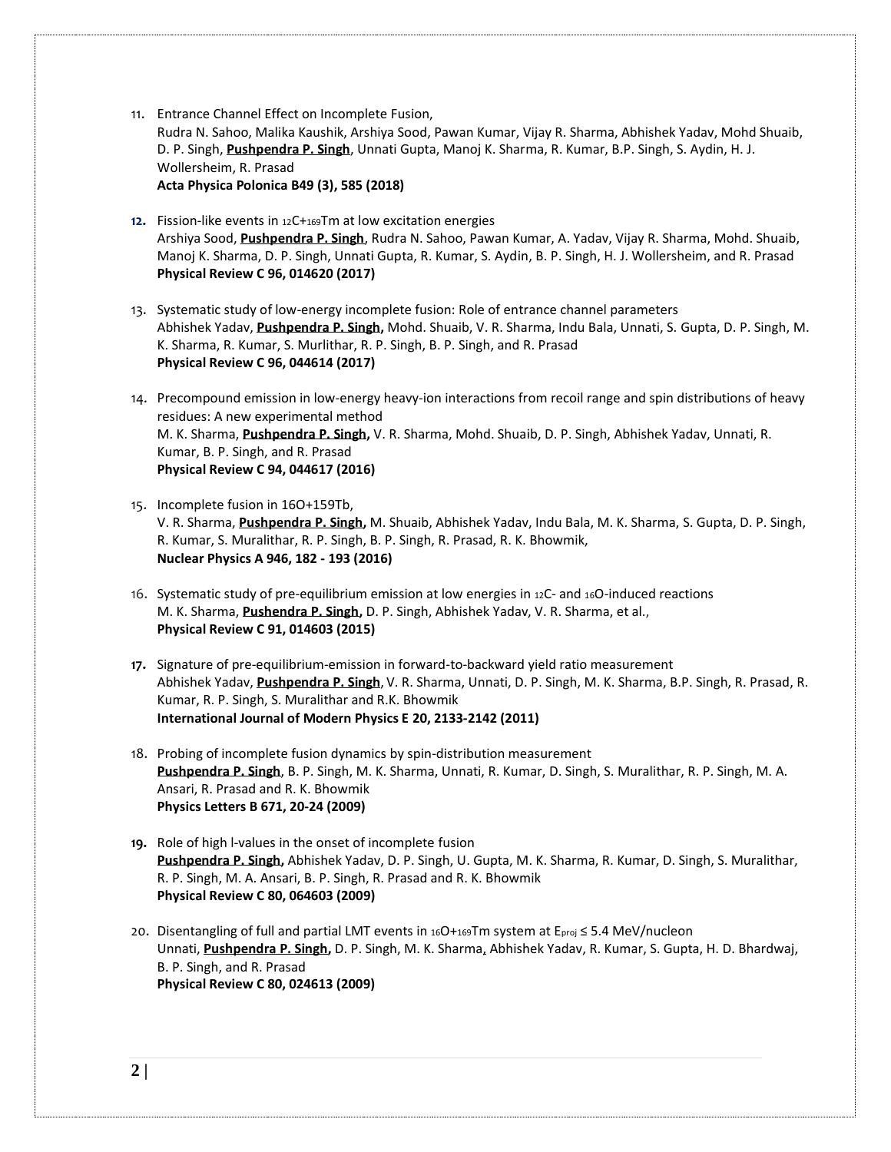11. Entrance Channel Effect on Incomplete Fusion,

Rudra N. Sahoo, Malika Kaushik, Arshiya Sood, Pawan Kumar, Vijay R. Sharma, Abhishek Yadav, Mohd Shuaib, D. P. Singh, **Pushpendra P. Singh**, Unnati Gupta, Manoj K. Sharma, R. Kumar, B.P. Singh, S. Aydin, H. J. Wollersheim, R. Prasad

**Acta Physica Polonica B49 (3), 585 (2018)**

- **12.** Fission-like events in 12C+169Tm at low excitation energies Arshiya Sood, **Pushpendra P. Singh**, Rudra N. Sahoo, Pawan Kumar, A. Yadav, Vijay R. Sharma, Mohd. Shuaib, Manoj K. Sharma, D. P. Singh, Unnati Gupta, R. Kumar, S. Aydin, B. P. Singh, H. J. Wollersheim, and R. Prasad **Physical Review C 96, 014620 (2017)**
- 13. Systematic study of low-energy incomplete fusion: Role of entrance channel parameters Abhishek Yadav, **Pushpendra P. Singh,** Mohd. Shuaib, V. R. Sharma, Indu Bala, Unnati, S. Gupta, D. P. Singh, M. K. Sharma, R. Kumar, S. Murlithar, R. P. Singh, B. P. Singh, and R. Prasad **Physical Review C 96, 044614 (2017)**
- 14. Precompound emission in low-energy heavy-ion interactions from recoil range and spin distributions of heavy residues: A new experimental method M. K. Sharma, **Pushpendra P. Singh,** V. R. Sharma, Mohd. Shuaib, D. P. Singh, Abhishek Yadav, Unnati, R. Kumar, B. P. Singh, and R. Prasad **Physical Review C 94, 044617 (2016)**
- 15. Incomplete fusion in 16O+159Tb, V. R. Sharma, **Pushpendra P. Singh,** M. Shuaib, Abhishek Yadav, Indu Bala, M. K. Sharma, S. Gupta, D. P. Singh, R. Kumar, S. Muralithar, R. P. Singh, B. P. Singh, R. Prasad, R. K. Bhowmik, **Nuclear Physics A 946, 182 - 193 (2016)**
- 16. Systematic study of pre-equilibrium emission at low energies in <sup>12</sup>C- and <sup>16</sup>O-induced reactions M. K. Sharma, **Pushendra P. Singh,** D. P. Singh, Abhishek Yadav, V. R. Sharma, et al., **Physical Review C 91, 014603 (2015)**
- **17.** Signature of pre-equilibrium-emission in forward-to-backward yield ratio measurement Abhishek Yadav, **[Pushpendra](http://publish.aps.org/search/field/author/P.%20P.%20Singh) P. Singh**, V. R. Sharma, Unnati, D. P. Singh, M. K. Sharma, B.P. Singh, R. Prasad, R. Kumar, R. P. Singh, S. Muralithar and R.K. Bhowmik **International Journal of Modern Physics E 20, 2133-2142 (2011)**
- 18. Probing of incomplete fusion dynamics by spin-distribution measurement **[Pushpendra](http://publish.aps.org/search/field/author/P.%20P.%20Singh) P. Singh**, B. P. Singh, M. K. Sharma, Unnati, R. Kumar, D. Singh, S. Muralithar, R. P. Singh, M. A. Ansari, R. Prasad and R. K. Bhowmik **Physics Letters B 671, 20-24 (2009)**
- **19.** Role of high l-values in the onset of incomplete fusion **[Pushpendra](http://publish.aps.org/search/field/author/P.%20P.%20Singh) P. Singh,** Abhishek Yadav, D. P. Singh, U. Gupta, M. K. Sharma, R. Kumar, D. Singh, S. Muralithar, R. P. Singh, M. A. Ansari, B. P. Singh, R. Prasad and R. K. Bhowmik **Physical Review C 80, 064603 (2009)**
- 20. Disentangling of full and partial LMT events in 16O+169Tm system at Eproj ≤ 5.4 MeV/nucleon Unnati, **[Pushpendra](http://publish.aps.org/search/field/author/P.%20P.%20Singh) P. Singh,** D. P. Singh, M. K. Sharma, Abhishek Yadav, R. Kumar, S. Gupta, H. D. Bhardwaj, B. P. Singh, and R. Prasad **Physical Review C 80, 024613 (2009)**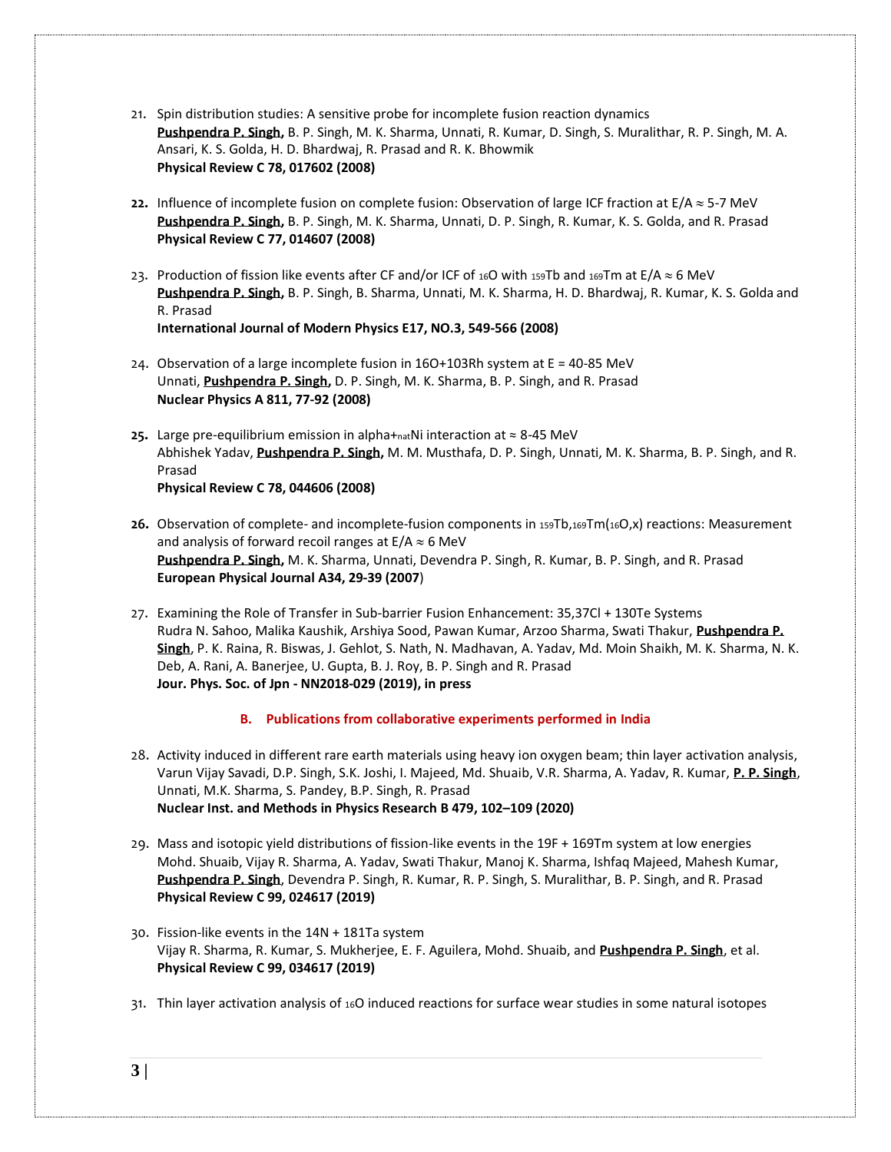- 21. Spin distribution studies: A sensitive probe for incomplete fusion reaction dynamics **[Pushpendra](http://publish.aps.org/search/field/author/P.%20P.%20Singh) P. Singh,** B. P. Singh, M. K. Sharma, Unnati, R. Kumar, D. Singh, S. Muralithar, R. P. Singh, M. A. Ansari, K. S. Golda, H. D. Bhardwaj, R. Prasad and R. K. Bhowmik **Physical Review C 78, 017602 (2008)**
- **22.** Influence of incomplete fusion on complete fusion: Observation of large ICF fraction at  $E/A \approx 5-7$  MeV **[Pushpendra](http://publish.aps.org/search/field/author/P.%20P.%20Singh) P. Singh,** B. P. Singh, M. K. Sharma, Unnati, D. P. Singh, R. Kumar, K. S. Golda, and R. Prasad **Physical Review C 77, 014607 (2008)**
- 23. Production of fission like events after CF and/or ICF of 16O with 159Tb and 169Tm at E/A  $\approx$  6 MeV **[Pushpendra](http://publish.aps.org/search/field/author/P.%20P.%20Singh) P. Singh,** B. P. Singh, B. Sharma, Unnati, M. K. Sharma, H. D. Bhardwaj, R. Kumar, K. S. Golda and R. Prasad **International Journal of Modern Physics E17, NO.3, 549-566 (2008)**
- 24. Observation of a large incomplete fusion in 16O+103Rh system at E = 40-85 MeV Unnati, **[Pushpendra](http://publish.aps.org/search/field/author/P.%20P.%20Singh) P. Singh,** D. P. Singh, M. K. Sharma, B. P. Singh, and R. Prasad **Nuclear Physics A 811, 77-92 (2008)**
- **25.** Large pre-equilibrium emission in alpha+natNi interaction at ≈ 8-45 MeV Abhishek Yadav, **[Pushpendra](http://publish.aps.org/search/field/author/P.%20P.%20Singh) P. Singh,** M. M. Musthafa, D. P. Singh, Unnati, M. K. Sharma, B. P. Singh, and R. Prasad **Physical Review C 78, 044606 (2008)**
- **26.** Observation of complete- and incomplete-fusion components in 159Tb,169Tm(16O,x) reactions: Measurement and analysis of forward recoil ranges at  $E/A \approx 6$  MeV **[Pushpendra](http://publish.aps.org/search/field/author/P.%20P.%20Singh) P. Singh,** M. K. Sharma, Unnati, Devendra P. Singh, R. Kumar, B. P. Singh, and R. Prasad **European Physical Journal A34, 29-39 (2007**)
- 27. Examining the Role of Transfer in Sub-barrier Fusion Enhancement: 35,37Cl + 130Te Systems Rudra N. Sahoo, Malika Kaushik, Arshiya Sood, Pawan Kumar, Arzoo Sharma, Swati Thakur, **Pushpendra P. Singh**, P. K. Raina, R. Biswas, J. Gehlot, S. Nath, N. Madhavan, A. Yadav, Md. Moin Shaikh, M. K. Sharma, N. K. Deb, A. Rani, A. Banerjee, U. Gupta, B. J. Roy, B. P. Singh and R. Prasad **Jour. Phys. Soc. of Jpn - NN2018-029 (2019), in press**
	- **B. Publications from collaborative experiments performed in India**
- 28. Activity induced in different rare earth materials using heavy ion oxygen beam; thin layer activation analysis, Varun Vijay Savadi, D.P. Singh, S.K. Joshi, I. Majeed, Md. Shuaib, V.R. Sharma, A. Yadav, R. Kumar, **P. P. Singh**, Unnati, M.K. Sharma, S. Pandey, B.P. Singh, R. Prasad **Nuclear Inst. and Methods in Physics Research B 479, 102–109 (2020)**
- 29. Mass and isotopic yield distributions of fission-like events in the 19F + 169Tm system at low energies Mohd. Shuaib, Vijay R. Sharma, A. Yadav, Swati Thakur, Manoj K. Sharma, Ishfaq Majeed, Mahesh Kumar, **Pushpendra P. Singh**, Devendra P. Singh, R. Kumar, R. P. Singh, S. Muralithar, B. P. Singh, and R. Prasad **Physical Review C 99, 024617 (2019)**
- 30. Fission-like events in the 14N + 181Ta system Vijay R. Sharma, R. Kumar, S. Mukherjee, E. F. Aguilera, Mohd. Shuaib, and **Pushpendra P. Singh**, et al. **Physical Review C 99, 034617 (2019)**
- 31. Thin layer activation analysis of 16O induced reactions for surface wear studies in some natural isotopes
- **3 |**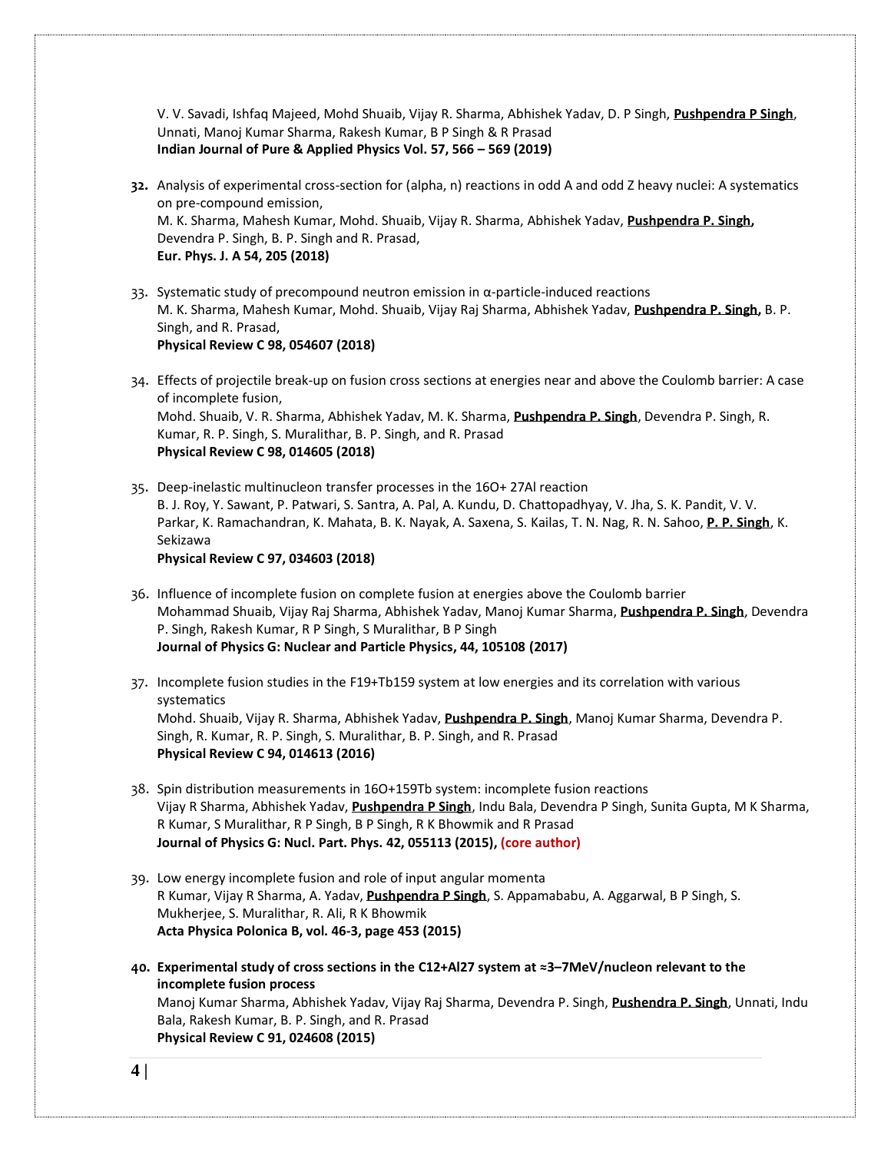V. V. Savadi, Ishfaq Majeed, Mohd Shuaib, Vijay R. Sharma, Abhishek Yadav, D. P Singh, **Pushpendra P Singh**, Unnati, Manoj Kumar Sharma, Rakesh Kumar, B P Singh & R Prasad **Indian Journal of Pure & Applied Physics Vol. 57, 566 – 569 (2019)**

- **32.** Analysis of experimental cross-section for (alpha, n) reactions in odd A and odd Z heavy nuclei: A systematics on pre-compound emission, M. K. Sharma, Mahesh Kumar, Mohd. Shuaib, Vijay R. Sharma, Abhishek Yadav, **[Pushpendra P. Singh,](https://www.facebook.com/iPPSingh?__tn__=K-R&eid=ARBvewzv1xvN4W__0fXf6wor42w6VPVwsBqfuOOBZ7ydC65BhqC2UEoIH_T_W23OZTivuAEZN7v4pKMz&fref=mentions&__xts__%5B0%5D=68.ARDNG1IARyPvZCtyScq2rYWvh2l_AaAdo-dUkFCGfU0G2kUBtG8lcnIf7vjv_lNhdz4AqRWGj1rYug7zGOvapayaUkPyiFc-wQClX1vV6wBo7LAvqKPHVQCcKDIj1JoMkyzv7GrKR1-_VGvgLoXbZ4Yn7xPvCTYyXhgAYJVZbymzL6CnyVzrJJKvEr9I9pg5Xd1WlPf8JkCj3UnRE-QzqUONDFdzTNdxrv3ovM1ypmSZokWJ_BUvTR8gwN-YYfdDKHb2lHd0eq5Nvuab8O-BfCZ2ei-evDlM76HK4FJ1CK9OkYVE5RHLFPtvGvNWzM7HDeP8iwJugqCakxcjgI3xGKsDHhpL)** Devendra P. Singh, B. P. Singh and R. Prasad, **Eur. Phys. J. A 54, 205 (2018)**
- 33. Systematic study of precompound neutron emission in α-particle-induced reactions M. K. Sharma, Mahesh Kumar, Mohd. Shuaib, Vijay Raj Sharma, Abhishek Yadav, **Pushpendra P. Singh,** B. P. Singh, and R. Prasad, **Physical Review C 98, 054607 (2018)**
- 34. Effects of projectile break-up on fusion cross sections at energies near and above the Coulomb barrier: A case of incomplete fusion, Mohd. Shuaib, V. R. Sharma, Abhishek Yadav, M. K. Sharma, **Pushpendra P. Singh**, Devendra P. Singh, R. Kumar, R. P. Singh, S. Muralithar, B. P. Singh, and R. Prasad **Physical Review C 98, 014605 (2018)**
- 35. Deep-inelastic multinucleon transfer processes in the 16O+ 27Al reaction [B. J. Roy,](https://arxiv.org/find/nucl-ex/1/au:+Roy_B/0/1/0/all/0/1) [Y. Sawant,](https://arxiv.org/find/nucl-ex/1/au:+Sawant_Y/0/1/0/all/0/1) [P. Patwari,](https://arxiv.org/find/nucl-ex/1/au:+Patwari_P/0/1/0/all/0/1) [S. Santra,](https://arxiv.org/find/nucl-ex/1/au:+Santra_S/0/1/0/all/0/1) [A. Pal,](https://arxiv.org/find/nucl-ex/1/au:+Pal_A/0/1/0/all/0/1) [A. Kundu,](https://arxiv.org/find/nucl-ex/1/au:+Kundu_A/0/1/0/all/0/1) [D. Chattopadhyay,](https://arxiv.org/find/nucl-ex/1/au:+Chattopadhyay_D/0/1/0/all/0/1) [V. Jha,](https://arxiv.org/find/nucl-ex/1/au:+Jha_V/0/1/0/all/0/1) [S. K. Pandit,](https://arxiv.org/find/nucl-ex/1/au:+Pandit_S/0/1/0/all/0/1) [V. V.](https://arxiv.org/find/nucl-ex/1/au:+Parkar_V/0/1/0/all/0/1)  [Parkar,](https://arxiv.org/find/nucl-ex/1/au:+Parkar_V/0/1/0/all/0/1) [K. Ramachandran,](https://arxiv.org/find/nucl-ex/1/au:+Ramachandran_K/0/1/0/all/0/1) [K. Mahata,](https://arxiv.org/find/nucl-ex/1/au:+Mahata_K/0/1/0/all/0/1) [B. K. Nayak,](https://arxiv.org/find/nucl-ex/1/au:+Nayak_B/0/1/0/all/0/1) [A. Saxena,](https://arxiv.org/find/nucl-ex/1/au:+Saxena_A/0/1/0/all/0/1) [S. Kailas,](https://arxiv.org/find/nucl-ex/1/au:+Kailas_S/0/1/0/all/0/1) [T. N. Nag,](https://arxiv.org/find/nucl-ex/1/au:+Nag_T/0/1/0/all/0/1) [R. N. Sahoo,](https://arxiv.org/find/nucl-ex/1/au:+Sahoo_R/0/1/0/all/0/1) **[P. P. Singh](https://arxiv.org/find/nucl-ex/1/au:+Singh_P/0/1/0/all/0/1)**, [K.](https://arxiv.org/find/nucl-ex/1/au:+Sekizawa_K/0/1/0/all/0/1)  [Sekizawa](https://arxiv.org/find/nucl-ex/1/au:+Sekizawa_K/0/1/0/all/0/1) **Physical Review C 97, 034603 (2018)**
- 36. Influence of incomplete fusion on complete fusion at energies above the Coulomb barrier Mohammad Shuaib, Vijay Raj Sharma, Abhishek Yadav, Manoj Kumar Sharma, **Pushpendra P. Singh**, Devendra P. Singh, Rakesh Kumar, R P Singh, S Muralithar, B P Singh **Journal of Physics G: Nuclear and Particle Physics, 44, 105108 (2017)**
- 37. Incomplete fusion studies in the F19+Tb159 system at low energies and its correlation with various systematics Mohd. Shuaib, Vijay R. Sharma, Abhishek Yadav, **Pushpendra P. Singh**, Manoj Kumar Sharma, Devendra P. Singh, R. Kumar, R. P. Singh, S. Muralithar, B. P. Singh, and R. Prasad **Physical Review C 94, 014613 (2016)**
- 38. Spin distribution measurements in 16O+159Tb system: incomplete fusion reactions Vijay R Sharma, Abhishek Yadav, **Pushpendra P Singh**, Indu Bala, Devendra P Singh, Sunita Gupta, M K Sharma, R Kumar, S Muralithar, R P Singh, B P Singh, R K Bhowmik and R Prasad **Journal of Physics G: Nucl. Part. Phys. 42, 055113 (2015), (core author)**
- 39. Low energy incomplete fusion and role of input angular momenta R Kumar, Vijay R Sharma, A. Yadav, **Pushpendra P Singh**, S. Appamababu, A. Aggarwal, B P Singh, S. Mukherjee, S. Muralithar, R. Ali, R K Bhowmik **Acta Physica Polonica B, vol. 46-3, page 453 (2015)**
- **40. Experimental study of cross sections in the C12+Al27 system at ≈3–7MeV/nucleon relevant to the incomplete fusion process** Manoj Kumar Sharma, Abhishek Yadav, Vijay Raj Sharma, Devendra P. Singh, **Pushendra P. Singh**, Unnati, Indu Bala, Rakesh Kumar, B. P. Singh, and R. Prasad **Physical Review C 91, 024608 (2015)**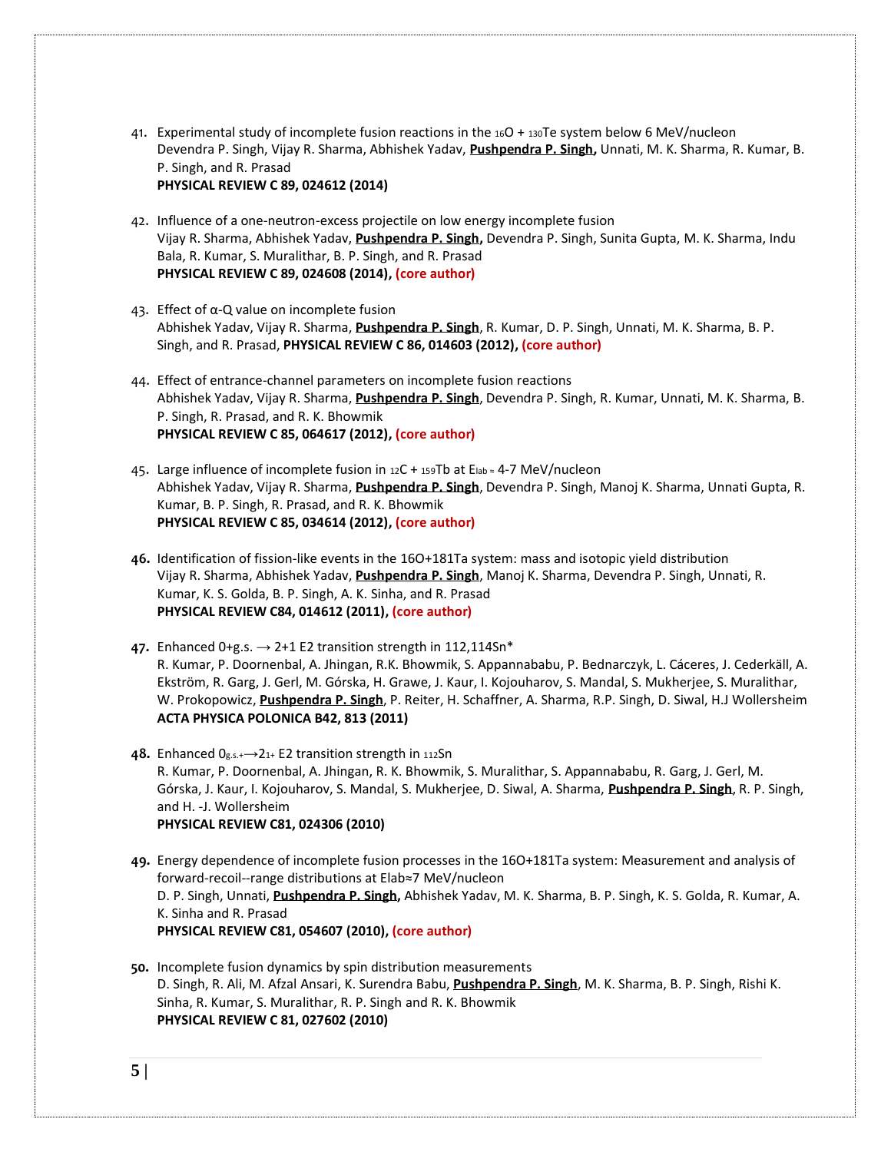- 41. Experimental study of incomplete fusion reactions in the <sup>16</sup>O + <sup>130</sup>Te system below 6 [MeV/nucleon](http://prc.aps.org/accepted/C/10076Pf0Tde1a80494252385bde455460ab6a0a63) Devendra P. Singh, Vijay R. Sharma, Abhishek Yadav, **Pushpendra P. Singh,** Unnati, M. K. Sharma, R. Kumar, B. P. Singh, and R. Prasad **PHYSICAL REVIEW C 89, 024612 (2014)**
- 42. Influence of a one-neutron-excess projectile on low energy incomplete fusion Vijay R. Sharma, Abhishek Yadav, **Pushpendra P. Singh,** Devendra P. Singh, Sunita Gupta, M. K. Sharma, Indu Bala, R. Kumar, S. Muralithar, B. P. Singh, and R. Prasad **PHYSICAL REVIEW C 89, 024608 (2014), (core author)**
- 43. Effect of α-Q value on incomplete fusion [Abhishek](http://publish.aps.org/search/field/author/Abhishek%20Yadav) Yadav, Vijay R. [Sharma,](http://publish.aps.org/search/field/author/Vijay%20R.%20Sharma) **[Pushpendra](http://publish.aps.org/search/field/author/P.%20P.%20Singh) P. Singh**, R. [Kumar,](http://publish.aps.org/search/field/author/R.%20Kumar) D. P. [Singh,](http://publish.aps.org/search/field/author/D.%20P.%20Singh) [Unnati,](http://publish.aps.org/search/field/author/%20Unnati) M. K. [Sharma,](http://publish.aps.org/search/field/author/M.%20K.%20Sharma) [B.](http://publish.aps.org/search/field/author/B.%20P.%20Singh) P. [Singh,](http://publish.aps.org/search/field/author/B.%20P.%20Singh) and R. [Prasad,](http://publish.aps.org/search/field/author/R.%20Prasad) **PHYSICAL REVIEW C 86, 014603 (2012), (core author)**
- 44. Effect of entrance-channel parameters on incomplete fusion reactions [Abhishek](http://publish.aps.org/search/field/author/Abhishek%20Yadav) Yadav, Vijay R. [Sharma,](http://publish.aps.org/search/field/author/Vijay%20R.%20Sharma) **[Pushpendra](http://publish.aps.org/search/field/author/P.%20P.%20Singh) P. Singh**, [Devendra](http://publish.aps.org/search/field/author/Devendra%20P.%20Singh) P. Singh, R. [Kumar,](http://publish.aps.org/search/field/author/R.%20Kumar) [Unnati,](http://publish.aps.org/search/field/author/Unnati) M. K. [Sharma,](http://publish.aps.org/search/field/author/M.%20K.%20Sharma) [B.](http://publish.aps.org/search/field/author/B.%20P.%20Singh) P. [Singh,](http://publish.aps.org/search/field/author/B.%20P.%20Singh) R. [Prasad,](http://publish.aps.org/search/field/author/R.%20Prasad) and R. K. [Bhowmik](http://publish.aps.org/search/field/author/R.%20K.%20Bhowmik) **PHYSICAL REVIEW C 85, 064617 (2012), (core author)**
- 45. Large influence of incomplete fusion in <sup>12</sup>C + <sup>159</sup>Tb at Elab <sup>≈</sup> 4-7 MeV/nucleon [Abhishek](http://publish.aps.org/search/field/author/Abhishek%20Yadav) Yadav, Vijay R. [Sharma,](http://publish.aps.org/search/field/author/Vijay%20R.%20Sharma) **[Pushpendra](http://publish.aps.org/search/field/author/P.%20P.%20Singh) P. Singh**, [Devendra](http://publish.aps.org/search/field/author/Devendra%20P.%20Singh) P. Singh, Manoj K. [Sharma,](http://publish.aps.org/search/field/author/Manoj%20K.%20Sharma) [Unnati](http://publish.aps.org/search/field/author/Unnati%20Gupta) Gupta, [R.](http://publish.aps.org/search/field/author/R.%20Kumar) [Kumar,](http://publish.aps.org/search/field/author/R.%20Kumar) B. P. [Singh,](http://publish.aps.org/search/field/author/B.%20P.%20Singh) R. [Prasad,](http://publish.aps.org/search/field/author/R.%20Prasad) and R. K. [Bhowmik](http://publish.aps.org/search/field/author/R.%20K.%20Bhowmik) **PHYSICAL REVIEW C 85, 034614 (2012), (core author)**
- **46.** Identification of fission-like events in the 16O+181Ta system: mass and isotopic yield distribution Vijay R. [Sharma,](http://publish.aps.org/search/field/author/Vijay%20R.%20Sharma) [Abhishek](http://publish.aps.org/search/field/author/Abhishek%20Yadav) Yadav, **[Pushpendra](http://publish.aps.org/search/field/author/P.%20P.%20Singh) P. Singh**, Manoj K. [Sharma,](http://publish.aps.org/search/field/author/Manoj%20K.%20Sharma) [Devendra](http://publish.aps.org/search/field/author/Devendra%20P.%20Singh) P. Singh, [Unnati,](http://publish.aps.org/search/field/author/Unnati) [R.](http://publish.aps.org/search/field/author/R.%20Kumar) [Kumar,](http://publish.aps.org/search/field/author/R.%20Kumar) K. S. [Golda,](http://publish.aps.org/search/field/author/K.%20S.%20Golda) B. P. [Singh,](http://publish.aps.org/search/field/author/B.%20P.%20Singh) A. K. [Sinha,](http://publish.aps.org/search/field/author/A.%20K.%20Sinha) and R. [Prasad](http://publish.aps.org/search/field/author/R.%20Prasad) **PHYSICAL REVIEW C84, 014612 (2011), (core author)**
- **47.** Enhanced 0+g.s.  $\rightarrow$  2+1 E2 transition strength in 112,114Sn\* R. Kumar, P. Doornenbal, A. Jhingan, R.K. Bhowmik, S. Appannababu, P. Bednarczyk, L. Cáceres, J. Cederkäll, A. Ekström, R. Garg, J. Gerl, M. Górska, H. Grawe, J. Kaur, I. Kojouharov, S. Mandal, S. Mukherjee, S. Muralithar, W. Prokopowicz, **[Pushpendra](http://publish.aps.org/search/field/author/P.%20P.%20Singh) P. Singh**, P. Reiter, H. Schaffner, A. Sharma, R.P. Singh, D. Siwal, H.J Wollersheim **ACTA PHYSICA POLONICA B42, 813 (2011)**
- **48.** [Enhanced](http://prc.aps.org/abstract/PRC/v81/i2/e024306) 0g.s.+→21+ E2 transition strength in <sup>112</sup>Sn R. Kumar, P. Doornenbal, A. Jhingan, R. K. Bhowmik, S. Muralithar, S. Appannababu, R. Garg, J. Gerl, M. Górska, J. Kaur, I. Kojouharov, S. Mandal, S. Mukherjee, D. Siwal, A. Sharma, **[Pushpendra](http://publish.aps.org/search/field/author/P.%20P.%20Singh) P. Singh**, R. P. Singh, and H. -J. Wollersheim **PHYSICAL REVIEW C81, 024306 (2010)**
- **49.** Energy dependence of incomplete fusion processes in the 16O+181Ta system: Measurement and analysis of forward-recoil--range distributions at Elab≈7 MeV/nucleon D. P. Singh, Unnati, **[Pushpendra](http://publish.aps.org/search/field/author/P.%20P.%20Singh) P. Singh,** Abhishek Yadav, M. K. Sharma, B. P. Singh, K. S. Golda, R. Kumar, A. K. Sinha and R. Prasad **PHYSICAL REVIEW C81, 054607 (2010), (core author)**
- **50.** Incomplete fusion dynamics by spin distribution measurements D. [Singh,](http://publish.aps.org/search/field/author/D.%20Singh) R. [Ali,](http://publish.aps.org/search/field/author/R.%20Ali) M. Afzal [Ansari,](http://publish.aps.org/search/field/author/M.%20Afzal%20Ansari) K. [Surendra](http://publish.aps.org/search/field/author/K.%20Surendra%20Babu) Babu, **[Pushpendra](http://publish.aps.org/search/field/author/P.%20P.%20Singh) P. Singh**, M. K. [Sharma,](http://publish.aps.org/search/field/author/M.%20K.%20Sharma) B. P. [Singh,](http://publish.aps.org/search/field/author/B.%20P.%20Singh) [Rishi](http://publish.aps.org/search/field/author/Rishi%20K.%20Sinha) K. [Sinha,](http://publish.aps.org/search/field/author/Rishi%20K.%20Sinha) R. [Kumar,](http://publish.aps.org/search/field/author/R.%20Kumar) S. [Muralithar,](http://publish.aps.org/search/field/author/S.%20Muralithar) R. P. [Singh](http://publish.aps.org/search/field/author/R.%20P.%20Singh) and R. K. [Bhowmik](http://publish.aps.org/search/field/author/R.%20K.%20Bhowmik) **PHYSICAL REVIEW C 81, 027602 (2010)**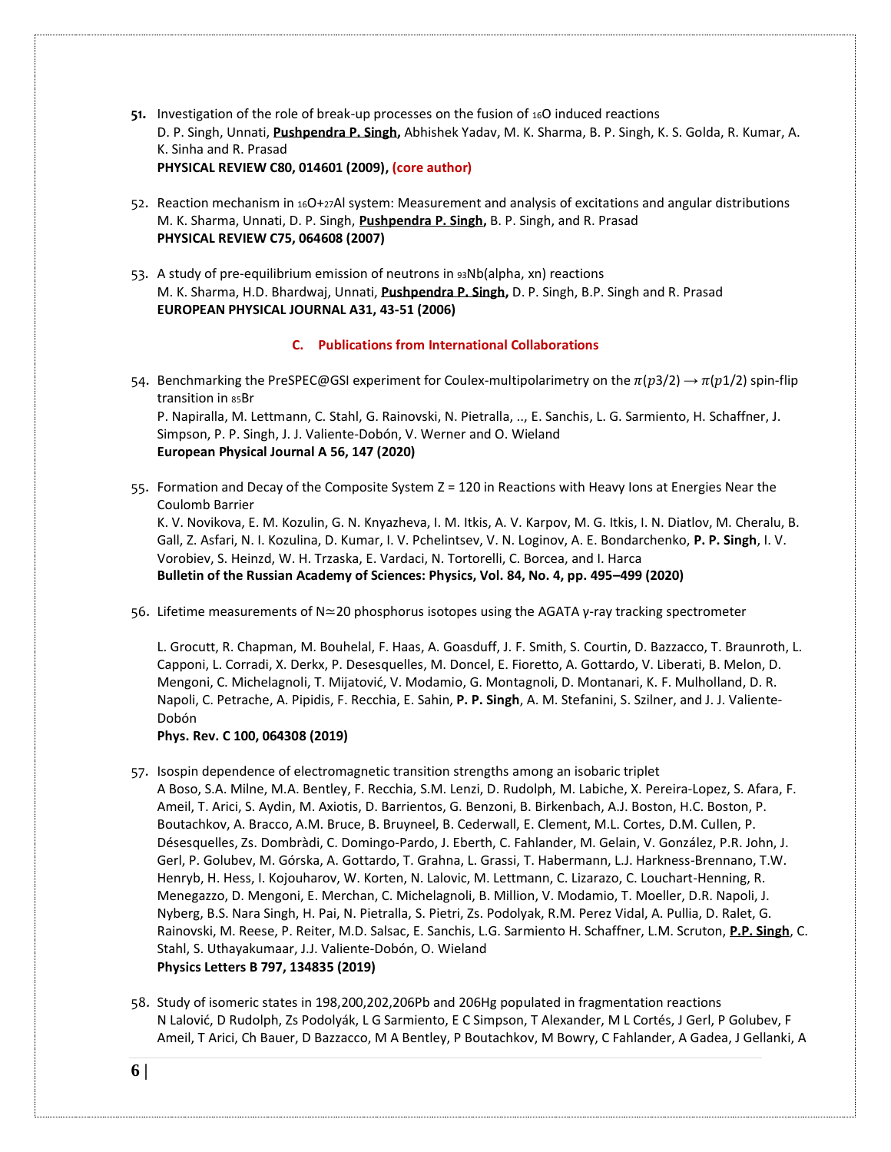- **51.** [Investigation of the role of break-up processes on the fusion of](http://prc.aps.org/accepted/C/be075Pc8Pd71f20f62d50c182c22c36d135086fcf?ajax=1&height=500&width=500) 16O induced reactions D. P. Singh, Unnati, **[Pushpendra](http://publish.aps.org/search/field/author/P.%20P.%20Singh) P. Singh,** Abhishek Yadav, M. K. Sharma, B. P. Singh, K. S. Golda, R. Kumar, A. K. Sinha and R. Prasad **PHYSICAL REVIEW C80, 014601 (2009), (core author)**
- 52. Reaction mechanism in 16O+27Al system: Measurement and analysis of excitations and angular distributions M. K. Sharma, Unnati, D. P. Singh, **[Pushpendra](http://publish.aps.org/search/field/author/P.%20P.%20Singh) P. Singh,** B. P. Singh, and R. Prasad **PHYSICAL REVIEW C75, 064608 (2007)**
- 53. A study of pre-equilibrium emission of neutrons in 93Nb(alpha, xn) reactions M. K. Sharma, H.D. Bhardwaj, Unnati, **[Pushpendra](http://publish.aps.org/search/field/author/P.%20P.%20Singh) P. Singh,** D. P. Singh, B.P. Singh and R. Prasad **EUROPEAN PHYSICAL JOURNAL A31, 43-51 (2006)**

# **C. Publications from International Collaborations**

54. Benchmarking the PreSPEC@GSI experiment for Coulex-multipolarimetry on the  $\pi(p3/2) \to \pi(p1/2)$  spin-flip transition in 85Br [P. Napiralla,](https://link.springer.com/article/10.1140%2Fepja%2Fs10050-020-00148-2#auth-1) [M. Lettmann,](https://link.springer.com/article/10.1140%2Fepja%2Fs10050-020-00148-2#auth-2) [C. Stahl,](https://link.springer.com/article/10.1140%2Fepja%2Fs10050-020-00148-2#auth-3) [G. Rainovski,](https://link.springer.com/article/10.1140%2Fepja%2Fs10050-020-00148-2#auth-4) [N. Pietralla,](https://link.springer.com/article/10.1140%2Fepja%2Fs10050-020-00148-2#auth-5) .., [E. Sanchis,](https://link.springer.com/article/10.1140%2Fepja%2Fs10050-020-00148-2#auth-69) [L. G. Sarmiento,](https://link.springer.com/article/10.1140%2Fepja%2Fs10050-020-00148-2#auth-70) [H. Schaffner,](https://link.springer.com/article/10.1140%2Fepja%2Fs10050-020-00148-2#auth-71) [J.](https://link.springer.com/article/10.1140%2Fepja%2Fs10050-020-00148-2#auth-72)  [Simpson,](https://link.springer.com/article/10.1140%2Fepja%2Fs10050-020-00148-2#auth-72) [P. P. Singh,](https://link.springer.com/article/10.1140%2Fepja%2Fs10050-020-00148-2#auth-73) [J. J. Valiente-Dobón,](https://link.springer.com/article/10.1140%2Fepja%2Fs10050-020-00148-2#auth-74) [V. Werner](https://link.springer.com/article/10.1140%2Fepja%2Fs10050-020-00148-2#auth-75) and [O. Wieland](https://link.springer.com/article/10.1140%2Fepja%2Fs10050-020-00148-2#auth-76)

# **[European Physical Journal A](https://link.springer.com/journal/10050) 56, 147 (2020)**

55. Formation and Decay of the Composite System Z = 120 in Reactions with Heavy Ions at Energies Near the Coulomb Barrier

K. V. Novikova, E. M. Kozulin, G. N. Knyazheva, I. M. Itkis, A. V. Karpov, M. G. Itkis, I. N. Diatlov, M. Cheralu, B. Gall, Z. Asfari, N. I. Kozulina, D. Kumar, I. V. Pchelintsev, V. N. Loginov, A. E. Bondarchenko, **P. P. Singh**, I. V. Vorobiev, S. Heinzd, W. H. Trzaska, E. Vardaci, N. Tortorelli, C. Borcea, and I. Harca **Bulletin of the Russian Academy of Sciences: Physics, Vol. 84, No. 4, pp. 495–499 (2020)**

56. Lifetime measurements of N≃20 phosphorus isotopes using the AGATA γ-ray tracking spectrometer

[L. Grocutt,](https://journals.aps.org/search/field/author/L%20Grocutt) [R. Chapman,](https://journals.aps.org/search/field/author/R%20Chapman) [M. Bouhelal,](https://journals.aps.org/search/field/author/M%20Bouhelal) [F. Haas,](https://journals.aps.org/search/field/author/F%20Haas) [A. Goasduff,](https://journals.aps.org/search/field/author/A%20Goasduff) [J. F. Smith,](https://journals.aps.org/search/field/author/J%20F%20Smith) [S. Courtin,](https://journals.aps.org/search/field/author/S%20Courtin) [D. Bazzacco,](https://journals.aps.org/search/field/author/D%20Bazzacco) [T. Braunroth,](https://journals.aps.org/search/field/author/T%20Braunroth) [L.](https://journals.aps.org/search/field/author/L%20Capponi)  [Capponi,](https://journals.aps.org/search/field/author/L%20Capponi) [L. Corradi,](https://journals.aps.org/search/field/author/L%20Corradi) [X. Derkx,](https://journals.aps.org/search/field/author/X%20Derkx) [P. Desesquelles,](https://journals.aps.org/search/field/author/P%20Desesquelles) [M. Doncel,](https://journals.aps.org/search/field/author/M%20Doncel) [E. Fioretto,](https://journals.aps.org/search/field/author/E%20Fioretto) [A. Gottardo,](https://journals.aps.org/search/field/author/A%20Gottardo) [V. Liberati,](https://journals.aps.org/search/field/author/V%20Liberati) [B. Melon,](https://journals.aps.org/search/field/author/B%20Melon) [D.](https://journals.aps.org/search/field/author/D%20Mengoni)  [Mengoni,](https://journals.aps.org/search/field/author/D%20Mengoni) [C. Michelagnoli,](https://journals.aps.org/search/field/author/C%20Michelagnoli) [T. Mijatović](https://journals.aps.org/search/field/author/T%20Mijatovi), [V. Modamio,](https://journals.aps.org/search/field/author/V%20Modamio) [G. Montagnoli,](https://journals.aps.org/search/field/author/G%20Montagnoli) [D. Montanari,](https://journals.aps.org/search/field/author/D%20Montanari) [K. F. Mulholland,](https://journals.aps.org/search/field/author/K%20F%20Mulholland) [D. R.](https://journals.aps.org/search/field/author/D%20R%20Napoli)  [Napoli,](https://journals.aps.org/search/field/author/D%20R%20Napoli) [C. Petrache,](https://journals.aps.org/search/field/author/C%20Petrache) [A. Pipidis,](https://journals.aps.org/search/field/author/A%20Pipidis) [F. Recchia,](https://journals.aps.org/search/field/author/F%20Recchia) [E. Sahin,](https://journals.aps.org/search/field/author/E%20Sahin) **[P. P. Singh](https://journals.aps.org/search/field/author/P%20P%20Singh)**, [A. M. Stefanini,](https://journals.aps.org/search/field/author/A%20M%20Stefanini) [S. Szilner,](https://journals.aps.org/search/field/author/S%20Szilner) and [J. J. Valiente-](https://journals.aps.org/search/field/author/J%20J%20ValienteDobn)[Dobón](https://journals.aps.org/search/field/author/J%20J%20ValienteDobn)

### **Phys. Rev. C 100, 064308 (2019)**

- 57. Isospin dependence of electromagnetic transition strengths among an isobaric triplet A Boso, S.A. Milne, M.A. Bentley, F. Recchia, S.M. Lenzi, D. Rudolph, M. Labiche, X. Pereira-Lopez, S. Afara, F. Ameil, T. Arici, S. Aydin, M. Axiotis, D. Barrientos, G. Benzoni, B. Birkenbach, A.J. Boston, H.C. Boston, P. Boutachkov, A. Bracco, A.M. Bruce, B. Bruyneel, B. Cederwall, E. Clement, M.L. Cortes, D.M. Cullen, P. Désesquelles, Zs. Dombràdi, C. Domingo-Pardo, J. Eberth, C. Fahlander, M. Gelain, V. González, P.R. John, J. Gerl, P. Golubev, M. Górska, A. Gottardo, T. Grahna, L. Grassi, T. Habermann, L.J. Harkness-Brennano, T.W. Henryb, H. Hess, I. Kojouharov, W. Korten, N. Lalovic, M. Lettmann, C. Lizarazo, C. Louchart-Henning, R. Menegazzo, D. Mengoni, E. Merchan, C. Michelagnoli, B. Million, V. Modamio, T. Moeller, D.R. Napoli, J. Nyberg, B.S. Nara Singh, H. Pai, N. Pietralla, S. Pietri, Zs. Podolyak, R.M. Perez Vidal, A. Pullia, D. Ralet, G. Rainovski, M. Reese, P. Reiter, M.D. Salsac, E. Sanchis, L.G. Sarmiento H. Schaffner, L.M. Scruton, **P.P. Singh**, C. Stahl, S. Uthayakumaar, J.J. Valiente-Dobón, O. Wieland **Physics Letters B 797, 134835 (2019)**
- 58. Study of isomeric states in 198,200,202,206Pb and 206Hg populated in fragmentation reactions N Lalović, D Rudolph, Zs Podolyák, L G Sarmiento, E C Simpson, T Alexander, M L Cortés, J Gerl, P Golubev, F Ameil, T Arici, Ch Bauer, D Bazzacco, M A Bentley, P Boutachkov, M Bowry, C Fahlander, A Gadea, J Gellanki, A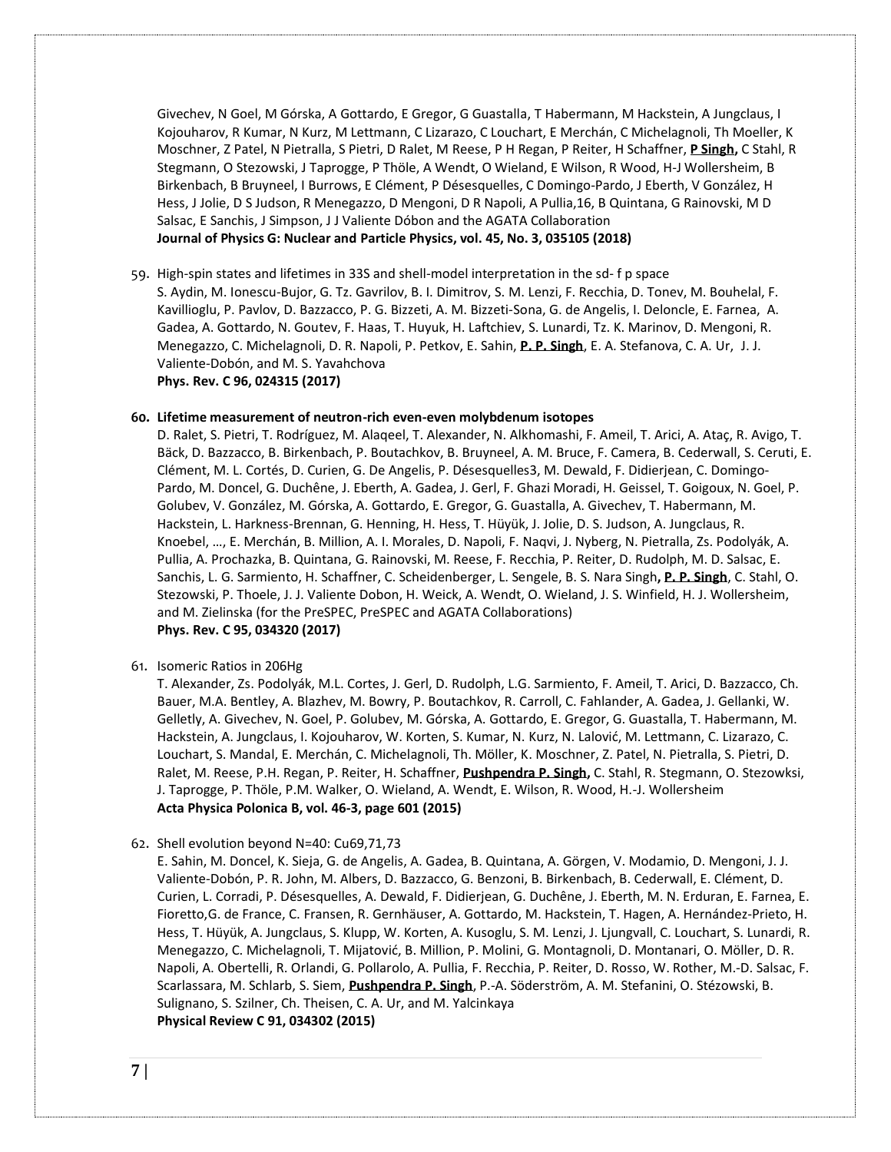Givechev, N Goel, M Górska, A Gottardo, E Gregor, G Guastalla, T Habermann, M Hackstein, A Jungclaus, I Kojouharov, R Kumar, N Kurz, M Lettmann, C Lizarazo, C Louchart, E Merchán, C Michelagnoli, Th Moeller, K Moschner, Z Patel, N Pietralla, S Pietri, D Ralet, M Reese, P H Regan, P Reiter, H Schaffner, **P Singh,** C Stahl, R Stegmann, O Stezowski, J Taprogge, P Thöle, A Wendt, O Wieland, E Wilson, R Wood, H-J Wollersheim, B Birkenbach, B Bruyneel, I Burrows, E Clément, P Désesquelles, C Domingo-Pardo, J Eberth, V González, H Hess, J Jolie, D S Judson, R Menegazzo, D Mengoni, D R Napoli, A Pullia,16, B Quintana, G Rainovski, M D Salsac, E Sanchis, J Simpson, J J Valiente Dóbon and the AGATA Collaboration **[Journal of Physics G: Nuclear and](http://iopscience.iop.org/journal/0954-3899) Particle Physics, vol. 45, No. 3, 035105 (2018)**

59. High-spin states and lifetimes in 33S and shell-model interpretation in the sd- f p space

S. Aydin, M. Ionescu-Bujor, G. Tz. Gavrilov, B. I. Dimitrov, S. M. Lenzi, F. Recchia, D. Tonev, M. Bouhelal, F. Kavillioglu, P. Pavlov, D. Bazzacco, P. G. Bizzeti, A. M. Bizzeti-Sona, G. de Angelis, I. Deloncle, E. Farnea, A. Gadea, A. Gottardo, N. Goutev, F. Haas, T. Huyuk, H. Laftchiev, S. Lunardi, Tz. K. Marinov, D. Mengoni, R. Menegazzo, C. Michelagnoli, D. R. Napoli, P. Petkov, E. Sahin, **P. P. Singh**, E. A. Stefanova, C. A. Ur, J. J. Valiente-Dobón, and M. S. Yavahchova **Phys. Rev. C 96, 024315 (2017)**

#### **60. Lifetime measurement of neutron-rich even-even molybdenum isotopes**

[D. Ralet,](file://///search/field/author/D.%20Ralet) [S. Pietri,](file://///search/field/author/S.%20Pietri) [T. Rodríguez,](file://///search/field/author/T.%20Rodríguez) [M. Alaqeel,](file://///search/field/author/M.%20Alaqeel) [T. Alexander,](file://///search/field/author/T.%20Alexander) [N. Alkhomashi,](file://///search/field/author/N.%20Alkhomashi) [F. Ameil,](file://///search/field/author/F.%20Ameil) [T. Arici,](file://///search/field/author/T.%20Arici) [A. Ataç,](file://///search/field/author/A.%20Ataç) [R. Avigo,](file://///search/field/author/R.%20Avigo) [T.](file://///search/field/author/T.%20Bäck)  [Bäck,](file://///search/field/author/T.%20Bäck) [D. Bazzacco,](file://///search/field/author/D.%20Bazzacco) [B. Birkenbach,](file://///search/field/author/B.%20Birkenbach) [P. Boutachkov,](file://///search/field/author/P.%20Boutachkov) [B. Bruyneel,](file://///search/field/author/B.%20Bruyneel) [A. M. Bruce,](file://///search/field/author/A.%20M.%20Bruce) [F. Camera,](file://///search/field/author/F.%20Camera) [B. Cederwall,](file://///search/field/author/B.%20Cederwall) [S. Ceruti,](file://///search/field/author/S.%20Ceruti) [E.](file://///search/field/author/E.%20Clément)  [Clément,](file://///search/field/author/E.%20Clément) [M. L. Cortés,](file://///search/field/author/M.%20L.%20Cortés) [D. Curien,](file://///search/field/author/D.%20Curien) [G. De Angelis,](file://///search/field/author/G.%20De%20Angelis) [P. Désesquelles3](file://///search/field/author/P.%20Désesquelles), [M. Dewald,](file://///search/field/author/M.%20Dewald) [F. Didierjean,](file://///search/field/author/F.%20Didierjean) [C. Domingo-](file://///search/field/author/C.%20Domingo-Pardo)[Pardo,](file://///search/field/author/C.%20Domingo-Pardo) [M. Doncel,](file://///search/field/author/M.%20Doncel) [G. Duchêne,](file://///search/field/author/G.%20Duchêne) [J. Eberth,](file://///search/field/author/J.%20Eberth) [A. Gadea,](file://///search/field/author/A.%20Gadea) [J. Gerl,](file://///search/field/author/J.%20Gerl) [F. Ghazi Moradi,](file://///search/field/author/F.%20Ghazi%20Moradi) [H. Geissel,](file://///search/field/author/H.%20Geissel) [T. Goigoux,](file://///search/field/author/T.%20Goigoux) [N. Goel,](file://///search/field/author/N.%20Goel) [P.](file://///search/field/author/P.%20Golubev)  [Golubev,](file://///search/field/author/P.%20Golubev) [V. González,](file://///search/field/author/V.%20González) [M. Górska,](file://///search/field/author/M.%20Górska) [A. Gottardo,](file://///search/field/author/A.%20Gottardo) [E. Gregor,](file://///search/field/author/E.%20Gregor) [G. Guastalla,](file://///search/field/author/G.%20Guastalla) [A. Givechev,](file://///search/field/author/A.%20Givechev) [T. Habermann,](file://///search/field/author/T.%20Habermann) [M.](file://///search/field/author/M.%20Hackstein)  [Hackstein,](file://///search/field/author/M.%20Hackstein) [L. Harkness-Brennan,](file://///search/field/author/L.%20Harkness-Brennan) [G. Henning,](file://///search/field/author/G.%20Henning) [H. Hess,](file://///search/field/author/H.%20Hess) [T. Hüyük,](file://///search/field/author/T.%20Hüyük) [J. Jolie,](file://///search/field/author/J.%20Jolie) [D. S. Judson,](file://///search/field/author/D.%20S.%20Judson) [A. Jungclaus,](file://///search/field/author/A.%20Jungclaus) [R.](file://///search/field/author/R.%20Knoebel)  [Knoebel,](file://///search/field/author/R.%20Knoebel) …, [E. Merchán,](file://///search/field/author/E.%20Merchán) [B. Million,](file://///search/field/author/B.%20Million) [A. I. Morales,](file://///search/field/author/A.%20I.%20Morales) [D. Napoli,](file://///search/field/author/D.%20Napoli) [F. Naqvi,](file://///search/field/author/F.%20Naqvi) [J. Nyberg,](file://///search/field/author/J.%20Nyberg) [N. Pietralla,](file://///search/field/author/N.%20Pietralla) [Zs. Podolyák,](file://///search/field/author/Zs.%20Podolyák) [A.](file://///search/field/author/A.%20Pullia)  [Pullia,](file://///search/field/author/A.%20Pullia) [A. Prochazka,](file://///search/field/author/A.%20Prochazka) [B. Quintana,](file://///search/field/author/B.%20Quintana) [G. Rainovski,](file://///search/field/author/G.%20Rainovski) [M. Reese,](file://///search/field/author/M.%20Reese) [F. Recchia,](file://///search/field/author/F.%20Recchia) [P. Reiter,](file://///search/field/author/P.%20Reiter) [D. Rudolph,](file://///search/field/author/D.%20Rudolph) [M. D. Salsac,](file://///search/field/author/M.%20D.%20Salsac) [E.](file://///search/field/author/E.%20Sanchis)  [Sanchis,](file://///search/field/author/E.%20Sanchis) [L. G. Sarmiento,](file://///search/field/author/L.%20G.%20Sarmiento) [H. Schaffner,](file://///search/field/author/H.%20Schaffner) [C. Scheidenberger,](file://///search/field/author/C.%20Scheidenberger) [L. Sengele,](file://///search/field/author/L.%20Sengele) [B. S. Nara Singh](file://///search/field/author/B.%20S.%20Nara%20Singh)**, [P. P. Singh](file://///search/field/author/P.%20P.%20Singh)**, [C. Stahl,](file://///search/field/author/C.%20Stahl) [O.](file://///search/field/author/O.%20Stezowski)  [Stezowski,](file://///search/field/author/O.%20Stezowski) [P. Thoele,](file://///search/field/author/P.%20Thoele) [J. J. Valiente Dobon,](file://///search/field/author/J.%20J.%20Valiente%20Dobon) [H. Weick,](file://///search/field/author/H.%20Weick) [A. Wendt,](file://///search/field/author/A.%20Wendt) [O. Wieland,](file://///search/field/author/O.%20Wieland) [J. S. Winfield,](file://///search/field/author/J.%20S.%20Winfield) [H. J. Wollersheim,](file://///search/field/author/H.%20J.%20Wollersheim) and [M. Zielinska](file://///search/field/author/M.%20Zielinska) (for the PreSPEC, PreSPEC and AGATA Collaborations) **Phys. Rev. C 95, 034320 (2017)**

61. Isomeric Ratios in 206Hg

T. Alexander, Zs. Podolyák, M.L. Cortes, J. Gerl, D. Rudolph, L.G. Sarmiento, F. Ameil, T. Arici, D. Bazzacco, Ch. Bauer, M.A. Bentley, A. Blazhev, M. Bowry, P. Boutachkov, R. Carroll, C. Fahlander, A. Gadea, J. Gellanki, W. Gelletly, A. Givechev, N. Goel, P. Golubev, M. Górska, A. Gottardo, E. Gregor, G. Guastalla, T. Habermann, M. Hackstein, A. Jungclaus, I. Kojouharov, W. Korten, S. Kumar, N. Kurz, N. Lalović, M. Lettmann, C. Lizarazo, C. Louchart, S. Mandal, E. Merchán, C. Michelagnoli, Th. Möller, K. Moschner, Z. Patel, N. Pietralla, S. Pietri, D. Ralet, M. Reese, P.H. Regan, P. Reiter, H. Schaffner, **Pushpendra P. Singh,** C. Stahl, R. Stegmann, O. Stezowksi, J. Taprogge, P. Thöle, P.M. Walker, O. Wieland, A. Wendt, E. Wilson, R. Wood, H.-J. Wollersheim **Acta Physica Polonica B, vol. 46-3, page 601 (2015)**

### 62. Shell evolution beyond N=40: Cu69,71,73

[E. Sahin,](http://journals.aps.org/search/field/author/E.%20Sahin) [M. Doncel,](http://journals.aps.org/search/field/author/M.%20Doncel) [K. Sieja,](http://journals.aps.org/search/field/author/K.%20Sieja) [G. de Angelis,](http://journals.aps.org/search/field/author/G.%20de%20Angelis) [A. Gadea,](http://journals.aps.org/search/field/author/A.%20Gadea) [B. Quintana,](http://journals.aps.org/search/field/author/B.%20Quintana) [A. Görgen,](http://journals.aps.org/search/field/author/A.%20G%C3%B6rgen) [V. Modamio,](http://journals.aps.org/search/field/author/V.%20Modamio) [D. Mengoni,](http://journals.aps.org/search/field/author/D.%20Mengoni) [J. J.](http://journals.aps.org/search/field/author/J.%20J.%20Valiente-Dob%C3%B3n)  [Valiente-Dobón,](http://journals.aps.org/search/field/author/J.%20J.%20Valiente-Dob%C3%B3n) [P. R. John,](http://journals.aps.org/search/field/author/P.%20R.%20John) [M. Albers,](http://journals.aps.org/search/field/author/M.%20Albers) [D. Bazzacco,](http://journals.aps.org/search/field/author/D.%20Bazzacco) [G. Benzoni,](http://journals.aps.org/search/field/author/G.%20Benzoni) [B. Birkenbach,](http://journals.aps.org/search/field/author/B.%20Birkenbach) [B. Cederwall,](http://journals.aps.org/search/field/author/B.%20Cederwall) [E. Clément,](http://journals.aps.org/search/field/author/E.%20Cl%C3%A9ment) [D.](http://journals.aps.org/search/field/author/D.%20Curien)  [Curien,](http://journals.aps.org/search/field/author/D.%20Curien) [L. Corradi,](http://journals.aps.org/search/field/author/L.%20Corradi) [P. Désesquelles,](http://journals.aps.org/search/field/author/P.%20D%C3%A9sesquelles) [A. Dewald,](http://journals.aps.org/search/field/author/A.%20Dewald) [F. Didierjean,](http://journals.aps.org/search/field/author/F.%20Didierjean) [G. Duchêne,](http://journals.aps.org/search/field/author/G.%20Duch%C3%AAne) [J. Eberth,](http://journals.aps.org/search/field/author/J.%20Eberth) [M. N. Erduran,](http://journals.aps.org/search/field/author/M.%20N.%20Erduran) [E. Farnea,](http://journals.aps.org/search/field/author/E.%20Farnea) [E.](http://journals.aps.org/search/field/author/E.%20Fioretto)  [Fioretto,](http://journals.aps.org/search/field/author/E.%20Fioretto)[G. de France,](http://journals.aps.org/search/field/author/G.%20de%20France) [C. Fransen,](http://journals.aps.org/search/field/author/C.%20Fransen) [R. Gernhäuser,](http://journals.aps.org/search/field/author/R.%20Gernh%C3%A4user) [A. Gottardo,](http://journals.aps.org/search/field/author/A.%20Gottardo) [M. Hackstein,](http://journals.aps.org/search/field/author/M.%20Hackstein) [T. Hagen,](http://journals.aps.org/search/field/author/T.%20Hagen) [A. Hernández-Prieto,](http://journals.aps.org/search/field/author/A.%20Hern%C3%A1ndez-Prieto) [H.](http://journals.aps.org/search/field/author/H.%20Hess)  [Hess,](http://journals.aps.org/search/field/author/H.%20Hess) [T. Hüyük,](http://journals.aps.org/search/field/author/T.%20H%C3%BCy%C3%BCk) [A. Jungclaus,](http://journals.aps.org/search/field/author/A.%20Jungclaus) [S. Klupp,](http://journals.aps.org/search/field/author/S.%20Klupp) [W. Korten,](http://journals.aps.org/search/field/author/W.%20Korten) [A. Kusoglu,](http://journals.aps.org/search/field/author/A.%20Kusoglu) [S. M. Lenzi,](http://journals.aps.org/search/field/author/S.%20M.%20Lenzi) [J. Ljungvall,](http://journals.aps.org/search/field/author/J.%20Ljungvall) [C. Louchart,](http://journals.aps.org/search/field/author/C.%20Louchart) [S. Lunardi,](http://journals.aps.org/search/field/author/S.%20Lunardi) [R.](http://journals.aps.org/search/field/author/R.%20Menegazzo)  [Menegazzo,](http://journals.aps.org/search/field/author/R.%20Menegazzo) [C. Michelagnoli,](http://journals.aps.org/search/field/author/C.%20Michelagnoli) [T. Mijatović](http://journals.aps.org/search/field/author/T.%20Mijatovi%C4%87), [B. Million,](http://journals.aps.org/search/field/author/B.%20Million) [P. Molini,](http://journals.aps.org/search/field/author/P.%20Molini) [G. Montagnoli,](http://journals.aps.org/search/field/author/G.%20Montagnoli) [D. Montanari,](http://journals.aps.org/search/field/author/D.%20Montanari) [O. Möller,](http://journals.aps.org/search/field/author/O.%20M%C3%B6ller) [D. R.](http://journals.aps.org/search/field/author/D.%20R.%20Napoli)  [Napoli,](http://journals.aps.org/search/field/author/D.%20R.%20Napoli) [A. Obertelli,](http://journals.aps.org/search/field/author/A.%20Obertelli) [R. Orlandi,](http://journals.aps.org/search/field/author/R.%20Orlandi) [G. Pollarolo,](http://journals.aps.org/search/field/author/G.%20Pollarolo) [A. Pullia,](http://journals.aps.org/search/field/author/A.%20Pullia) [F. Recchia,](http://journals.aps.org/search/field/author/F.%20Recchia) [P. Reiter,](http://journals.aps.org/search/field/author/P.%20Reiter) [D. Rosso,](http://journals.aps.org/search/field/author/D.%20Rosso) [W. Rother,](http://journals.aps.org/search/field/author/W.%20Rother) [M.-D. Salsac,](http://journals.aps.org/search/field/author/M.-D.%20Salsac) [F.](http://journals.aps.org/search/field/author/F.%20Scarlassara)  [Scarlassara,](http://journals.aps.org/search/field/author/F.%20Scarlassara) [M. Schlarb,](http://journals.aps.org/search/field/author/M.%20Schlarb) [S. Siem,](http://journals.aps.org/search/field/author/S.%20Siem) **[Pushpendra P. Singh](http://journals.aps.org/search/field/author/Pushpendra%20P.%20Singh)**, [P.-A. Söderström,](http://journals.aps.org/search/field/author/P.-A.%20S%C3%B6derstr%C3%B6m) [A. M. Stefanini,](http://journals.aps.org/search/field/author/A.%20M.%20Stefanini) [O. Stézowski,](http://journals.aps.org/search/field/author/O.%20St%C3%A9zowski) [B.](http://journals.aps.org/search/field/author/B.%20Sulignano)  [Sulignano,](http://journals.aps.org/search/field/author/B.%20Sulignano) [S. Szilner,](http://journals.aps.org/search/field/author/S.%20Szilner) [Ch. Theisen,](http://journals.aps.org/search/field/author/Ch.%20Theisen) [C. A. Ur,](http://journals.aps.org/search/field/author/C.%20A.%20Ur) and [M. Yalcinkaya](http://journals.aps.org/search/field/author/M.%20Yalcinkaya) **Physical Review C 91, 034302 (2015)**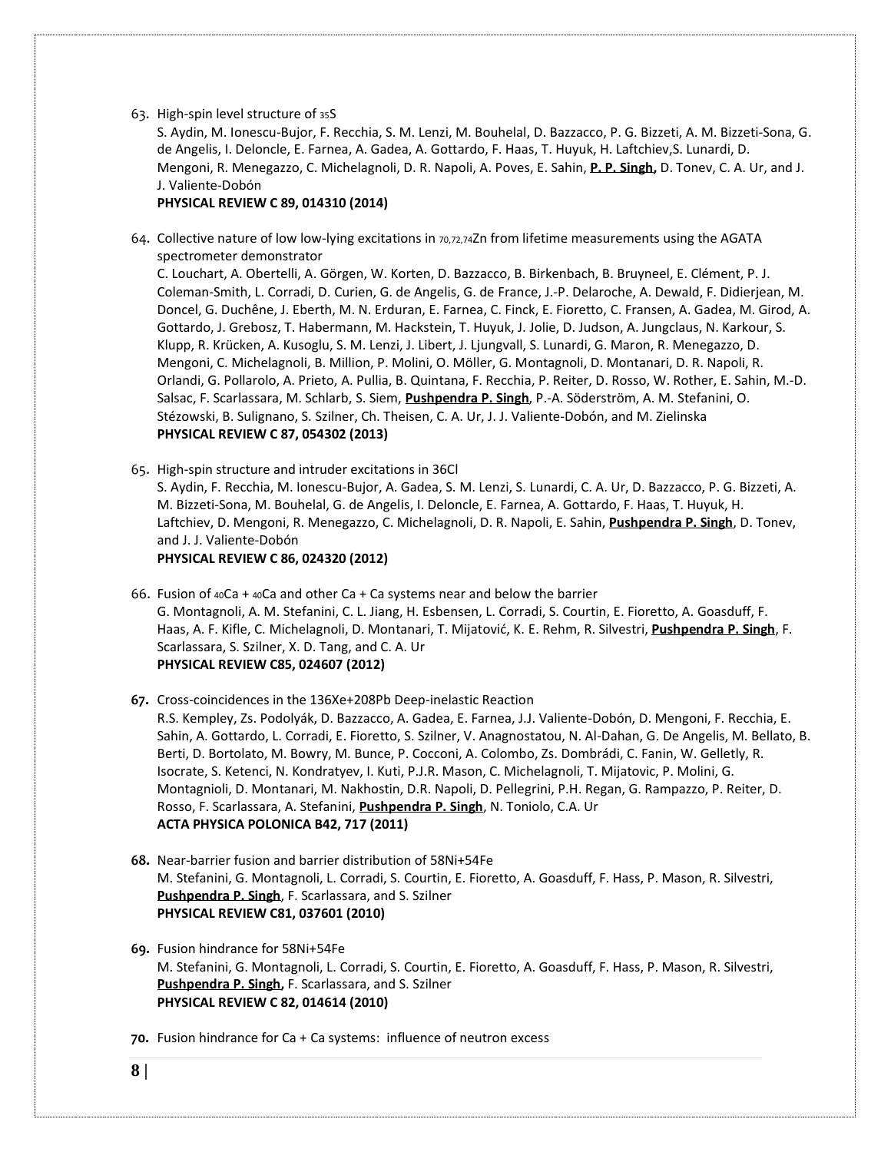#### 63. [High-spin](http://prc.aps.org/accepted/f9073PecY8a1dc0cb3087135d87e4bf7734bed021) level structure of <sup>35</sup>S

S. [Aydin,](http://publish.aps.org/search/field/author/S.%20Aydin) M. [Ionescu-Bujor,](http://publish.aps.org/search/field/author/M.%20Ionescu-Bujor) F. [Recchia,](http://publish.aps.org/search/field/author/F.%20Recchia) S. M. [Lenzi,](http://publish.aps.org/search/field/author/S.%20M.%20Lenzi) M. [Bouhelal,](http://publish.aps.org/search/field/author/M.%20Bouhelal) D. [Bazzacco,](http://publish.aps.org/search/field/author/D.%20Bazzacco) P. G. [Bizzeti,](http://publish.aps.org/search/field/author/P.%20G.%20Bizzeti) A. M. [Bizzeti-Sona,](http://publish.aps.org/search/field/author/A.%20M.%20Bizzeti-Sona) [G.](http://publish.aps.org/search/field/author/G.%20de%20Angelis) de [Angelis,](http://publish.aps.org/search/field/author/G.%20de%20Angelis) I. [Deloncle,](http://publish.aps.org/search/field/author/I.%20Deloncle) E. [Farnea,](http://publish.aps.org/search/field/author/E.%20Farnea) A. [Gadea,](http://publish.aps.org/search/field/author/A.%20Gadea) A. [Gottardo,](http://publish.aps.org/search/field/author/A.%20Gottardo) F. [Haas,](http://publish.aps.org/search/field/author/F.%20Haas) T. [Huyuk,](http://publish.aps.org/search/field/author/T.%20Huyuk) H. [Laftchiev,](http://publish.aps.org/search/field/author/H.%20Laftchiev)S. [Lunardi,](http://publish.aps.org/search/field/author/S.%20Lunardi) [D.](http://publish.aps.org/search/field/author/D.%20Mengoni) [Mengoni,](http://publish.aps.org/search/field/author/D.%20Mengoni) R. [Menegazzo,](http://publish.aps.org/search/field/author/R.%20Menegazzo) C. [Michelagnoli,](http://publish.aps.org/search/field/author/C.%20Michelagnoli) D. R. [Napoli,](http://publish.aps.org/search/field/author/D.%20R.%20Napoli) A. [Poves,](http://publish.aps.org/search/field/author/A.%20Poves) E. [Sahin,](http://publish.aps.org/search/field/author/E.%20Sahin) **P. P. [Singh,](http://publish.aps.org/search/field/author/P.%20P.%20Singh)** D. [Tonev,](http://publish.aps.org/search/field/author/D.%20Tonev) C. A. [Ur,](http://publish.aps.org/search/field/author/C.%20A.%20Ur) and [J.](http://publish.aps.org/search/field/author/J.%20J.%20Valiente-Dob%C3%B3n) J. [Valiente-Dobón](http://publish.aps.org/search/field/author/J.%20J.%20Valiente-Dob%C3%B3n)

# **PHYSICAL REVIEW C 89, 014310 (2014)**

64. Collective nature of low low-lying excitations in 70,72,74Zn from lifetime measurements using the AGATA spectrometer demonstrator

C. [Louchart,](http://publish.aps.org/search/field/author/C.%20Louchart) A. [Obertelli,](http://publish.aps.org/search/field/author/A.%20Obertelli) A. [Görgen,](http://publish.aps.org/search/field/author/A.%20G%C3%B6rgen) W. [Korten,](http://publish.aps.org/search/field/author/W.%20Korten) D. [Bazzacco,](http://publish.aps.org/search/field/author/D.%20Bazzacco) B. [Birkenbach,](http://publish.aps.org/search/field/author/B.%20Birkenbach) B. [Bruyneel,](http://publish.aps.org/search/field/author/B.%20Bruyneel) E. [Clément,](http://publish.aps.org/search/field/author/E.%20Cl%C3%A9ment) [P.](http://publish.aps.org/search/field/author/P.%20J.%20Coleman-Smith) J. [Coleman-Smith,](http://publish.aps.org/search/field/author/P.%20J.%20Coleman-Smith) L. [Corradi,](http://publish.aps.org/search/field/author/L.%20Corradi) D. [Curien,](http://publish.aps.org/search/field/author/D.%20Curien) G. de [Angelis,](http://publish.aps.org/search/field/author/G.%20de%20Angelis) G. de [France,](http://publish.aps.org/search/field/author/G.%20de%20France) J.-P. [Delaroche,](http://publish.aps.org/search/field/author/J.-P.%20Delaroche) A. [Dewald,](http://publish.aps.org/search/field/author/A.%20Dewald) F. [Didierjean,](http://publish.aps.org/search/field/author/F.%20Didierjean) [M.](http://publish.aps.org/search/field/author/M.%20Doncel) [Doncel,](http://publish.aps.org/search/field/author/M.%20Doncel) G. [Duchêne,](http://publish.aps.org/search/field/author/G.%20Duch%C3%AAne) J. [Eberth,](http://publish.aps.org/search/field/author/J.%20Eberth) M. N. [Erduran,](http://publish.aps.org/search/field/author/M.%20N.%20Erduran) E. [Farnea,](http://publish.aps.org/search/field/author/E.%20Farnea) C. [Finck,](http://publish.aps.org/search/field/author/C.%20Finck) E. [Fioretto,](http://publish.aps.org/search/field/author/E.%20Fioretto) C. [Fransen,](http://publish.aps.org/search/field/author/C.%20Fransen) A. [Gadea,](http://publish.aps.org/search/field/author/A.%20Gadea) M. [Girod,](http://publish.aps.org/search/field/author/M.%20Girod) [A.](http://publish.aps.org/search/field/author/A.%20Gottardo) [Gottardo,](http://publish.aps.org/search/field/author/A.%20Gottardo) J. [Grebosz,](http://publish.aps.org/search/field/author/J.%20Grebosz) T. [Habermann,](http://publish.aps.org/search/field/author/T.%20Habermann) M. [Hackstein,](http://publish.aps.org/search/field/author/M.%20Hackstein) T. [Huyuk,](http://publish.aps.org/search/field/author/T.%20Huyuk) J. [Jolie,](http://publish.aps.org/search/field/author/J.%20Jolie) D. [Judson,](http://publish.aps.org/search/field/author/D.%20Judson) A. [Jungclaus,](http://publish.aps.org/search/field/author/A.%20Jungclaus) N. [Karkour,](http://publish.aps.org/search/field/author/N.%20Karkour) [S.](http://publish.aps.org/search/field/author/S.%20Klupp) [Klupp,](http://publish.aps.org/search/field/author/S.%20Klupp) R. [Krücken,](http://publish.aps.org/search/field/author/R.%20Kr%C3%BCcken) A. [Kusoglu,](http://publish.aps.org/search/field/author/A.%20Kusoglu) S. M. [Lenzi,](http://publish.aps.org/search/field/author/S.%20M.%20Lenzi) J. [Libert,](http://publish.aps.org/search/field/author/J.%20Libert) J. [Ljungvall,](http://publish.aps.org/search/field/author/J.%20Ljungvall) S. [Lunardi,](http://publish.aps.org/search/field/author/S.%20Lunardi) G. [Maron,](http://publish.aps.org/search/field/author/G.%20Maron) R. [Menegazzo,](http://publish.aps.org/search/field/author/R.%20Menegazzo) [D.](http://publish.aps.org/search/field/author/D.%20Mengoni) [Mengoni,](http://publish.aps.org/search/field/author/D.%20Mengoni) C. [Michelagnoli,](http://publish.aps.org/search/field/author/C.%20Michelagnoli) B. [Million,](http://publish.aps.org/search/field/author/B.%20Million) P. [Molini,](http://publish.aps.org/search/field/author/P.%20Molini) O. [Möller,](http://publish.aps.org/search/field/author/O.%20M%C3%B6ller) G. [Montagnoli,](http://publish.aps.org/search/field/author/G.%20Montagnoli) D. [Montanari,](http://publish.aps.org/search/field/author/D.%20Montanari) D. R. [Napoli,](http://publish.aps.org/search/field/author/D.%20R.%20Napoli) [R.](http://publish.aps.org/search/field/author/R.%20Orlandi) [Orlandi,](http://publish.aps.org/search/field/author/R.%20Orlandi) G. [Pollarolo,](http://publish.aps.org/search/field/author/G.%20Pollarolo) A. [Prieto,](http://publish.aps.org/search/field/author/A.%20Prieto) A. [Pullia,](http://publish.aps.org/search/field/author/A.%20Pullia) B. [Quintana,](http://publish.aps.org/search/field/author/B.%20Quintana) F. [Recchia,](http://publish.aps.org/search/field/author/F.%20Recchia) P. [Reiter,](http://publish.aps.org/search/field/author/P.%20Reiter) D. [Rosso,](http://publish.aps.org/search/field/author/D.%20Rosso) W. [Rother,](http://publish.aps.org/search/field/author/W.%20Rother) E. [Sahin,](http://publish.aps.org/search/field/author/E.%20Sahin) [M.-D.](http://publish.aps.org/search/field/author/M.-D.%20Salsac) [Salsac,](http://publish.aps.org/search/field/author/M.-D.%20Salsac) F. [Scarlassara,](http://publish.aps.org/search/field/author/F.%20Scarlassara) M. [Schlarb,](http://publish.aps.org/search/field/author/M.%20Schlarb) S. [Siem,](http://publish.aps.org/search/field/author/S.%20Siem) **[Pushpendra](http://publish.aps.org/search/field/author/P.%20P.%20Singh) P. Singh**, P.-A. [Söderström,](http://publish.aps.org/search/field/author/P.-A.%20S%C3%B6derstr%C3%B6m) A. M. [Stefanini,](http://publish.aps.org/search/field/author/A.%20M.%20Stefanini) [O.](http://publish.aps.org/search/field/author/O.%20St%C3%A9zowski) [Stézowski,](http://publish.aps.org/search/field/author/O.%20St%C3%A9zowski) B. [Sulignano,](http://publish.aps.org/search/field/author/B.%20Sulignano) S. [Szilner,](http://publish.aps.org/search/field/author/S.%20Szilner) Ch. [Theisen,](http://publish.aps.org/search/field/author/Ch.%20Theisen) C. A. [Ur,](http://publish.aps.org/search/field/author/C.%20A.%20Ur) J. J. [Valiente-Dobón,](http://publish.aps.org/search/field/author/J.%20J.%20Valiente-Dob%C3%B3n) and M. [Zielinska](http://publish.aps.org/search/field/author/M.%20Zielinska) **PHYSICAL REVIEW C 87, 054302 (2013)** 

65. High-spin structure and intruder excitations in 36Cl S. [Aydin,](http://publish.aps.org/search/field/author/S.%20Aydin) F. [Recchia,](http://publish.aps.org/search/field/author/F.%20Recchia) M. [Ionescu-Bujor,](http://publish.aps.org/search/field/author/M.%20Ionescu-Bujor) A. [Gadea,](http://publish.aps.org/search/field/author/A.%20Gadea) S. M. [Lenzi,](http://publish.aps.org/search/field/author/S.%20M.%20Lenzi) S. [Lunardi,](http://publish.aps.org/search/field/author/S.%20Lunardi) C. A. [Ur,](http://publish.aps.org/search/field/author/C.%20A.%20Ur) D. [Bazzacco,](http://publish.aps.org/search/field/author/D.%20Bazzacco) P. G. [Bizzeti,](http://publish.aps.org/search/field/author/P.%20G.%20Bizzeti) [A.](http://publish.aps.org/search/field/author/A.%20M.%20Bizzeti-Sona) M. [Bizzeti-Sona,](http://publish.aps.org/search/field/author/A.%20M.%20Bizzeti-Sona) M. [Bouhelal,](http://publish.aps.org/search/field/author/M.%20Bouhelal) G. de [Angelis,](http://publish.aps.org/search/field/author/G.%20de%20Angelis) I. [Deloncle,](http://publish.aps.org/search/field/author/I.%20Deloncle) E. [Farnea,](http://publish.aps.org/search/field/author/E.%20Farnea) A. [Gottardo,](http://publish.aps.org/search/field/author/A.%20Gottardo) F. [Haas,](http://publish.aps.org/search/field/author/F.%20Haas) T. [Huyuk,](http://publish.aps.org/search/field/author/T.%20Huyuk) [H.](http://publish.aps.org/search/field/author/H.%20Laftchiev) [Laftchiev,](http://publish.aps.org/search/field/author/H.%20Laftchiev) D. [Mengoni,](http://publish.aps.org/search/field/author/D.%20Mengoni) R. [Menegazzo,](http://publish.aps.org/search/field/author/R.%20Menegazzo) C. [Michelagnoli,](http://publish.aps.org/search/field/author/C.%20Michelagnoli) D. R. [Napoli,](http://publish.aps.org/search/field/author/D.%20R.%20Napoli) E. [Sahin,](http://publish.aps.org/search/field/author/E.%20Sahin) **[Pushpendra](http://publish.aps.org/search/field/author/P.%20P.%20Singh) P. Singh**, D. [Tonev,](http://publish.aps.org/search/field/author/D.%20Tonev) and J. J. [Valiente-Dobón](http://publish.aps.org/search/field/author/J.%20J.%20Valiente-Dob%C3%B3n)

**PHYSICAL REVIEW C 86, 024320 (2012)**

- 66. Fusion of <sup>40</sup>Ca + <sup>40</sup>Ca and other Ca + Ca [systems](http://prc.aps.org/accepted/C/3807dPffXef1400f637f11877fdab46a7a93c4d7b) near and below the barrier G. [Montagnoli,](http://publish.aps.org/search/field/author/G.%20Montagnoli) A. M. [Stefanini,](http://publish.aps.org/search/field/author/A.%20M.%20Stefanini) C. L. [Jiang,](http://publish.aps.org/search/field/author/C.%20L.%20Jiang) H. [Esbensen,](http://publish.aps.org/search/field/author/H.%20Esbensen) L. [Corradi,](http://publish.aps.org/search/field/author/L.%20Corradi) S. [Courtin,](http://publish.aps.org/search/field/author/S.%20Courtin) E. [Fioretto,](http://publish.aps.org/search/field/author/E.%20Fioretto) A. [Goasduff,](http://publish.aps.org/search/field/author/A.%20Goasduff) [F.](http://publish.aps.org/search/field/author/F.%20Haas) [Haas,](http://publish.aps.org/search/field/author/F.%20Haas) A. F. [Kifle,](http://publish.aps.org/search/field/author/A.%20F.%20Kifle) C. [Michelagnoli,](http://publish.aps.org/search/field/author/C.%20Michelagnoli) D. [Montanari,](http://publish.aps.org/search/field/author/D.%20Montanari) T. [Mijatović](http://publish.aps.org/search/field/author/T.%20Mijatovi%C4%87), K. E. [Rehm,](http://publish.aps.org/search/field/author/K.%20E.%20Rehm) R. [Silvestri,](http://publish.aps.org/search/field/author/R.%20Silvestri) **[Pushpendra](http://publish.aps.org/search/field/author/P.%20P.%20Singh) P. Singh**, [F.](http://publish.aps.org/search/field/author/F.%20Scarlassara) [Scarlassara,](http://publish.aps.org/search/field/author/F.%20Scarlassara) S. [Szilner,](http://publish.aps.org/search/field/author/S.%20Szilner) X. D. [Tang,](http://publish.aps.org/search/field/author/X.%20D.%20Tang) and C. A. [Ur](http://publish.aps.org/search/field/author/C.%20A.%20Ur) **PHYSICAL REVIEW C85, 024607 (2012)**
- **67.** Cross-coincidences in the 136Xe+208Pb Deep-inelastic Reaction

R.S. Kempley, Zs. Podolyák, D. Bazzacco, A. Gadea, E. Farnea, J.J. Valiente-Dobón, D. Mengoni, F. Recchia, E. Sahin, A. Gottardo, L. Corradi, E. Fioretto, S. Szilner, V. Anagnostatou, N. Al-Dahan, G. De Angelis, M. Bellato, B. Berti, D. Bortolato, M. Bowry, M. Bunce, P. Cocconi, A. Colombo, Zs. Dombrádi, C. Fanin, W. Gelletly, R. Isocrate, S. Ketenci, N. Kondratyev, I. Kuti, P.J.R. Mason, C. Michelagnoli, T. Mijatovic, P. Molini, G. Montagnioli, D. Montanari, M. Nakhostin, D.R. Napoli, D. Pellegrini, P.H. Regan, G. Rampazzo, P. Reiter, D. Rosso, F. Scarlassara, A. Stefanini, **[Pushpendra](http://publish.aps.org/search/field/author/P.%20P.%20Singh) P. Singh**, N. Toniolo, C.A. Ur **ACTA PHYSICA POLONICA B42, 717 (2011)**

- **68.** Near-barrier fusion and barrier distribution of 58Ni+54Fe M. Stefanini, G. Montagnoli, L. Corradi, S. Courtin, E. Fioretto, A. Goasduff, F. Hass, P. Mason, R. Silvestri, **[Pushpendra](http://publish.aps.org/search/field/author/P.%20P.%20Singh) P. Singh**, F. Scarlassara, and S. Szilner **PHYSICAL REVIEW C81, 037601 (2010)**
- **69.** Fusion hindrance for 58Ni+54Fe M. Stefanini, G. Montagnoli, L. Corradi, S. Courtin, E. Fioretto, A. Goasduff, F. Hass, P. Mason, R. Silvestri, **[Pushpendra](http://publish.aps.org/search/field/author/P.%20P.%20Singh) P. Singh,** F. Scarlassara, and S. Szilner **PHYSICAL REVIEW C 82, 014614 (2010)**
- **70.** Fusion hindrance for Ca + Ca systems: influence of neutron excess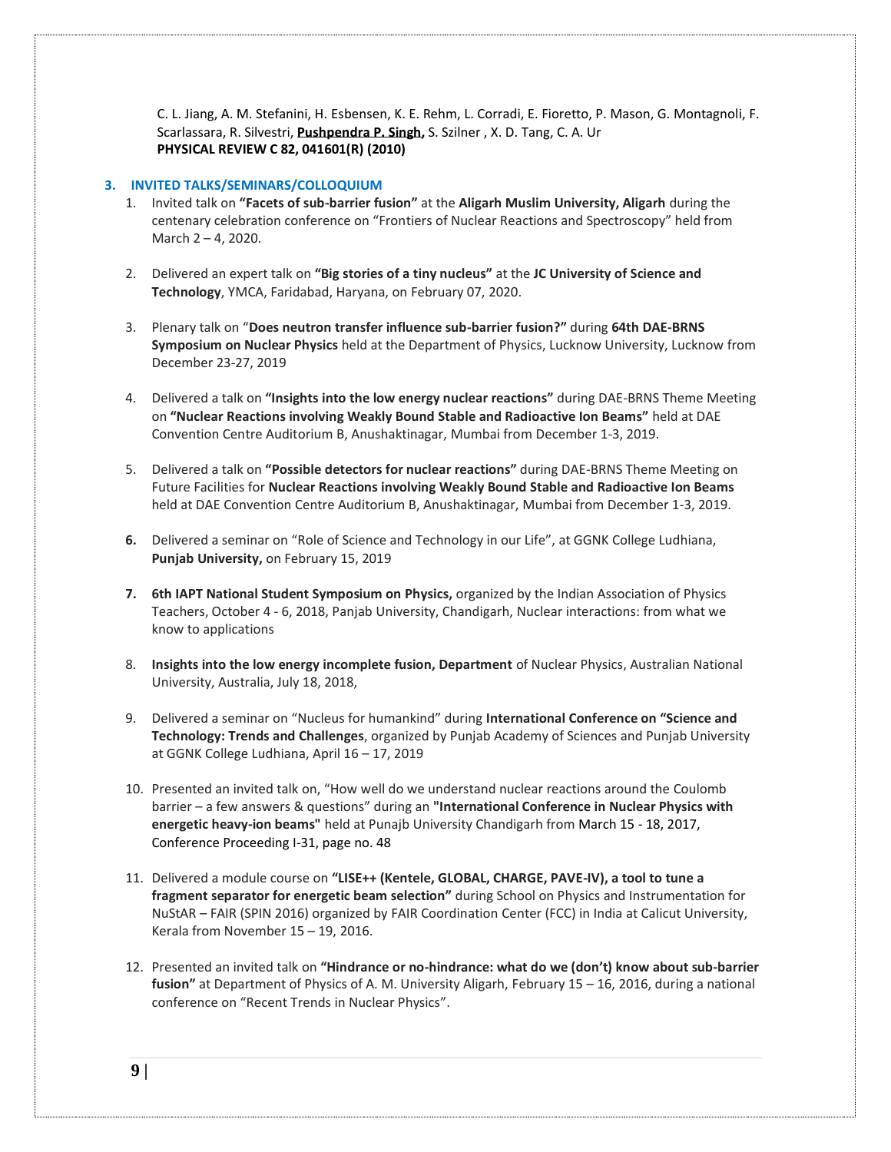C. L. Jiang, A. M. Stefanini, H. Esbensen, K. E. Rehm, L. Corradi, E. Fioretto, P. Mason, G. Montagnoli, F. Scarlassara, R. Silvestri, **[Pushpendra](http://publish.aps.org/search/field/author/P.%20P.%20Singh) P. Singh,** S. Szilner , X. D. Tang, C. A. Ur **PHYSICAL REVIEW C 82, 041601(R) (2010)**

# **3. INVITED TALKS/SEMINARS/COLLOQUIUM**

- 1. Invited talk on **"Facets of sub-barrier fusion"** at the **Aligarh Muslim University, Aligarh** during the centenary celebration conference on "Frontiers of Nuclear Reactions and Spectroscopy" held from March 2 – 4, 2020.
- 2. Delivered an expert talk on **"Big stories of a tiny nucleus"** at the **JC University of Science and Technology**, YMCA, Faridabad, Haryana, on February 07, 2020.
- 3. Plenary talk on "**Does neutron transfer influence sub-barrier fusion?"** during **64th DAE-BRNS Symposium on Nuclear Physics** held at the Department of Physics, Lucknow University, Lucknow from December 23-27, 2019
- 4. Delivered a talk on **"Insights into the low energy nuclear reactions"** during DAE-BRNS Theme Meeting on **"Nuclear Reactions involving Weakly Bound Stable and Radioactive Ion Beams"** held at DAE Convention Centre Auditorium B, Anushaktinagar, Mumbai from December 1-3, 2019.
- 5. Delivered a talk on **"Possible detectors for nuclear reactions"** during DAE-BRNS Theme Meeting on Future Facilities for **Nuclear Reactions involving Weakly Bound Stable and Radioactive Ion Beams** held at DAE Convention Centre Auditorium B, Anushaktinagar, Mumbai from December 1-3, 2019.
- **6.** Delivered a seminar on "Role of Science and Technology in our Life", at GGNK College Ludhiana, **Punjab University,** on February 15, 2019
- **7. 6th IAPT National Student Symposium on Physics,** organized by the Indian Association of Physics Teachers, October 4 - 6, 2018, Panjab University, Chandigarh, Nuclear interactions: from what we know to applications
- 8. **Insights into the low energy incomplete fusion, Department** of Nuclear Physics, Australian National University, Australia, July 18, 2018,
- 9. Delivered a seminar on "Nucleus for humankind" during **International Conference on "Science and Technology: Trends and Challenges**, organized by Punjab Academy of Sciences and Punjab University at GGNK College Ludhiana, April 16 – 17, 2019
- 10. Presented an invited talk on, "How well do we understand nuclear reactions around the Coulomb barrier – a few answers & questions" during an **"International Conference in Nuclear Physics with energetic heavy-ion beams"** held at Punajb University Chandigarh from March 15 - 18, 2017, Conference Proceeding I-31, page no. 48
- 11. Delivered a module course on **"LISE++ (Kentele, GLOBAL, CHARGE, PAVE-IV), a tool to tune a fragment separator for energetic beam selection"** during School on Physics and Instrumentation for NuStAR – FAIR (SPIN 2016) organized by FAIR Coordination Center (FCC) in India at Calicut University, Kerala from November 15 – 19, 2016.
- 12. Presented an invited talk on **"Hindrance or no-hindrance: what do we (don't) know about sub-barrier fusion"** at Department of Physics of A. M. University Aligarh, February 15 – 16, 2016, during a national conference on "Recent Trends in Nuclear Physics".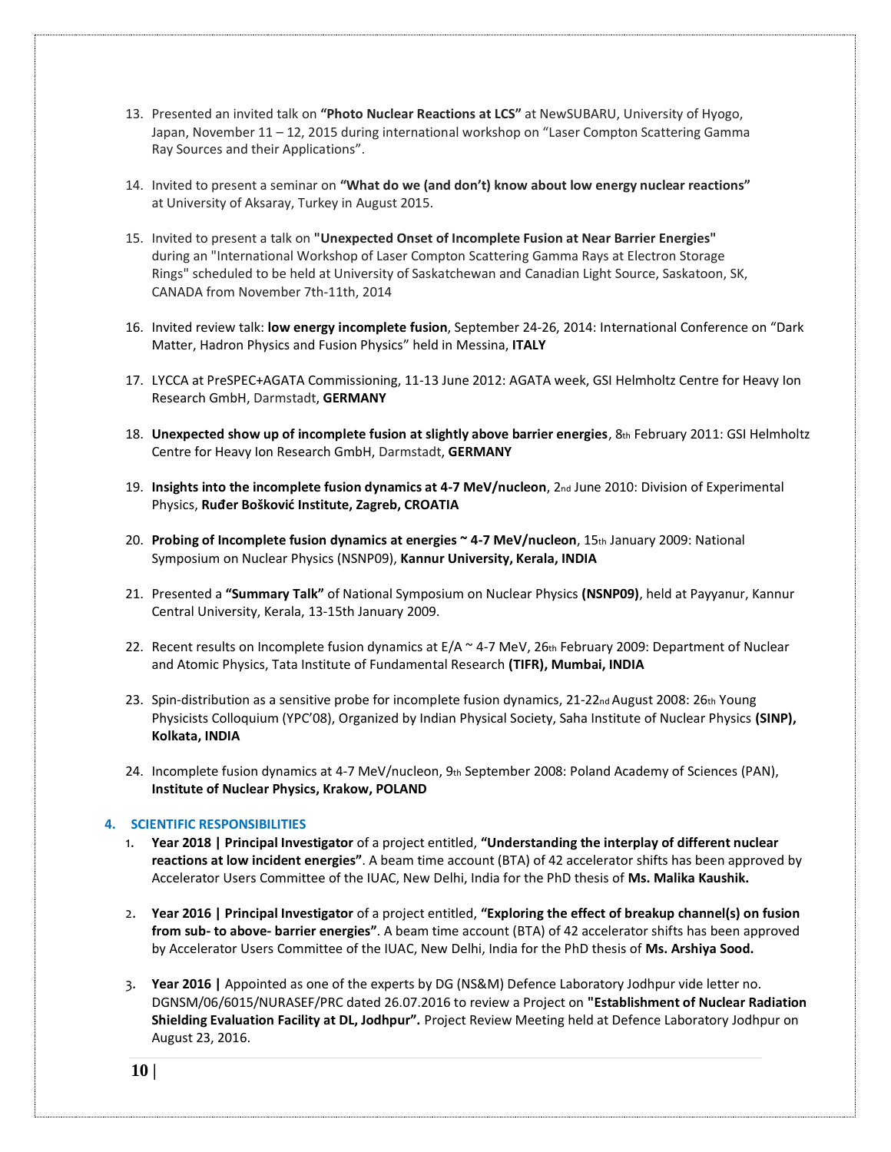- 13. Presented an invited talk on **"Photo Nuclear Reactions at LCS"** at NewSUBARU, University of Hyogo, Japan, November 11 – 12, 2015 during international workshop on "Laser Compton Scattering Gamma Ray Sources and their Applications".
- 14. Invited to present a seminar on **"What do we (and don't) know about low energy nuclear reactions"** at University of Aksaray, Turkey in August 2015.
- 15. Invited to present a talk on **"Unexpected Onset of Incomplete Fusion at Near Barrier Energies"** during an "International Workshop of Laser Compton Scattering Gamma Rays at Electron Storage Rings" scheduled to be held at University of Saskatchewan and Canadian Light Source, Saskatoon, SK, CANADA from November 7th-11th, 2014
- 16. Invited review talk: **low energy incomplete fusion**, September 24-26, 2014: International Conference on "Dark Matter, Hadron Physics and Fusion Physics" held in Messina, **ITALY**
- 17. LYCCA at PreSPEC+AGATA Commissioning, 11-13 June 2012: AGATA week, GSI Helmholtz Centre for Heavy Ion Research GmbH, Darmstadt, **GERMANY**
- 18. **Unexpected show up of incomplete fusion at slightly above barrier energies**, 8th February 2011: GSI Helmholtz Centre for Heavy Ion Research GmbH, Darmstadt, **GERMANY**
- 19. **Insights into the incomplete fusion dynamics at 4-7 MeV/nucleon**, 2nd June 2010: Division of Experimental Physics, **Ruđer Bošković Institute, Zagreb, CROATIA**
- 20. **Probing of Incomplete fusion dynamics at energies ~ 4-7 MeV/nucleon**, 15th January 2009: National Symposium on Nuclear Physics (NSNP09), **Kannur University, Kerala, INDIA**
- 21. Presented a **"Summary Talk"** of National Symposium on Nuclear Physics **(NSNP09)**, held at Payyanur, Kannur Central University, Kerala, 13-15th January 2009.
- 22. Recent results on Incomplete fusion dynamics at E/A ~ 4-7 MeV, 26th February 2009: Department of Nuclear and Atomic Physics, Tata Institute of Fundamental Research **(TIFR), Mumbai, INDIA**
- 23. Spin-distribution as a sensitive probe for incomplete fusion dynamics, 21-22<sub>nd</sub> August 2008: 26th Young Physicists Colloquium (YPC'08), Organized by Indian Physical Society, Saha Institute of Nuclear Physics **(SINP), Kolkata, INDIA**
- 24. Incomplete fusion dynamics at 4-7 MeV/nucleon, 9th September 2008: Poland Academy of Sciences (PAN), **Institute of Nuclear Physics, Krakow, POLAND**

### **4. SCIENTIFIC RESPONSIBILITIES**

- 1. **Year 2018 | Principal Investigator** of a project entitled, **"Understanding the interplay of different nuclear reactions at low incident energies"**. A beam time account (BTA) of 42 accelerator shifts has been approved by Accelerator Users Committee of the IUAC, New Delhi, India for the PhD thesis of **Ms. Malika Kaushik.**
- 2. **Year 2016 | Principal Investigator** of a project entitled, **"Exploring the effect of breakup channel(s) on fusion from sub- to above- barrier energies"**. A beam time account (BTA) of 42 accelerator shifts has been approved by Accelerator Users Committee of the IUAC, New Delhi, India for the PhD thesis of **Ms. Arshiya Sood.**
- 3. **Year 2016 |** Appointed as one of the experts by DG (NS&M) Defence Laboratory Jodhpur vide letter no. DGNSM/06/6015/NURASEF/PRC dated 26.07.2016 to review a Project on **"Establishment of Nuclear Radiation Shielding Evaluation Facility at DL, Jodhpur".** Project Review Meeting held at Defence Laboratory Jodhpur on August 23, 2016.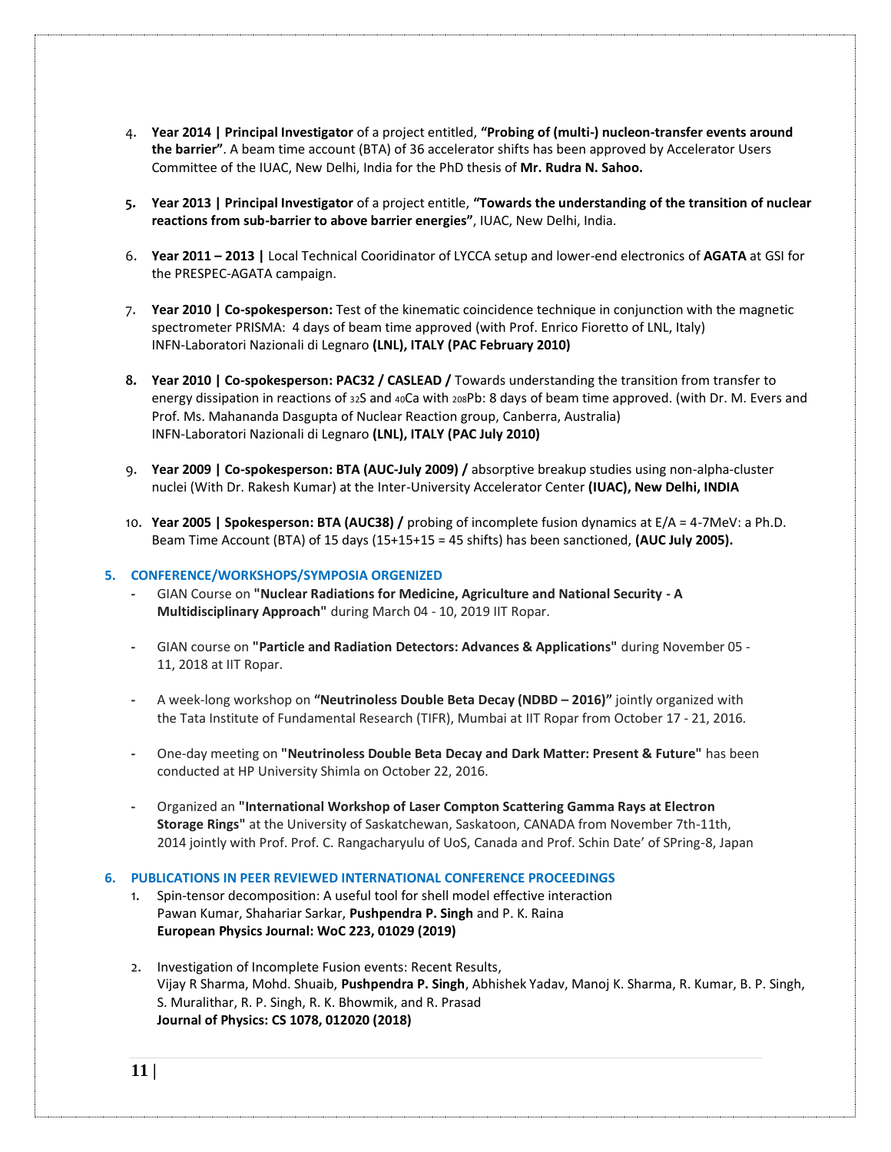- 4. **Year 2014 | Principal Investigator** of a project entitled, **"Probing of (multi-) nucleon-transfer events around the barrier"**. A beam time account (BTA) of 36 accelerator shifts has been approved by Accelerator Users Committee of the IUAC, New Delhi, India for the PhD thesis of **Mr. Rudra N. Sahoo.**
- **5. Year 2013 | Principal Investigator** of a project entitle, **"Towards the understanding of the transition of nuclear reactions from sub-barrier to above barrier energies"**, IUAC, New Delhi, India.
- 6. **Year 2011 – 2013 |** Local Technical Cooridinator of LYCCA setup and lower-end electronics of **AGATA** at GSI for the PRESPEC-AGATA campaign.
- 7. **Year 2010 | Co-spokesperson:** Test of the kinematic coincidence technique in conjunction with the magnetic spectrometer PRISMA: 4 days of beam time approved (with Prof. Enrico Fioretto of LNL, Italy) INFN-Laboratori Nazionali di Legnaro **(LNL), ITALY (PAC February 2010)**
- **8. Year 2010 | Co-spokesperson: PAC32 / CASLEAD /** Towards understanding the transition from transfer to energy dissipation in reactions of 32S and 40Ca with 208Pb: 8 days of beam time approved. (with Dr. M. Evers and Prof. Ms. Mahananda Dasgupta of Nuclear Reaction group, Canberra, Australia) INFN-Laboratori Nazionali di Legnaro **(LNL), ITALY (PAC July 2010)**
- 9. **Year 2009 | Co-spokesperson: BTA (AUC-July 2009) /** absorptive breakup studies using non-alpha-cluster nuclei (With Dr. Rakesh Kumar) at the Inter-University Accelerator Center **(IUAC), New Delhi, INDIA**
- 10. **Year 2005 | Spokesperson: BTA (AUC38) /** probing of incomplete fusion dynamics at E/A = 4-7MeV: a Ph.D. Beam Time Account (BTA) of 15 days (15+15+15 = 45 shifts) has been sanctioned, **(AUC July 2005).**

## **5. CONFERENCE/WORKSHOPS/SYMPOSIA ORGENIZED**

- **-** GIAN Course on **"Nuclear Radiations for Medicine, Agriculture and National Security - A Multidisciplinary Approach"** during March 04 - 10, 2019 IIT Ropar.
- **-** GIAN course on **"Particle and Radiation Detectors: Advances & Applications"** during November 05 11, 2018 at IIT Ropar.
- **-** A week-long workshop on **"Neutrinoless Double Beta Decay (NDBD – 2016)"** jointly organized with the Tata Institute of Fundamental Research (TIFR), Mumbai at IIT Ropar from October 17 - 21, 2016.
- **-** One-day meeting on **"Neutrinoless Double Beta Decay and Dark Matter: Present & Future"** has been conducted at HP University Shimla on October 22, 2016.
- **-** Organized an **"International Workshop of Laser Compton Scattering Gamma Rays at Electron Storage Rings"** at the University of Saskatchewan, Saskatoon, CANADA from November 7th-11th, 2014 jointly with Prof. Prof. C. Rangacharyulu of UoS, Canada and Prof. Schin Date' of SPring-8, Japan

### **6. PUBLICATIONS IN PEER REVIEWED INTERNATIONAL CONFERENCE PROCEEDINGS**

- 1. Spin-tensor decomposition: A useful tool for shell model effective interaction Pawan Kumar, Shahariar Sarkar, **Pushpendra P. Singh** and P. K. Raina **European Physics Journal: WoC 223, 01029 (2019)**
- 2. Investigation of Incomplete Fusion events: Recent Results, Vijay R Sharma, Mohd. Shuaib, **Pushpendra P. Singh**, Abhishek Yadav, Manoj K. Sharma, R. Kumar, B. P. Singh, S. Muralithar, R. P. Singh, R. K. Bhowmik, and R. Prasad **Journal of Physics: CS 1078, 012020 (2018)**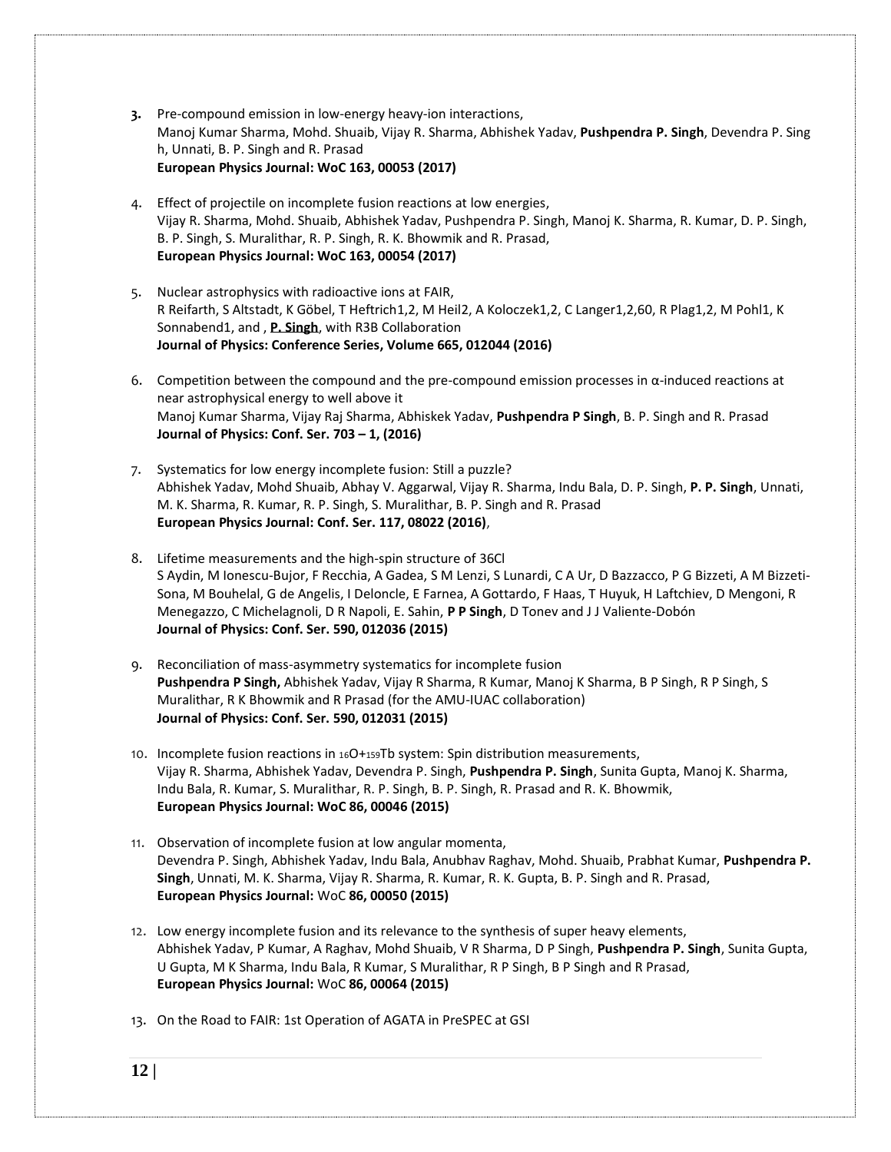- **3.** [Pre-compound emission in low-energy heavy-ion interactions,](https://www.epj-conferences.org/articles/epjconf/abs/2017/32/epjconf_fusion2017_00053/epjconf_fusion2017_00053.html) Manoj Kumar Sharma, Mohd. Shuaib, Vijay R. Sharma, Abhishek Yadav, **Pushpendra P. Singh**, Devendra P. Sing h, Unnati, B. P. Singh and R. Prasad **European Physics Journal: WoC 163, 00053 (2017)**
- 4. [Effect of projectile on incomplete fusion reactions at low energies,](https://www.epj-conferences.org/articles/epjconf/abs/2017/32/epjconf_fusion2017_00054/epjconf_fusion2017_00054.html) Vijay R. Sharma, Mohd. Shuaib, Abhishek Yadav, Pushpendra P. Singh, Manoj K. Sharma, R. Kumar, D. P. Singh, B. P. Singh, S. Muralithar, R. P. Singh, R. K. Bhowmik and R. Prasad, **European Physics Journal: WoC 163, 00054 (2017)**
- 5. Nuclear astrophysics with radioactive ions at FAIR, R Reifarth, S Altstadt, K Göbel, T Heftrich1,2, M Heil2, A Koloczek1,2, C Langer1,2,60, R Plag1,2, M Pohl1, K Sonnabend1, and , **P. Singh**, with R3B Collaboration **[Journal of Physics: Conference Series,](http://iopscience.iop.org/journal/1742-6596) [Volume 665,](http://iopscience.iop.org/volume/1742-6596/665) 012044 (2016)**
- 6. Competition between the compound and the pre-compound emission processes in  $\alpha$ -induced reactions at near astrophysical energy to well above it Manoj Kumar Sharma, Vijay Raj Sharma, Abhiskek Yadav, **Pushpendra P Singh**, B. P. Singh and R. Prasad **Journal of Physics: Conf. Ser. 703 – 1, (2016)**
- 7. Systematics for low energy incomplete fusion: Still a puzzle? Abhishek Yadav, Mohd Shuaib, Abhay V. Aggarwal, Vijay R. Sharma, Indu Bala, D. P. Singh, **P. P. Singh**, Unnati, M. K. Sharma, R. Kumar, R. P. Singh, S. Muralithar, B. P. Singh and R. Prasad **European Physics Journal: Conf. Ser. 117, 08022 (2016)**,
- 8. Lifetime measurements and the high-spin structure of 36Cl S Aydin, M Ionescu-Bujor, F Recchia, A Gadea, S M Lenzi, S Lunardi, C A Ur, D Bazzacco, P G Bizzeti, A M Bizzeti-Sona, M Bouhelal, G de Angelis, I Deloncle, E Farnea, A Gottardo, F Haas, T Huyuk, H Laftchiev, D Mengoni, R Menegazzo, C Michelagnoli, D R Napoli, E. Sahin, **P P Singh**, D Tonev and J J Valiente-Dobón **Journal of Physics: Conf. Ser. 590, 012036 (2015)**
- 9. Reconciliation of mass-asymmetry systematics for incomplete fusion **Pushpendra P Singh,** Abhishek Yadav, Vijay R Sharma, R Kumar, Manoj K Sharma, B P Singh, R P Singh, S Muralithar, R K Bhowmik and R Prasad (for the AMU-IUAC collaboration) **Journal of Physics: Conf. Ser. 590, 012031 (2015)**
- 10. Incomplete fusion reactions in <sup>16</sup>O+159Tb system: Spin distribution measurements, Vijay R. Sharma, Abhishek Yadav, Devendra P. Singh, **Pushpendra P. Singh**, Sunita Gupta, Manoj K. Sharma, Indu Bala, R. Kumar, S. Muralithar, R. P. Singh, B. P. Singh, R. Prasad and R. K. Bhowmik, **European Physics Journal: WoC 86, 00046 (2015)**
- 11. Observation of incomplete fusion at low angular momenta, Devendra P. Singh, Abhishek Yadav, Indu Bala, Anubhav Raghav, Mohd. Shuaib, Prabhat Kumar, **Pushpendra P. Singh**, Unnati, M. K. Sharma, Vijay R. Sharma, R. Kumar, R. K. Gupta, B. P. Singh and R. Prasad, **European Physics Journal:** WoC **86, 00050 (2015)**
- 12. Low energy incomplete fusion and its relevance to the synthesis of super heavy elements, Abhishek Yadav, P Kumar, A Raghav, Mohd Shuaib, V R Sharma, D P Singh, **Pushpendra P. Singh**, Sunita Gupta, U Gupta, M K Sharma, Indu Bala, R Kumar, S Muralithar, R P Singh, B P Singh and R Prasad, **European Physics Journal:** WoC **86, 00064 (2015)**
- 13. On the Road to FAIR: 1st Operation of AGATA in PreSPEC at GSI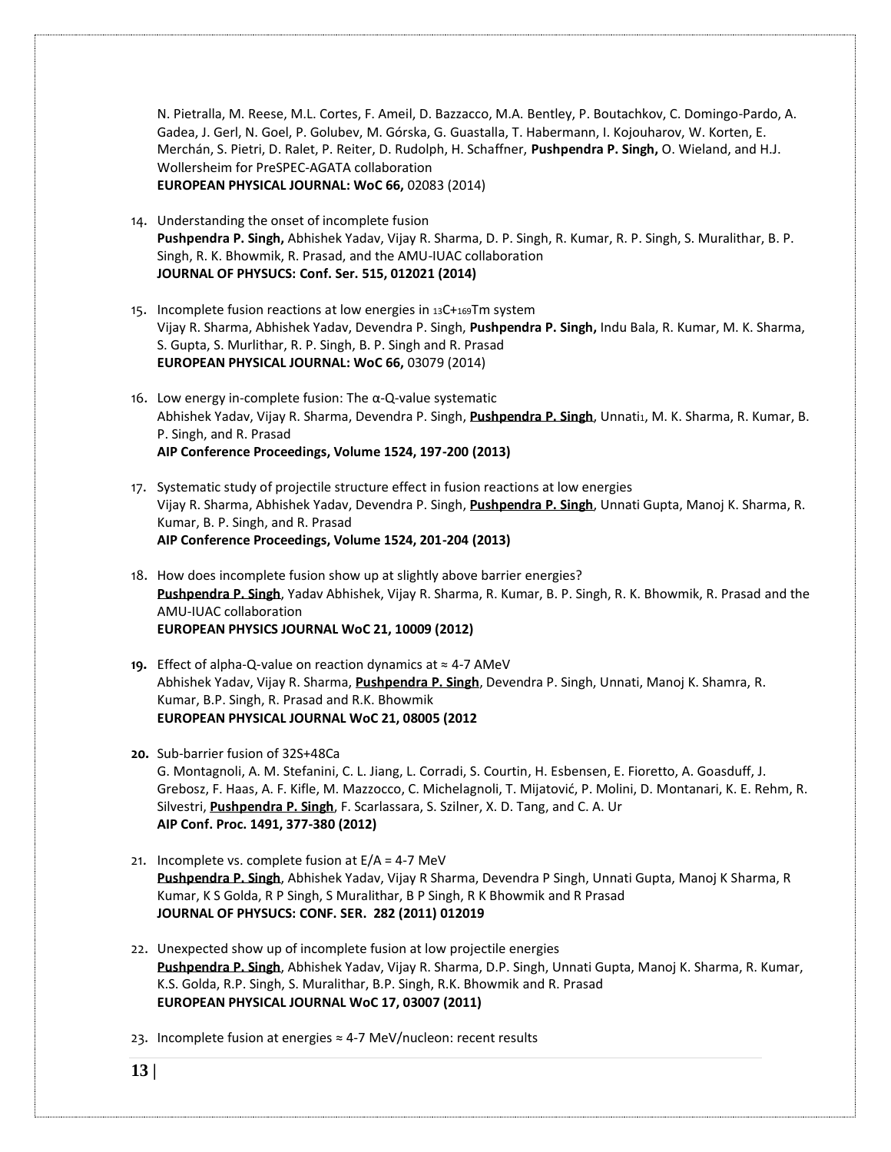N. Pietralla, M. Reese, M.L. Cortes, F. Ameil, D. Bazzacco, M.A. Bentley, P. Boutachkov, C. Domingo-Pardo, A. Gadea, J. Gerl, N. Goel, P. Golubev, M. Górska, G. Guastalla, T. Habermann, I. Kojouharov, W. Korten, E. Merchán, S. Pietri, D. Ralet, P. Reiter, D. Rudolph, H. Schaffner, **Pushpendra P. Singh,** O. Wieland, and H.J. Wollersheim for PreSPEC-AGATA collaboration **EUROPEAN PHYSICAL JOURNAL: WoC 66,** 02083 (2014)

- 14. Understanding the onset of incomplete fusion **Pushpendra P. Singh,** Abhishek Yadav, Vijay R. Sharma, D. P. Singh, R. Kumar, R. P. Singh, S. Muralithar, B. P. Singh, R. K. Bhowmik, R. Prasad, and the AMU-IUAC collaboration **JOURNAL OF PHYSUCS: Conf. Ser. 515, 012021 (2014)**
- 15. Incomplete fusion reactions at low energies in <sup>13</sup>C+169Tm system Vijay R. Sharma, Abhishek Yadav, Devendra P. Singh, **Pushpendra P. Singh,** Indu Bala, R. Kumar, M. K. Sharma, S. Gupta, S. Murlithar, R. P. Singh, B. P. Singh and R. Prasad **EUROPEAN PHYSICAL JOURNAL: WoC 66,** 03079 (2014)
- 16. Low energy in-complete fusion: The α-Q-value systematic Abhishek Yadav, Vijay R. Sharma, Devendra P. Singh, *[Pushpendra](http://publish.aps.org/search/field/author/P.%20P.%20Singh) P. Singh*, Unnati1, M. K. Sharma, R. Kumar, B. P. Singh, and R. Prasad **AIP Conference Proceedings, Volume 1524, 197-200 (2013)**
- 17. Systematic study of projectile structure effect in fusion reactions at low energies Vijay R. Sharma, Abhishek Yadav, Devendra P. Singh, **[Pushpendra](http://publish.aps.org/search/field/author/P.%20P.%20Singh) P. Singh**, Unnati Gupta, Manoj K. Sharma, R. Kumar, B. P. Singh, and R. Prasad **AIP Conference Proceedings, Volume 1524, 201-204 (2013)**
- 18. How does incomplete fusion show up at slightly above barrier energies? **[Pushpendra](http://publish.aps.org/search/field/author/P.%20P.%20Singh) P. Singh**, Yadav Abhishek, Vijay R. Sharma, R. Kumar, B. P. Singh, R. K. Bhowmik, R. Prasad and the AMU-IUAC collaboration **EUROPEAN PHYSICS JOURNAL WoC 21, 10009 (2012)**
- **19.** Effect of alpha-Q-value on reaction dynamics at ≈ 4-7 AMeV Abhishek Yadav, Vijay R. Sharma, **[Pushpendra](http://publish.aps.org/search/field/author/P.%20P.%20Singh) P. Singh**, Devendra P. Singh, Unnati, Manoj K. Shamra, R. Kumar, B.P. Singh, R. Prasad and R.K. Bhowmik **EUROPEAN PHYSICAL JOURNAL WoC 21, 08005 (2012**
- **20.** Sub-barrier fusion of 32S+48Ca G. Montagnoli, A. M. Stefanini, C. L. Jiang, L. Corradi, S. Courtin, H. Esbensen, E. Fioretto, A. Goasduff, J. Grebosz, F. Haas, A. F. Kifle, M. Mazzocco, C. Michelagnoli, T. Mijatović, P. Molini, D. Montanari, K. E. Rehm, R. Silvestri, **[Pushpendra](http://publish.aps.org/search/field/author/P.%20P.%20Singh) P. Singh**, F. Scarlassara, S. Szilner, X. D. Tang, and C. A. Ur **AIP Conf. Proc. 1491, 377-380 (2012)**
- 21. Incomplete vs. complete fusion at  $E/A = 4-7$  MeV **[Pushpendra](http://publish.aps.org/search/field/author/P.%20P.%20Singh) P. Singh**, Abhishek Yadav, Vijay R Sharma, Devendra P Singh, Unnati Gupta, Manoj K Sharma, R Kumar, K S Golda, R P Singh, S Muralithar, B P Singh, R K Bhowmik and R Prasad **JOURNAL OF PHYSUCS: CONF. SER. 282 (2011) 012019**
- 22. Unexpected show up of incomplete fusion at low projectile energies **[Pushpendra](http://publish.aps.org/search/field/author/P.%20P.%20Singh) P. Singh**, Abhishek Yadav, Vijay R. Sharma, D.P. Singh, Unnati Gupta, Manoj K. Sharma, R. Kumar, K.S. Golda, R.P. Singh, S. Muralithar, B.P. Singh, R.K. Bhowmik and R. Prasad **EUROPEAN PHYSICAL JOURNAL WoC 17, 03007 (2011)**
- 23. Incomplete fusion at energies ≈ 4-7 MeV/nucleon: recent results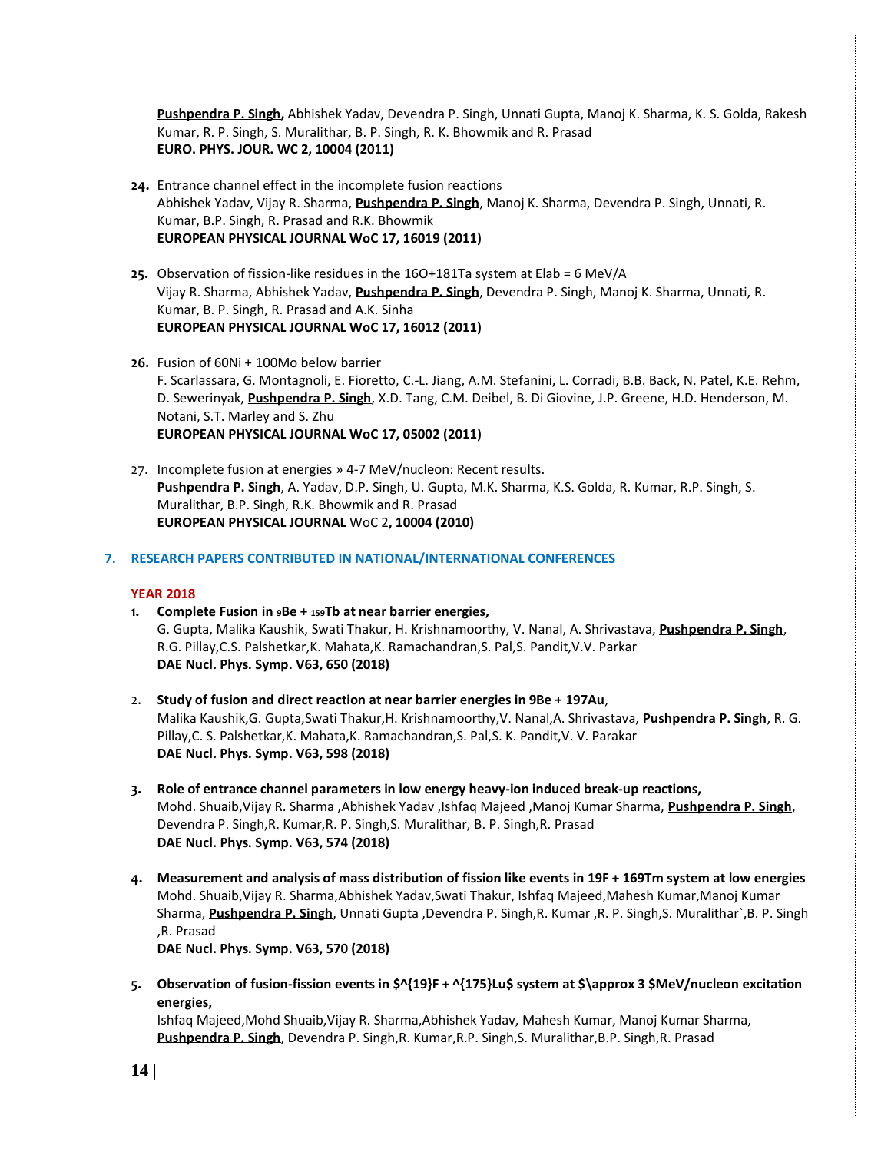**[Pushpendra](http://publish.aps.org/search/field/author/P.%20P.%20Singh) P. Singh,** Abhishek Yadav, Devendra P. Singh, Unnati Gupta, Manoj K. Sharma, K. S. Golda, Rakesh Kumar, R. P. Singh, S. Muralithar, B. P. Singh, R. K. Bhowmik and R. Prasad **EURO. PHYS. JOUR. WC 2, 10004 (2011)**

- **24.** Entrance channel effect in the incomplete fusion reactions Abhishek Yadav, Vijay R. Sharma, **[Pushpendra](http://publish.aps.org/search/field/author/P.%20P.%20Singh) P. Singh**, Manoj K. Sharma, Devendra P. Singh, Unnati, R. Kumar, B.P. Singh, R. Prasad and R.K. Bhowmik **EUROPEAN PHYSICAL JOURNAL WoC 17, 16019 (2011)**
- **25.** Observation of fission-like residues in the 16O+181Ta system at Elab = 6 MeV/A Vijay R. Sharma, Abhishek Yadav, **[Pushpendra](http://publish.aps.org/search/field/author/P.%20P.%20Singh) P. Singh**, Devendra P. Singh, Manoj K. Sharma, Unnati, R. Kumar, B. P. Singh, R. Prasad and A.K. Sinha **EUROPEAN PHYSICAL JOURNAL WoC 17, 16012 (2011)**
- **26.** Fusion of 60Ni + 100Mo below barrier F. Scarlassara, G. Montagnoli, E. Fioretto, C.-L. Jiang, A.M. Stefanini, L. Corradi, B.B. Back, N. Patel, K.E. Rehm, D. Sewerinyak, **[Pushpendra](http://publish.aps.org/search/field/author/P.%20P.%20Singh) P. Singh**, X.D. Tang, C.M. Deibel, B. Di Giovine, J.P. Greene, H.D. Henderson, M. Notani, S.T. Marley and S. Zhu **EUROPEAN PHYSICAL JOURNAL WoC 17, 05002 (2011)**
- 27. Incomplete fusion at energies » 4-7 MeV/nucleon: Recent results. **[Pushpendra](http://publish.aps.org/search/field/author/P.%20P.%20Singh) P. Singh**, A. Yadav, D.P. Singh, U. Gupta, M.K. Sharma, K.S. Golda, R. Kumar, R.P. Singh, S. Muralithar, B.P. Singh, R.K. Bhowmik and R. Prasad **EUROPEAN PHYSICAL JOURNAL** WoC 2**, 10004 (2010)**

**7. RESEARCH PAPERS CONTRIBUTED IN NATIONAL/INTERNATIONAL CONFERENCES**

# **YEAR 2018**

- **1. Complete Fusion in 9Be + 159Tb at near barrier energies,** G. Gupta, Malika Kaushik, Swati Thakur, H. Krishnamoorthy, V. Nanal, A. Shrivastava, **Pushpendra P. Singh**, R.G. Pillay,C.S. Palshetkar,K. Mahata,K. Ramachandran,S. Pal,S. Pandit,V.V. Parkar **DAE Nucl. Phys. Symp. V63, 650 (2018)**
- 2. **Study of fusion and direct reaction at near barrier energies in 9Be + 197Au**, Malika Kaushik,G. Gupta,Swati Thakur,H. Krishnamoorthy,V. Nanal,A. Shrivastava, **Pushpendra P. Singh**, R. G. Pillay,C. S. Palshetkar,K. Mahata,K. Ramachandran,S. Pal,S. K. Pandit,V. V. Parakar **DAE Nucl. Phys. Symp. V63, 598 (2018)**
- **3. Role of entrance channel parameters in low energy heavy-ion induced break-up reactions,** Mohd. Shuaib,Vijay R. Sharma ,Abhishek Yadav ,Ishfaq Majeed ,Manoj Kumar Sharma, **Pushpendra P. Singh**, Devendra P. Singh,R. Kumar,R. P. Singh,S. Muralithar, B. P. Singh,R. Prasad **DAE Nucl. Phys. Symp. V63, 574 (2018)**
- **4. Measurement and analysis of mass distribution of fission like events in 19F + 169Tm system at low energies** Mohd. Shuaib,Vijay R. Sharma,Abhishek Yadav,Swati Thakur, Ishfaq Majeed,Mahesh Kumar,Manoj Kumar Sharma, **Pushpendra P. Singh**, Unnati Gupta ,Devendra P. Singh,R. Kumar ,R. P. Singh,S. Muralithar`,B. P. Singh ,R. Prasad

**DAE Nucl. Phys. Symp. V63, 570 (2018)**

**5. Observation of fusion-fission events in \$^{19}F + ^{175}Lu\$ system at \$\approx 3 \$MeV/nucleon excitation energies,**

Ishfaq Majeed,Mohd Shuaib,Vijay R. Sharma,Abhishek Yadav, Mahesh Kumar, Manoj Kumar Sharma, **Pushpendra P. Singh**, Devendra P. Singh,R. Kumar,R.P. Singh,S. Muralithar,B.P. Singh,R. Prasad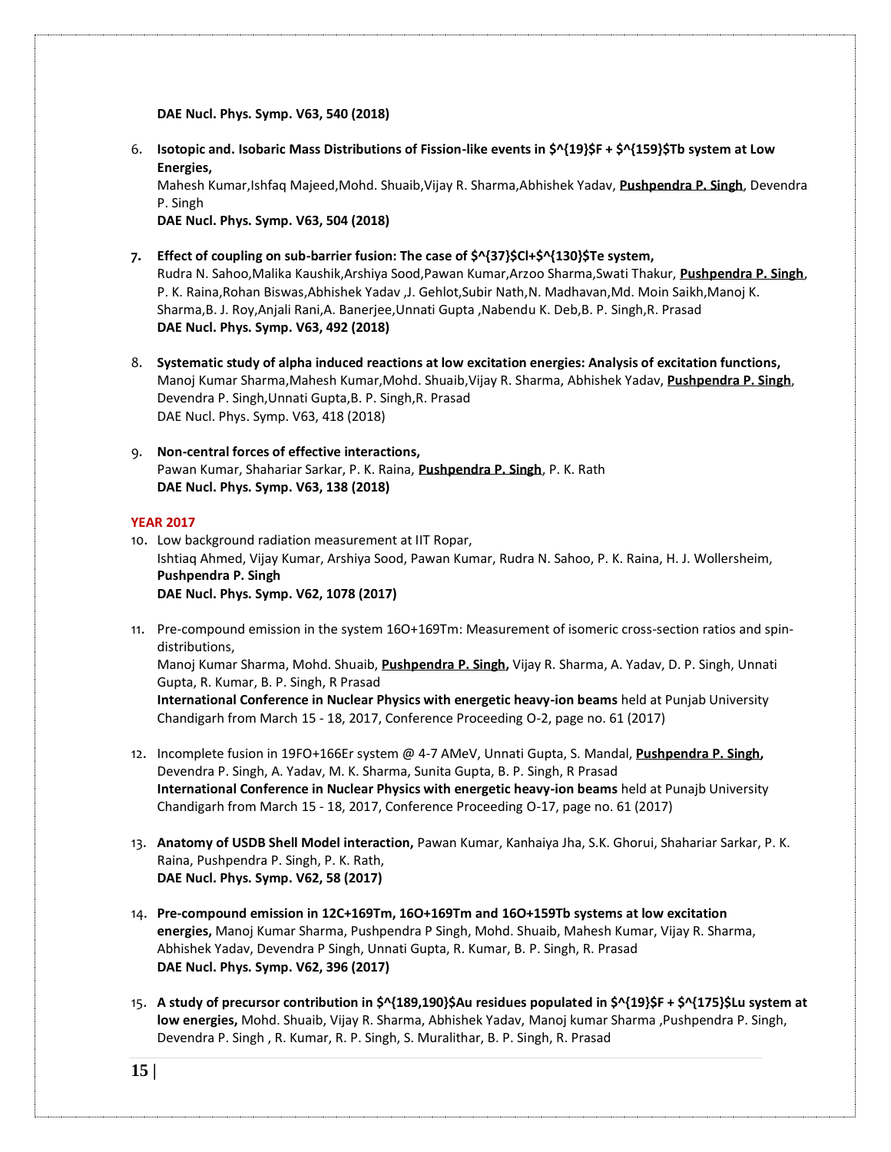**DAE Nucl. Phys. Symp. V63, 540 (2018)**

6. **Isotopic and. Isobaric Mass Distributions of Fission-like events in \$^{19}\$F + \$^{159}\$Tb system at Low Energies,**

Mahesh Kumar,Ishfaq Majeed,Mohd. Shuaib,Vijay R. Sharma,Abhishek Yadav, **Pushpendra P. Singh**, Devendra P. Singh

**DAE Nucl. Phys. Symp. V63, 504 (2018)**

- **7. Effect of coupling on sub-barrier fusion: The case of \$^{37}\$Cl+\$^{130}\$Te system,** Rudra N. Sahoo,Malika Kaushik,Arshiya Sood,Pawan Kumar,Arzoo Sharma,Swati Thakur, **Pushpendra P. Singh**, P. K. Raina,Rohan Biswas,Abhishek Yadav ,J. Gehlot,Subir Nath,N. Madhavan,Md. Moin Saikh,Manoj K. Sharma,B. J. Roy,Anjali Rani,A. Banerjee,Unnati Gupta ,Nabendu K. Deb,B. P. Singh,R. Prasad **DAE Nucl. Phys. Symp. V63, 492 (2018)**
- 8. **Systematic study of alpha induced reactions at low excitation energies: Analysis of excitation functions,** Manoj Kumar Sharma,Mahesh Kumar,Mohd. Shuaib,Vijay R. Sharma, Abhishek Yadav, **Pushpendra P. Singh**, Devendra P. Singh,Unnati Gupta,B. P. Singh,R. Prasad DAE Nucl. Phys. Symp. V63, 418 (2018)
- 9. **Non-central forces of effective interactions,** Pawan Kumar, Shahariar Sarkar, P. K. Raina, **Pushpendra P. Singh**, P. K. Rath **DAE Nucl. Phys. Symp. V63, 138 (2018)**

#### **YEAR 2017**

- 10. Low background radiation measurement at IIT Ropar, Ishtiaq Ahmed, Vijay Kumar, Arshiya Sood, Pawan Kumar, Rudra N. Sahoo, P. K. Raina, H. J. Wollersheim, **Pushpendra P. Singh DAE Nucl. Phys. Symp. V62, 1078 (2017)**
- 11. Pre-compound emission in the system 16O+169Tm: Measurement of isomeric cross-section ratios and spindistributions,

Manoj Kumar Sharma, Mohd. Shuaib, **[Pushpendra](http://publish.aps.org/search/field/author/P.%20P.%20Singh) P. Singh,** Vijay R. Sharma, A. Yadav, D. P. Singh, Unnati Gupta, R. Kumar, B. P. Singh, R Prasad

**International Conference in Nuclear Physics with energetic heavy-ion beams** held at Punjab University Chandigarh from March 15 - 18, 2017, Conference Proceeding O-2, page no. 61 (2017)

- 12. Incomplete fusion in 19FO+166Er system @ 4-7 AMeV, Unnati Gupta, S. Mandal, **[Pushpendra](http://publish.aps.org/search/field/author/P.%20P.%20Singh) P. Singh,**  Devendra P. Singh, A. Yadav, M. K. Sharma, Sunita Gupta, B. P. Singh, R Prasad **International Conference in Nuclear Physics with energetic heavy-ion beams** held at Punajb University Chandigarh from March 15 - 18, 2017, Conference Proceeding O-17, page no. 61 (2017)
- 13. **Anatomy of USDB Shell Model interaction,** Pawan Kumar, Kanhaiya Jha, S.K. Ghorui, Shahariar Sarkar, P. K. Raina, Pushpendra P. Singh, P. K. Rath, **DAE Nucl. Phys. Symp. V62, 58 (2017)**
- 14. **Pre-compound emission in 12C+169Tm, 16O+169Tm and 16O+159Tb systems at low excitation energies,** Manoj Kumar Sharma, Pushpendra P Singh, Mohd. Shuaib, Mahesh Kumar, Vijay R. Sharma, Abhishek Yadav, Devendra P Singh, Unnati Gupta, R. Kumar, B. P. Singh, R. Prasad **DAE Nucl. Phys. Symp. V62, 396 (2017)**
- 15. **A study of precursor contribution in \$^{189,190}\$Au residues populated in \$^{19}\$F + \$^{175}\$Lu system at low energies,** Mohd. Shuaib, Vijay R. Sharma, Abhishek Yadav, Manoj kumar Sharma ,Pushpendra P. Singh, Devendra P. Singh , R. Kumar, R. P. Singh, S. Muralithar, B. P. Singh, R. Prasad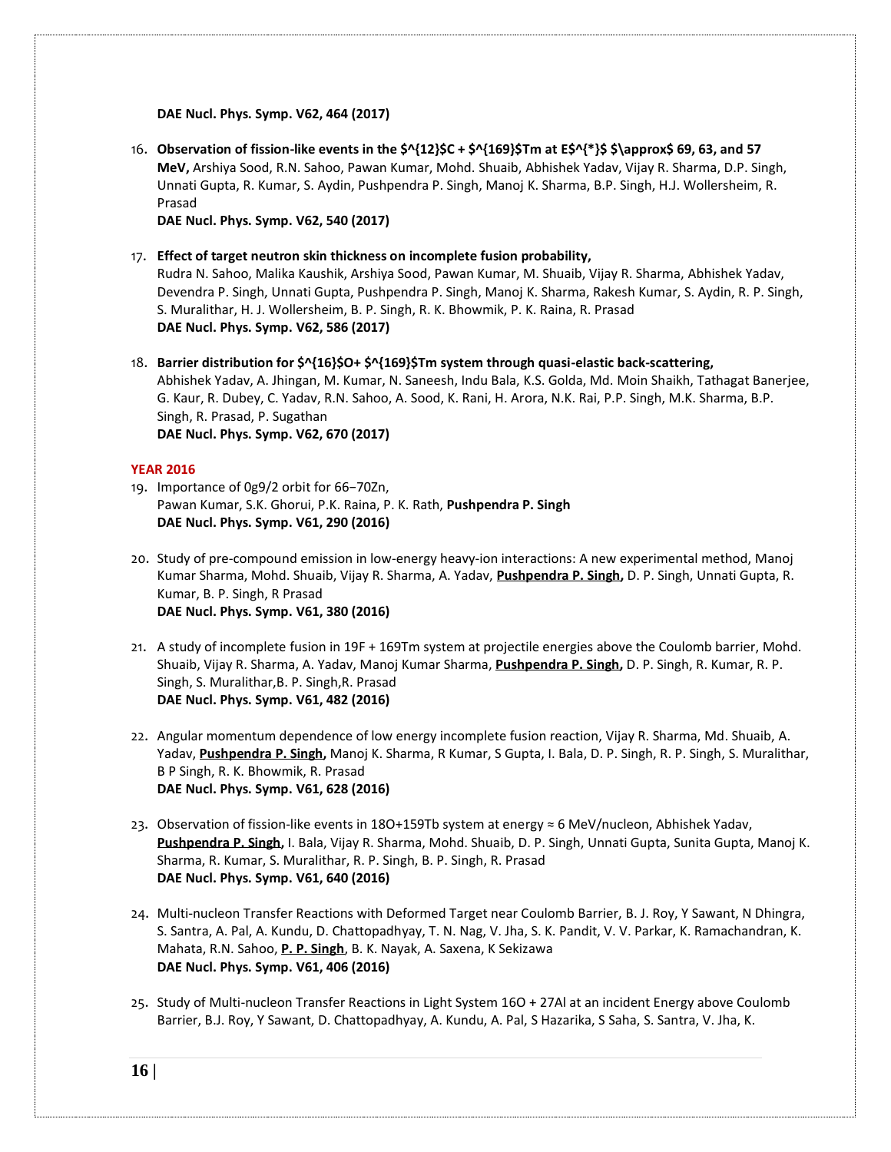**DAE Nucl. Phys. Symp. V62, 464 (2017)**

16. **Observation of fission-like events in the \$^{12}\$C + \$^{169}\$Tm at E\$^{\*}\$ \$\approx\$ 69, 63, and 57 MeV,** Arshiya Sood, R.N. Sahoo, Pawan Kumar, Mohd. Shuaib, Abhishek Yadav, Vijay R. Sharma, D.P. Singh, Unnati Gupta, R. Kumar, S. Aydin, Pushpendra P. Singh, Manoj K. Sharma, B.P. Singh, H.J. Wollersheim, R. Prasad

**DAE Nucl. Phys. Symp. V62, 540 (2017)**

17. **Effect of target neutron skin thickness on incomplete fusion probability,** 

Rudra N. Sahoo, Malika Kaushik, Arshiya Sood, Pawan Kumar, M. Shuaib, Vijay R. Sharma, Abhishek Yadav, Devendra P. Singh, Unnati Gupta, Pushpendra P. Singh, Manoj K. Sharma, Rakesh Kumar, S. Aydin, R. P. Singh, S. Muralithar, H. J. Wollersheim, B. P. Singh, R. K. Bhowmik, P. K. Raina, R. Prasad **DAE Nucl. Phys. Symp. V62, 586 (2017)**

18. **Barrier distribution for \$^{16}\$O+ \$^{169}\$Tm system through quasi-elastic back-scattering,** Abhishek Yadav, A. Jhingan, M. Kumar, N. Saneesh, Indu Bala, K.S. Golda, Md. Moin Shaikh, Tathagat Banerjee, G. Kaur, R. Dubey, C. Yadav, R.N. Sahoo, A. Sood, K. Rani, H. Arora, N.K. Rai, P.P. Singh, M.K. Sharma, B.P. Singh, R. Prasad, P. Sugathan **DAE Nucl. Phys. Symp. V62, 670 (2017)**

# **YEAR 2016**

- 19. Importance of 0g9/2 orbit for 66−70Zn, Pawan Kumar, S.K. Ghorui, P.K. Raina, P. K. Rath, **Pushpendra P. Singh DAE Nucl. Phys. Symp. V61, 290 (2016)**
- 20. Study of pre-compound emission in low-energy heavy-ion interactions: A new experimental method, Manoj Kumar Sharma, Mohd. Shuaib, Vijay R. Sharma, A. Yadav, **[Pushpendra](http://publish.aps.org/search/field/author/P.%20P.%20Singh) P. Singh,** D. P. Singh, Unnati Gupta, R. Kumar, B. P. Singh, R Prasad **DAE Nucl. Phys. Symp. V61, 380 (2016)**
- 21. A study of incomplete fusion in 19F + 169Tm system at projectile energies above the Coulomb barrier, Mohd. Shuaib, Vijay R. Sharma, A. Yadav, Manoj Kumar Sharma, **[Pushpendra](http://publish.aps.org/search/field/author/P.%20P.%20Singh) P. Singh,** D. P. Singh, R. Kumar, R. P. Singh, S. Muralithar,B. P. Singh,R. Prasad **DAE Nucl. Phys. Symp. V61, 482 (2016)**
- 22. Angular momentum dependence of low energy incomplete fusion reaction, Vijay R. Sharma, Md. Shuaib, A. Yadav, **[Pushpendra](http://publish.aps.org/search/field/author/P.%20P.%20Singh) P. Singh,** Manoj K. Sharma, R Kumar, S Gupta, I. Bala, D. P. Singh, R. P. Singh, S. Muralithar, B P Singh, R. K. Bhowmik, R. Prasad **DAE Nucl. Phys. Symp. V61, 628 (2016)**
- 23. Observation of fission-like events in 18O+159Tb system at energy ≈ 6 MeV/nucleon, Abhishek Yadav, **[Pushpendra](http://publish.aps.org/search/field/author/P.%20P.%20Singh) P. Singh,** I. Bala, Vijay R. Sharma, Mohd. Shuaib, D. P. Singh, Unnati Gupta, Sunita Gupta, Manoj K. Sharma, R. Kumar, S. Muralithar, R. P. Singh, B. P. Singh, R. Prasad **DAE Nucl. Phys. Symp. V61, 640 (2016)**
- 24. Multi-nucleon Transfer Reactions with Deformed Target near Coulomb Barrier, B. J. Roy, Y Sawant, N Dhingra, S. Santra, A. Pal, A. Kundu, D. Chattopadhyay, T. N. Nag, V. Jha, S. K. Pandit, V. V. Parkar, K. Ramachandran, K. Mahata, R.N. Sahoo, **P. P. Singh**, B. K. Nayak, A. Saxena, K Sekizawa **DAE Nucl. Phys. Symp. V61, 406 (2016)**
- 25. Study of Multi-nucleon Transfer Reactions in Light System 16O + 27Al at an incident Energy above Coulomb Barrier, B.J. Roy, Y Sawant, D. Chattopadhyay, A. Kundu, A. Pal, S Hazarika, S Saha, S. Santra, V. Jha, K.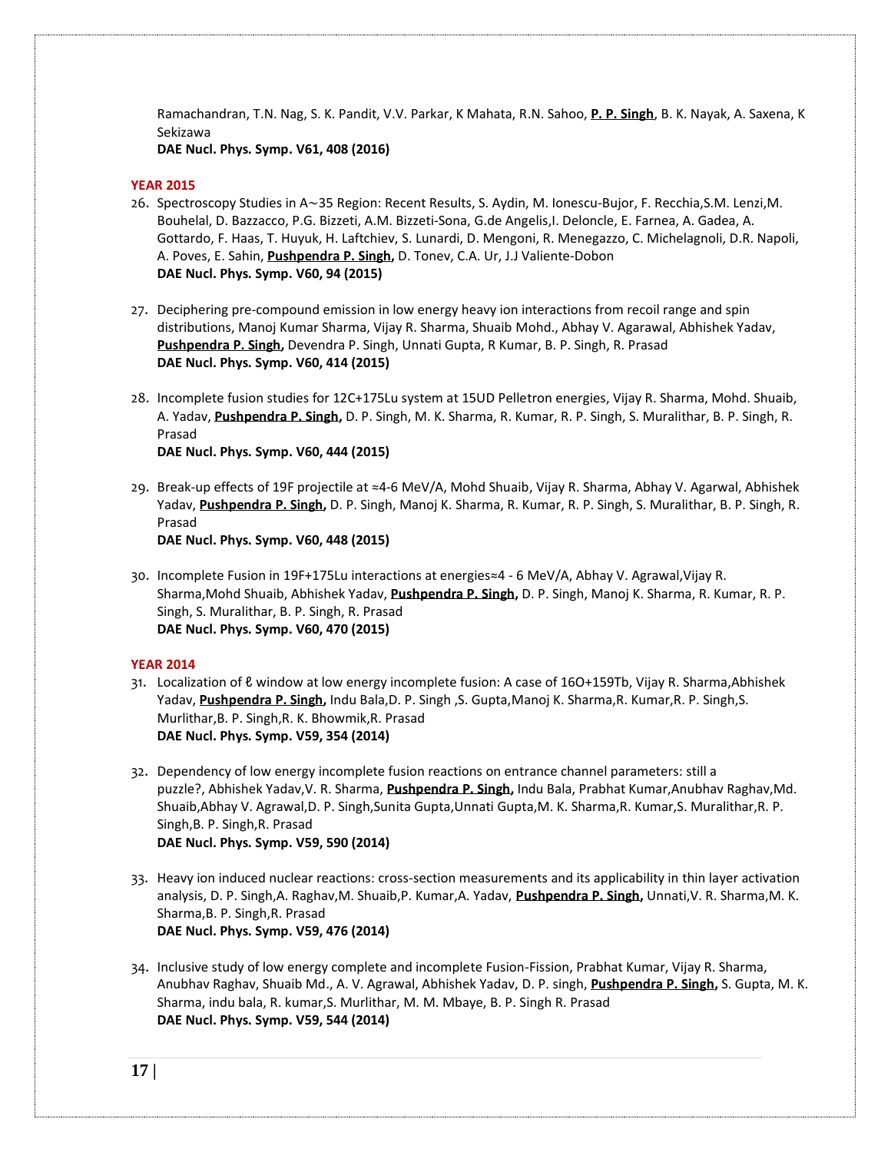Ramachandran, T.N. Nag, S. K. Pandit, V.V. Parkar, K Mahata, R.N. Sahoo, **P. P. Singh**, B. K. Nayak, A. Saxena, K Sekizawa

**DAE Nucl. Phys. Symp. V61, 408 (2016)**

# **YEAR 2015**

- 26. Spectroscopy Studies in A∼35 Region: Recent Results, S. Aydin, M. Ionescu-Bujor, F. Recchia,S.M. Lenzi,M. Bouhelal, D. Bazzacco, P.G. Bizzeti, A.M. Bizzeti-Sona, G.de Angelis,I. Deloncle, E. Farnea, A. Gadea, A. Gottardo, F. Haas, T. Huyuk, H. Laftchiev, S. Lunardi, D. Mengoni, R. Menegazzo, C. Michelagnoli, D.R. Napoli, A. Poves, E. Sahin, **[Pushpendra](http://publish.aps.org/search/field/author/P.%20P.%20Singh) P. Singh,** D. Tonev, C.A. Ur, J.J Valiente-Dobon **DAE Nucl. Phys. Symp. V60, 94 (2015)**
- 27. Deciphering pre-compound emission in low energy heavy ion interactions from recoil range and spin distributions, Manoj Kumar Sharma, Vijay R. Sharma, Shuaib Mohd., Abhay V. Agarawal, Abhishek Yadav, **[Pushpendra](http://publish.aps.org/search/field/author/P.%20P.%20Singh) P. Singh,** Devendra P. Singh, Unnati Gupta, R Kumar, B. P. Singh, R. Prasad **DAE Nucl. Phys. Symp. V60, 414 (2015)**
- 28. Incomplete fusion studies for 12C+175Lu system at 15UD Pelletron energies, Vijay R. Sharma, Mohd. Shuaib, A. Yadav, **[Pushpendra](http://publish.aps.org/search/field/author/P.%20P.%20Singh) P. Singh,** D. P. Singh, M. K. Sharma, R. Kumar, R. P. Singh, S. Muralithar, B. P. Singh, R. Prasad **DAE Nucl. Phys. Symp. V60, 444 (2015)**
- 29. Break-up effects of 19F projectile at ≈4-6 MeV/A, Mohd Shuaib, Vijay R. Sharma, Abhay V. Agarwal, Abhishek Yadav, **[Pushpendra](http://publish.aps.org/search/field/author/P.%20P.%20Singh) P. Singh,** D. P. Singh, Manoj K. Sharma, R. Kumar, R. P. Singh, S. Muralithar, B. P. Singh, R. Prasad

**DAE Nucl. Phys. Symp. V60, 448 (2015)**

30. Incomplete Fusion in 19F+175Lu interactions at energies≈4 - 6 MeV/A, Abhay V. Agrawal,Vijay R. Sharma,Mohd Shuaib, Abhishek Yadav, **[Pushpendra](http://publish.aps.org/search/field/author/P.%20P.%20Singh) P. Singh,** D. P. Singh, Manoj K. Sharma, R. Kumar, R. P. Singh, S. Muralithar, B. P. Singh, R. Prasad **DAE Nucl. Phys. Symp. V60, 470 (2015)**

#### **YEAR 2014**

- 31. Localization of ℓ window at low energy incomplete fusion: A case of 16O+159Tb, Vijay R. Sharma,Abhishek Yadav, **[Pushpendra](http://publish.aps.org/search/field/author/P.%20P.%20Singh) P. Singh,** Indu Bala,D. P. Singh ,S. Gupta,Manoj K. Sharma,R. Kumar,R. P. Singh,S. Murlithar,B. P. Singh,R. K. Bhowmik,R. Prasad **DAE Nucl. Phys. Symp. V59, 354 (2014)**
- 32. Dependency of low energy incomplete fusion reactions on entrance channel parameters: still a puzzle?, Abhishek Yadav,V. R. Sharma, **[Pushpendra](http://publish.aps.org/search/field/author/P.%20P.%20Singh) P. Singh,** Indu Bala, Prabhat Kumar,Anubhav Raghav,Md. Shuaib,Abhay V. Agrawal,D. P. Singh,Sunita Gupta,Unnati Gupta,M. K. Sharma,R. Kumar,S. Muralithar,R. P. Singh,B. P. Singh,R. Prasad **DAE Nucl. Phys. Symp. V59, 590 (2014)**
- 33. Heavy ion induced nuclear reactions: cross-section measurements and its applicability in thin layer activation analysis, D. P. Singh,A. Raghav,M. Shuaib,P. Kumar,A. Yadav, **[Pushpendra](http://publish.aps.org/search/field/author/P.%20P.%20Singh) P. Singh,** Unnati,V. R. Sharma,M. K. Sharma,B. P. Singh,R. Prasad **DAE Nucl. Phys. Symp. V59, 476 (2014)**
- 34. Inclusive study of low energy complete and incomplete Fusion-Fission, Prabhat Kumar, Vijay R. Sharma, Anubhav Raghav, Shuaib Md., A. V. Agrawal, Abhishek Yadav, D. P. singh, **[Pushpendra](http://publish.aps.org/search/field/author/P.%20P.%20Singh) P. Singh,** S. Gupta, M. K. Sharma, indu bala, R. kumar,S. Murlithar, M. M. Mbaye, B. P. Singh R. Prasad **DAE Nucl. Phys. Symp. V59, 544 (2014)**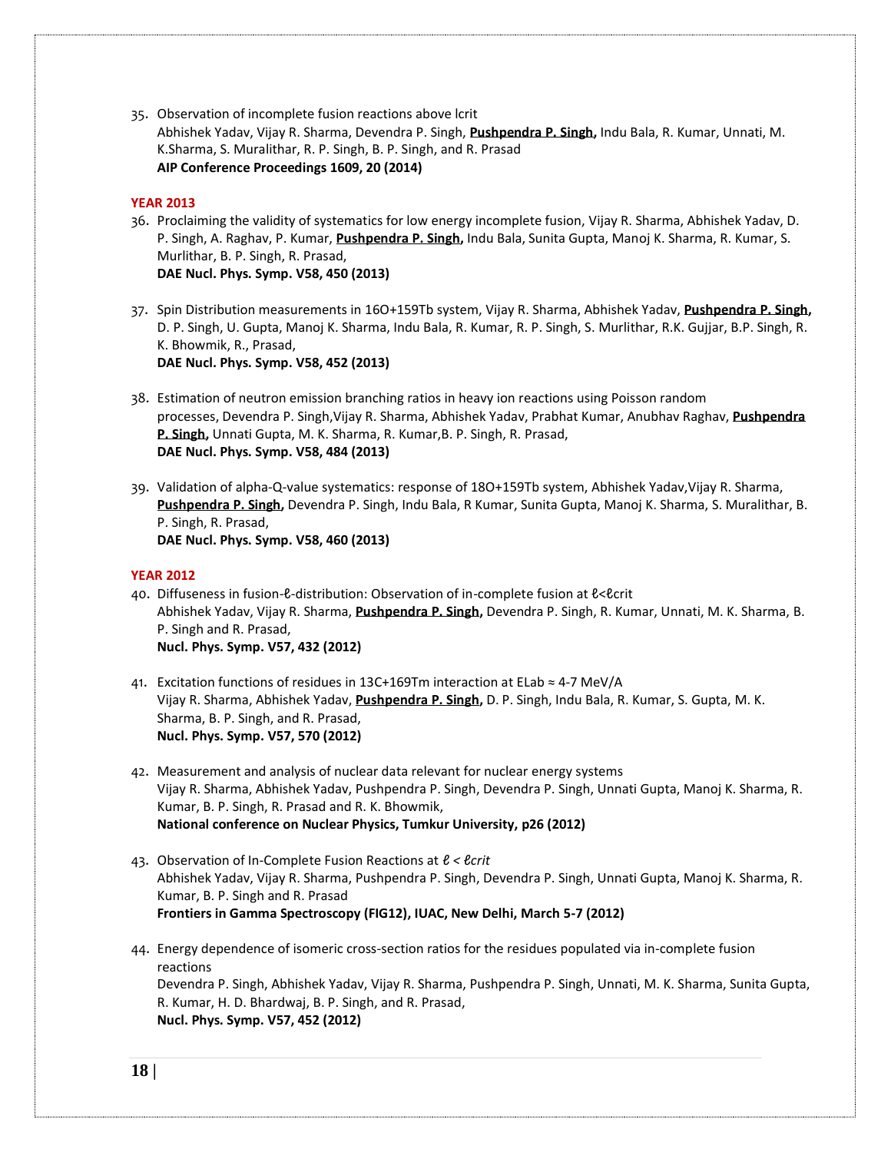35. Observation of incomplete fusion reactions above lcrit Abhishek Yadav, Vijay R. Sharma, Devendra P. Singh, **[Pushpendra](http://publish.aps.org/search/field/author/P.%20P.%20Singh) P. Singh,** Indu Bala, R. Kumar, Unnati, M. K.Sharma, S. Muralithar, R. P. Singh, B. P. Singh, and R. Prasad **AIP Conference Proceedings 1609, 20 (2014)**

# **YEAR 2013**

- 36. Proclaiming the validity of systematics for low energy incomplete fusion, Vijay R. Sharma, Abhishek Yadav, D. P. Singh, A. Raghav, P. Kumar, **[Pushpendra](http://publish.aps.org/search/field/author/P.%20P.%20Singh) P. Singh,** Indu Bala, Sunita Gupta, Manoj K. Sharma, R. Kumar, S. Murlithar, B. P. Singh, R. Prasad, **DAE Nucl. Phys. Symp. V58, 450 (2013)**
- 37. Spin Distribution measurements in 16O+159Tb system, Vijay R. Sharma, Abhishek Yadav, **[Pushpendra](http://publish.aps.org/search/field/author/P.%20P.%20Singh) P. Singh,** D. P. Singh, U. Gupta, Manoj K. Sharma, Indu Bala, R. Kumar, R. P. Singh, S. Murlithar, R.K. Gujjar, B.P. Singh, R. K. Bhowmik, R., Prasad, **DAE Nucl. Phys. Symp. V58, 452 (2013)**
- 38. Estimation of neutron emission branching ratios in heavy ion reactions using Poisson random processes, Devendra P. Singh,Vijay R. Sharma, Abhishek Yadav, Prabhat Kumar, Anubhav Raghav, **[Pushpendra](http://publish.aps.org/search/field/author/P.%20P.%20Singh) P. [Singh,](http://publish.aps.org/search/field/author/P.%20P.%20Singh)** Unnati Gupta, M. K. Sharma, R. Kumar,B. P. Singh, R. Prasad, **DAE Nucl. Phys. Symp. V58, 484 (2013)**
- 39. Validation of alpha-Q-value systematics: response of 18O+159Tb system, Abhishek Yadav,Vijay R. Sharma, **[Pushpendra](http://publish.aps.org/search/field/author/P.%20P.%20Singh) P. Singh,** Devendra P. Singh, Indu Bala, R Kumar, Sunita Gupta, Manoj K. Sharma, S. Muralithar, B. P. Singh, R. Prasad, **DAE Nucl. Phys. Symp. V58, 460 (2013)**

#### **YEAR 2012**

40. Diffuseness in fusion-&-distribution: Observation of in-complete fusion at &<&crit Abhishek Yadav, Vijay R. Sharma, **[Pushpendra](http://publish.aps.org/search/field/author/P.%20P.%20Singh) P. Singh,** Devendra P. Singh, R. Kumar, Unnati, M. K. Sharma, B. P. Singh and R. Prasad, **Nucl. Phys. Symp. V57, 432 (2012)**

- 41. Excitation functions of residues in 13C+169Tm interaction at ELab ≈ 4-7 MeV/A Vijay R. Sharma, Abhishek Yadav, **[Pushpendra](http://publish.aps.org/search/field/author/P.%20P.%20Singh) P. Singh,** D. P. Singh, Indu Bala, R. Kumar, S. Gupta, M. K. Sharma, B. P. Singh, and R. Prasad, **Nucl. Phys. Symp. V57, 570 (2012)**
- 42. Measurement and analysis of nuclear data relevant for nuclear energy systems Vijay R. Sharma, Abhishek Yadav[, Pushpendra P. Singh,](http://publish.aps.org/search/field/author/P.%20P.%20Singh) Devendra P. Singh, Unnati Gupta, Manoj K. Sharma, R. Kumar, B. P. Singh, R. Prasad and R. K. Bhowmik, **National conference on Nuclear Physics, Tumkur University, p26 (2012)**
- 43. Observation of In-Complete Fusion Reactions at *ℓ < ℓcrit* Abhishek Yadav, Vijay R. Sharma[, Pushpendra P. Singh,](http://publish.aps.org/search/field/author/P.%20P.%20Singh) Devendra P. Singh, Unnati Gupta, Manoj K. Sharma, R. Kumar, B. P. Singh and R. Prasad **Frontiers in Gamma Spectroscopy (FIG12), IUAC, New Delhi, March 5-7 (2012)**
- 44. Energy dependence of isomeric cross-section ratios for the residues populated via in-complete fusion reactions Devendra P. Singh, Abhishek Yadav, Vijay R. Sharma, [Pushpendra P. Singh,](http://publish.aps.org/search/field/author/P.%20P.%20Singh) Unnati, M. K. Sharma, Sunita Gupta, R. Kumar, H. D. Bhardwaj, B. P. Singh, and R. Prasad, **Nucl. Phys. Symp. V57, 452 (2012)**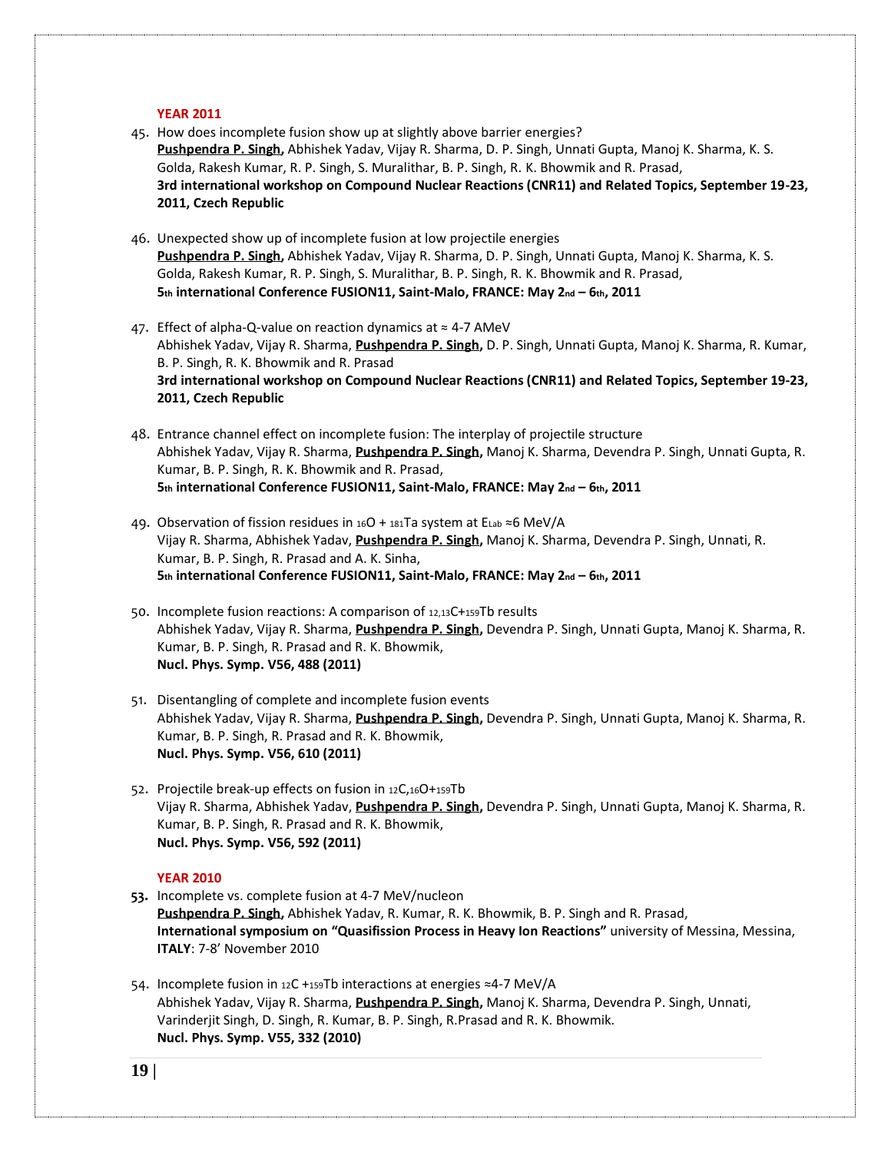#### **YEAR 2011**

- 45. How does incomplete fusion show up at slightly above barrier energies? **[Pushpendra](http://publish.aps.org/search/field/author/P.%20P.%20Singh) P. Singh,** Abhishek Yadav, Vijay R. Sharma, D. P. Singh, Unnati Gupta, Manoj K. Sharma, K. S. Golda, Rakesh Kumar, R. P. Singh, S. Muralithar, B. P. Singh, R. K. Bhowmik and R. Prasad, **3rd international workshop on Compound Nuclear Reactions (CNR11) and Related Topics, September 19-23, 2011, Czech Republic**
- 46. Unexpected show up of incomplete fusion at low projectile energies **[Pushpendra](http://publish.aps.org/search/field/author/P.%20P.%20Singh) P. Singh,** Abhishek Yadav, Vijay R. Sharma, D. P. Singh, Unnati Gupta, Manoj K. Sharma, K. S. Golda, Rakesh Kumar, R. P. Singh, S. Muralithar, B. P. Singh, R. K. Bhowmik and R. Prasad, **5th international Conference FUSION11, Saint-Malo, FRANCE: May 2nd – 6th, 2011**
- 47. Effect of alpha-Q-value on reaction dynamics at  $\approx$  4-7 AMeV Abhishek Yadav, Vijay R. Sharma, **[Pushpendra](http://publish.aps.org/search/field/author/P.%20P.%20Singh) P. Singh,** D. P. Singh, Unnati Gupta, Manoj K. Sharma, R. Kumar, B. P. Singh, R. K. Bhowmik and R. Prasad **3rd international workshop on Compound Nuclear Reactions (CNR11) and Related Topics, September 19-23, 2011, Czech Republic**
- 48. Entrance channel effect on incomplete fusion: The interplay of projectile structure Abhishek Yadav, Vijay R. Sharma, **[Pushpendra](http://publish.aps.org/search/field/author/P.%20P.%20Singh) P. Singh,** Manoj K. Sharma, Devendra P. Singh, Unnati Gupta, R. Kumar, B. P. Singh, R. K. Bhowmik and R. Prasad, **5th international Conference FUSION11, Saint-Malo, FRANCE: May 2nd – 6th, 2011**
- 49. Observation of fission residues in 16O + 181Ta system at ELab ≈6 MeV/A Vijay R. Sharma, Abhishek Yadav, **[Pushpendra](http://publish.aps.org/search/field/author/P.%20P.%20Singh) P. Singh,** Manoj K. Sharma, Devendra P. Singh, Unnati, R. Kumar, B. P. Singh, R. Prasad and A. K. Sinha, **5th international Conference FUSION11, Saint-Malo, FRANCE: May 2nd – 6th, 2011**
- 50. Incomplete fusion reactions: A comparison of 12,13C+159Tb results Abhishek Yadav, Vijay R. Sharma, **[Pushpendra](http://publish.aps.org/search/field/author/P.%20P.%20Singh) P. Singh,** Devendra P. Singh, Unnati Gupta, Manoj K. Sharma, R. Kumar, B. P. Singh, R. Prasad and R. K. Bhowmik, **Nucl. Phys. Symp. V56, 488 (2011)**
- 51. Disentangling of complete and incomplete fusion events Abhishek Yadav, Vijay R. Sharma, **[Pushpendra](http://publish.aps.org/search/field/author/P.%20P.%20Singh) P. Singh,** Devendra P. Singh, Unnati Gupta, Manoj K. Sharma, R. Kumar, B. P. Singh, R. Prasad and R. K. Bhowmik, **Nucl. Phys. Symp. V56, 610 (2011)**
- 52. Projectile break-up effects on fusion in 12C,16O+159Tb Vijay R. Sharma, Abhishek Yadav, **[Pushpendra](http://publish.aps.org/search/field/author/P.%20P.%20Singh) P. Singh,** Devendra P. Singh, Unnati Gupta, Manoj K. Sharma, R. Kumar, B. P. Singh, R. Prasad and R. K. Bhowmik, **Nucl. Phys. Symp. V56, 592 (2011)**

# **YEAR 2010**

- **53.** Incomplete vs. complete fusion at 4-7 MeV/nucleon **[Pushpendra](http://publish.aps.org/search/field/author/P.%20P.%20Singh) P. Singh,** Abhishek Yadav, R. Kumar, R. K. Bhowmik, B. P. Singh and R. Prasad, **International symposium on "Quasifission Process in Heavy Ion Reactions"** university of Messina, Messina, **ITALY**: 7-8' November 2010
- 54. Incomplete fusion in 12C +159Tb interactions at energies ≈4-7 MeV/A Abhishek Yadav, Vijay R. Sharma, **[Pushpendra](http://publish.aps.org/search/field/author/P.%20P.%20Singh) P. Singh,** Manoj K. Sharma, Devendra P. Singh, Unnati, Varinderjit Singh, D. Singh, R. Kumar, B. P. Singh, R.Prasad and R. K. Bhowmik. **Nucl. Phys. Symp. V55, 332 (2010)**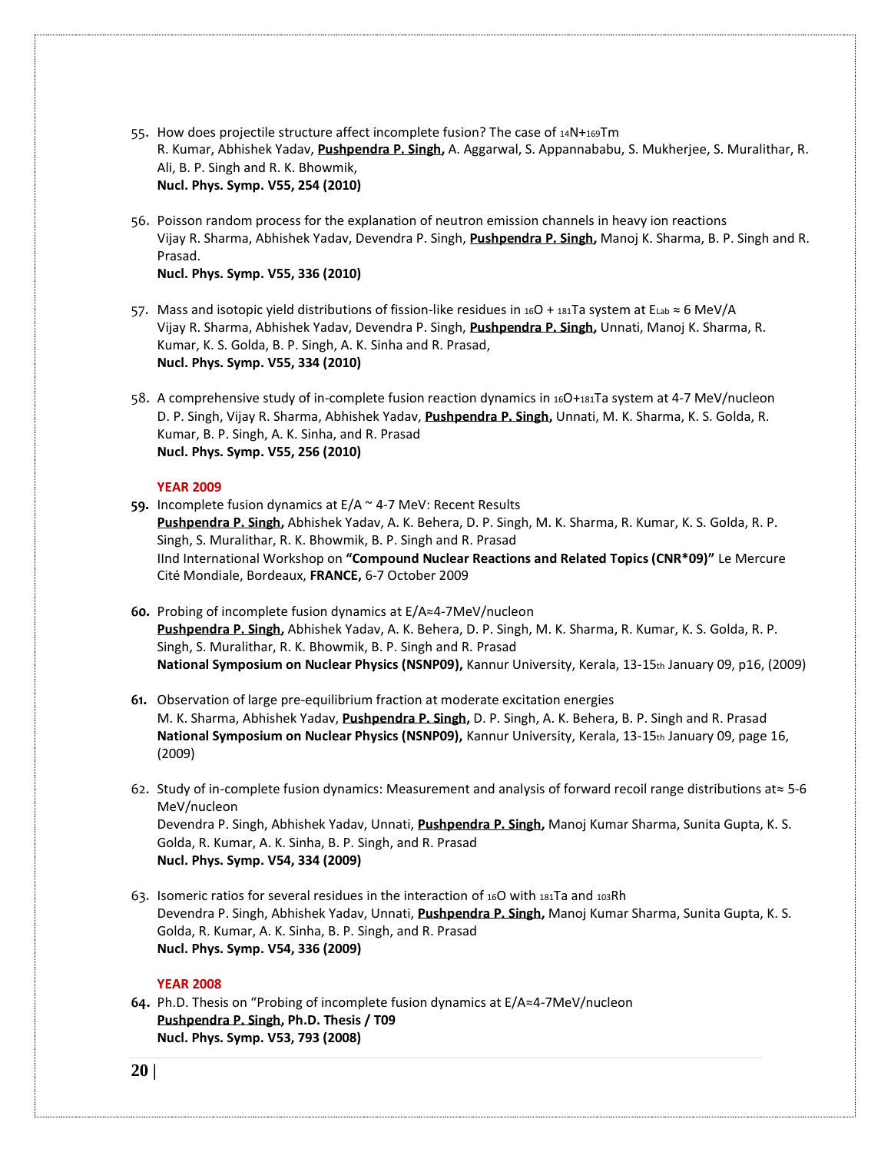- 55. How does projectile structure affect incomplete fusion? The case of 14N+169Tm R. Kumar, Abhishek Yadav, **[Pushpendra](http://publish.aps.org/search/field/author/P.%20P.%20Singh) P. Singh,** A. Aggarwal, S. Appannababu, S. Mukherjee, S. Muralithar, R. Ali, B. P. Singh and R. K. Bhowmik, **Nucl. Phys. Symp. V55, 254 (2010)**
- 56. Poisson random process for the explanation of neutron emission channels in heavy ion reactions Vijay R. Sharma, Abhishek Yadav, Devendra P. Singh, **[Pushpendra](http://publish.aps.org/search/field/author/P.%20P.%20Singh) P. Singh,** Manoj K. Sharma, B. P. Singh and R. Prasad.

**Nucl. Phys. Symp. V55, 336 (2010)**

- 57. Mass and isotopic yield distributions of fission-like residues in 16O + 181Ta system at ELab ≈ 6 MeV/A Vijay R. Sharma, Abhishek Yadav, Devendra P. Singh, **[Pushpendra](http://publish.aps.org/search/field/author/P.%20P.%20Singh) P. Singh,** Unnati, Manoj K. Sharma, R. Kumar, K. S. Golda, B. P. Singh, A. K. Sinha and R. Prasad, **Nucl. Phys. Symp. V55, 334 (2010)**
- 58. A comprehensive study of in-complete fusion reaction dynamics in 16O+181Ta system at 4-7 MeV/nucleon D. P. Singh, Vijay R. Sharma, Abhishek Yadav, **[Pushpendra](http://publish.aps.org/search/field/author/P.%20P.%20Singh) P. Singh,** Unnati, M. K. Sharma, K. S. Golda, R. Kumar, B. P. Singh, A. K. Sinha, and R. Prasad **Nucl. Phys. Symp. V55, 256 (2010)**

# **YEAR 2009**

- **59.** Incomplete fusion dynamics at E/A ~ 4-7 MeV: Recent Results **[Pushpendra](http://publish.aps.org/search/field/author/P.%20P.%20Singh) P. Singh,** Abhishek Yadav, A. K. Behera, D. P. Singh, M. K. Sharma, R. Kumar, K. S. Golda, R. P. Singh, S. Muralithar, R. K. Bhowmik, B. P. Singh and R. Prasad IInd International Workshop on **"Compound Nuclear Reactions and Related Topics (CNR\*09)"** Le Mercure Cité Mondiale, Bordeaux, **FRANCE,** 6-7 October 2009
- **60.** Probing of incomplete fusion dynamics at E/A≈4-7MeV/nucleon **[Pushpendra](http://publish.aps.org/search/field/author/P.%20P.%20Singh) P. Singh,** Abhishek Yadav, A. K. Behera, D. P. Singh, M. K. Sharma, R. Kumar, K. S. Golda, R. P. Singh, S. Muralithar, R. K. Bhowmik, B. P. Singh and R. Prasad **National Symposium on Nuclear Physics (NSNP09),** Kannur University, Kerala, 13-15th January 09, p16, (2009)
- **61.** Observation of large pre-equilibrium fraction at moderate excitation energies M. K. Sharma, Abhishek Yadav, **[Pushpendra](http://publish.aps.org/search/field/author/P.%20P.%20Singh) P. Singh,** D. P. Singh, A. K. Behera, B. P. Singh and R. Prasad **National Symposium on Nuclear Physics (NSNP09),** Kannur University, Kerala, 13-15th January 09, page 16, (2009)
- 62. Study of in-complete fusion dynamics: Measurement and analysis of forward recoil range distributions at≈ 5-6 MeV/nucleon Devendra P. Singh, Abhishek Yadav, Unnati, **[Pushpendra](http://publish.aps.org/search/field/author/P.%20P.%20Singh) P. Singh,** Manoj Kumar Sharma, Sunita Gupta, K. S. Golda, R. Kumar, A. K. Sinha, B. P. Singh, and R. Prasad **Nucl. Phys. Symp. V54, 334 (2009)**
- 63. Isomeric ratios for several residues in the interaction of 16O with 181Ta and 103Rh Devendra P. Singh, Abhishek Yadav, Unnati, **[Pushpendra](http://publish.aps.org/search/field/author/P.%20P.%20Singh) P. Singh,** Manoj Kumar Sharma, Sunita Gupta, K. S. Golda, R. Kumar, A. K. Sinha, B. P. Singh, and R. Prasad **Nucl. Phys. Symp. V54, 336 (2009)**

# **YEAR 2008**

**64.** Ph.D. Thesis on "Probing of incomplete fusion dynamics at E/A≈4-7MeV/nucleon **[Pushpendra](http://publish.aps.org/search/field/author/P.%20P.%20Singh) P. Singh, Ph.D. Thesis / T09 Nucl. Phys. Symp. V53, 793 (2008)**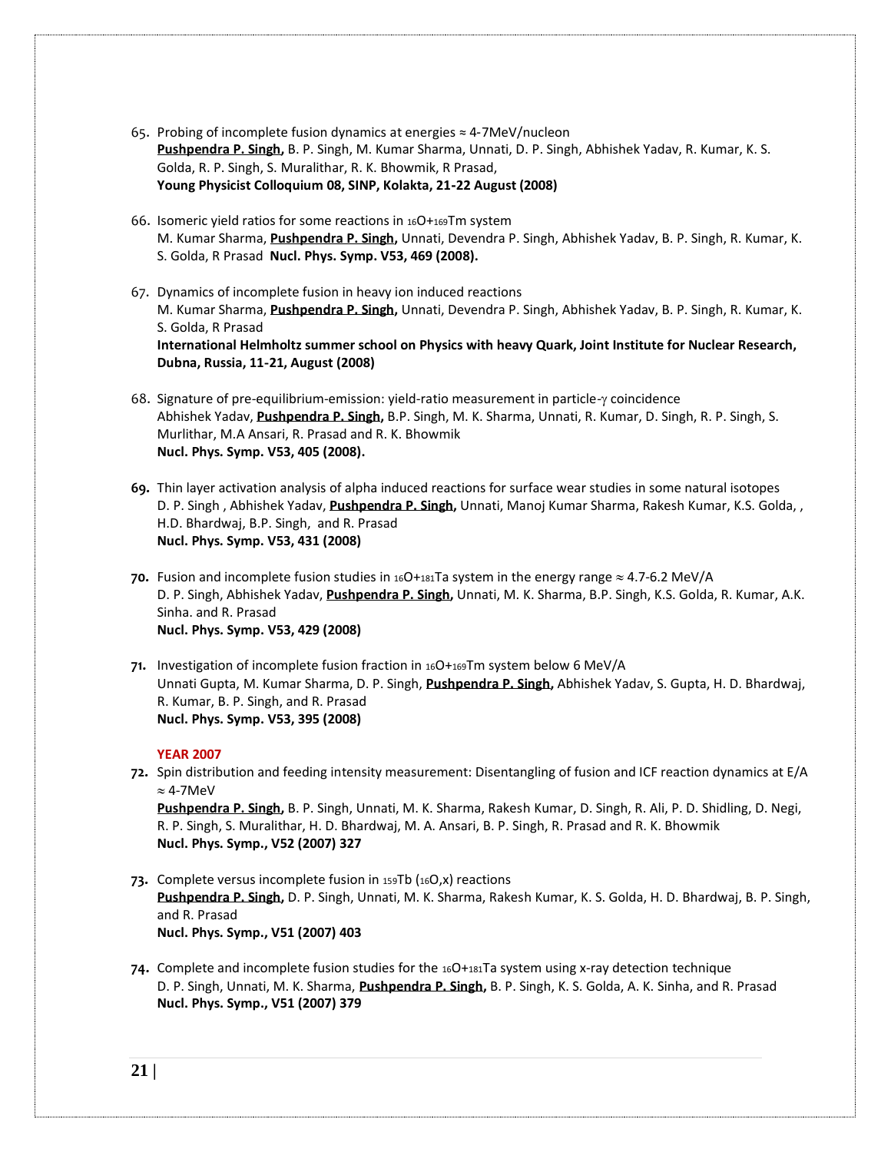- 65. Probing of incomplete fusion dynamics at energies ≈ 4‐7MeV/nucleon **[Pushpendra](http://publish.aps.org/search/field/author/P.%20P.%20Singh) P. Singh,** B. P. Singh, M. Kumar Sharma, Unnati, D. P. Singh, Abhishek Yadav, R. Kumar, K. S. Golda, R. P. Singh, S. Muralithar, R. K. Bhowmik, R Prasad, **Young Physicist Colloquium 08, SINP, Kolakta, 21**‐**22 August (2008)**
- 66. Isomeric yield ratios for some reactions in 16O+169Tm system M. Kumar Sharma, **[Pushpendra](http://publish.aps.org/search/field/author/P.%20P.%20Singh) P. Singh,** Unnati, Devendra P. Singh, Abhishek Yadav, B. P. Singh, R. Kumar, K. S. Golda, R Prasad **Nucl. Phys. Symp. V53, 469 (2008).**
- 67. Dynamics of incomplete fusion in heavy ion induced reactions M. Kumar Sharma, **[Pushpendra](http://publish.aps.org/search/field/author/P.%20P.%20Singh) P. Singh,** Unnati, Devendra P. Singh, Abhishek Yadav, B. P. Singh, R. Kumar, K. S. Golda, R Prasad **International Helmholtz summer school on Physics with heavy Quark, Joint Institute for Nuclear Research, Dubna, Russia, 11**‐**21, August (2008)**
- 68. Signature of pre-equilibrium-emission: yield-ratio measurement in particle-y coincidence Abhishek Yadav, **[Pushpendra](http://publish.aps.org/search/field/author/P.%20P.%20Singh) P. Singh,** B.P. Singh, M. K. Sharma, Unnati, R. Kumar, D. Singh, R. P. Singh, S. Murlithar, M.A Ansari, R. Prasad and R. K. Bhowmik **Nucl. Phys. Symp. V53, 405 (2008).**
- **69.** Thin layer activation analysis of alpha induced reactions for surface wear studies in some natural isotopes D. P. Singh , Abhishek Yadav, **[Pushpendra](http://publish.aps.org/search/field/author/P.%20P.%20Singh) P. Singh,** Unnati, Manoj Kumar Sharma, Rakesh Kumar, K.S. Golda, , H.D. Bhardwaj, B.P. Singh, and R. Prasad **Nucl. Phys. Symp. V53, 431 (2008)**
- **70.** Fusion and incomplete fusion studies in  $160+181$ Ta system in the energy range  $\approx 4.7$ -6.2 MeV/A D. P. Singh, Abhishek Yadav, **[Pushpendra](http://publish.aps.org/search/field/author/P.%20P.%20Singh) P. Singh,** Unnati, M. K. Sharma, B.P. Singh, K.S. Golda, R. Kumar, A.K. Sinha. and R. Prasad **Nucl. Phys. Symp. V53, 429 (2008)**
- **71.** Investigation of incomplete fusion fraction in 16O+169Tm system below 6 MeV/A Unnati Gupta, M. Kumar Sharma, D. P. Singh, **[Pushpendra](http://publish.aps.org/search/field/author/P.%20P.%20Singh) P. Singh,** Abhishek Yadav, S. Gupta, H. D. Bhardwaj, R. Kumar, B. P. Singh, and R. Prasad **Nucl. Phys. Symp. V53, 395 (2008)**

# **YEAR 2007**

**72.** Spin distribution and feeding intensity measurement: Disentangling of fusion and ICF reaction dynamics at E/A  $\approx$  4-7MeV

**[Pushpendra](http://publish.aps.org/search/field/author/P.%20P.%20Singh) P. Singh,** B. P. Singh, Unnati, M. K. Sharma, Rakesh Kumar, D. Singh, R. Ali, P. D. Shidling, D. Negi, R. P. Singh, S. Muralithar, H. D. Bhardwaj, M. A. Ansari, B. P. Singh, R. Prasad and R. K. Bhowmik **Nucl. Phys. Symp., V52 (2007) 327**

- **73.** Complete versus incomplete fusion in 159Tb (16O,x) reactions **[Pushpendra](http://publish.aps.org/search/field/author/P.%20P.%20Singh) P. Singh,** D. P. Singh, Unnati, M. K. Sharma, Rakesh Kumar, K. S. Golda, H. D. Bhardwaj, B. P. Singh, and R. Prasad **Nucl. Phys. Symp., V51 (2007) 403**
- **74.** Complete and incomplete fusion studies for the 16O+181Ta system using x-ray detection technique D. P. Singh, Unnati, M. K. Sharma, **[Pushpendra](http://publish.aps.org/search/field/author/P.%20P.%20Singh) P. Singh,** B. P. Singh, K. S. Golda, A. K. Sinha, and R. Prasad **Nucl. Phys. Symp., V51 (2007) 379**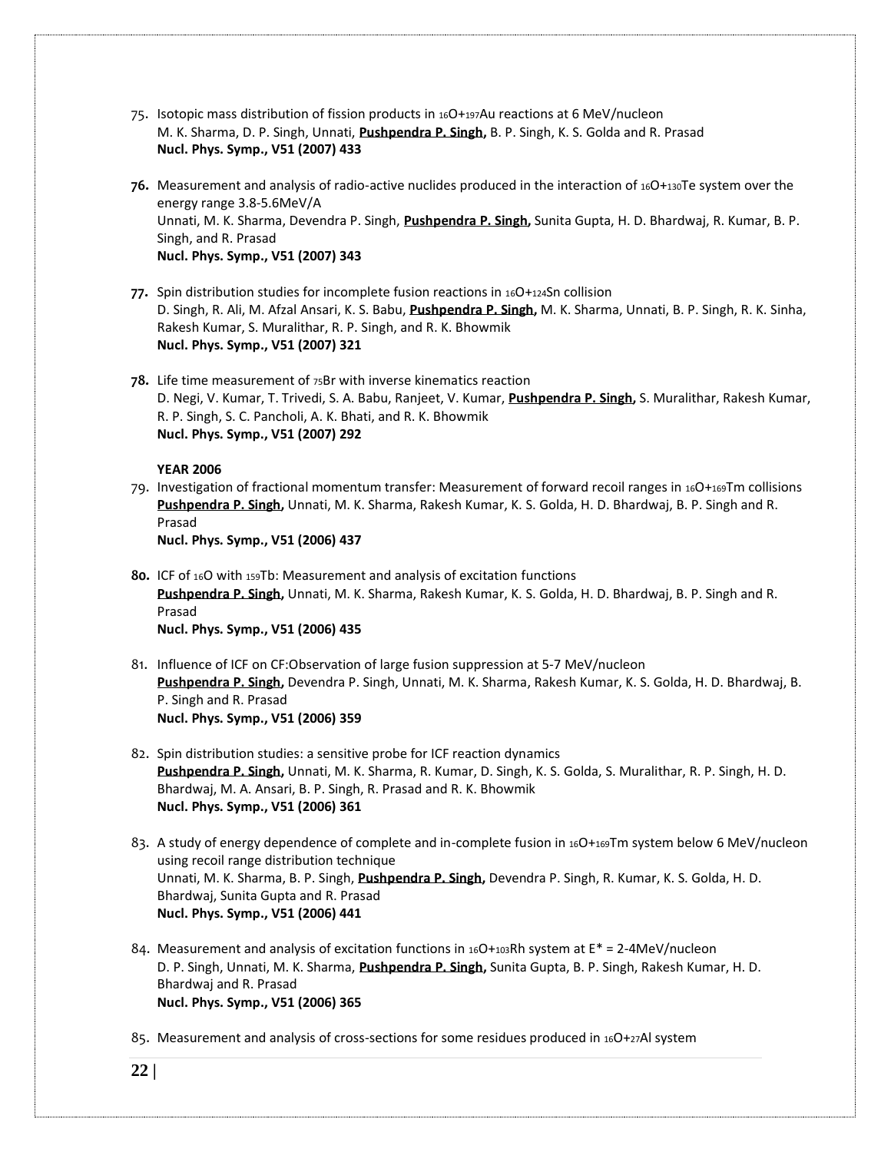- 75. Isotopic mass distribution of fission products in 16O+197Au reactions at 6 MeV/nucleon M. K. Sharma, D. P. Singh, Unnati, **[Pushpendra](http://publish.aps.org/search/field/author/P.%20P.%20Singh) P. Singh,** B. P. Singh, K. S. Golda and R. Prasad **Nucl. Phys. Symp., V51 (2007) 433**
- **76.** Measurement and analysis of radio-active nuclides produced in the interaction of 16O+130Te system over the energy range 3.8-5.6MeV/A Unnati, M. K. Sharma, Devendra P. Singh, **[Pushpendra](http://publish.aps.org/search/field/author/P.%20P.%20Singh) P. Singh,** Sunita Gupta, H. D. Bhardwaj, R. Kumar, B. P. Singh, and R. Prasad **Nucl. Phys. Symp., V51 (2007) 343**
- 77. Spin distribution studies for incomplete fusion reactions in 16O+124Sn collision D. Singh, R. Ali, M. Afzal Ansari, K. S. Babu, **[Pushpendra](http://publish.aps.org/search/field/author/P.%20P.%20Singh) P. Singh,** M. K. Sharma, Unnati, B. P. Singh, R. K. Sinha, Rakesh Kumar, S. Muralithar, R. P. Singh, and R. K. Bhowmik **Nucl. Phys. Symp., V51 (2007) 321**
- **78.** Life time measurement of 75Br with inverse kinematics reaction D. Negi, V. Kumar, T. Trivedi, S. A. Babu, Ranjeet, V. Kumar, **[Pushpendra](http://publish.aps.org/search/field/author/P.%20P.%20Singh) P. Singh,** S. Muralithar, Rakesh Kumar, R. P. Singh, S. C. Pancholi, A. K. Bhati, and R. K. Bhowmik **Nucl. Phys. Symp., V51 (2007) 292**

**YEAR 2006**

79. Investigation of fractional momentum transfer: Measurement of forward recoil ranges in 16O+169Tm collisions **[Pushpendra](http://publish.aps.org/search/field/author/P.%20P.%20Singh) P. Singh,** Unnati, M. K. Sharma, Rakesh Kumar, K. S. Golda, H. D. Bhardwaj, B. P. Singh and R. Prasad

**Nucl. Phys. Symp., V51 (2006) 437**

- **80.** ICF of 16O with 159Tb: Measurement and analysis of excitation functions **[Pushpendra](http://publish.aps.org/search/field/author/P.%20P.%20Singh) P. Singh,** Unnati, M. K. Sharma, Rakesh Kumar, K. S. Golda, H. D. Bhardwaj, B. P. Singh and R. Prasad **Nucl. Phys. Symp., V51 (2006) 435**
- 81. Influence of ICF on CF:Observation of large fusion suppression at 5-7 MeV/nucleon **[Pushpendra](http://publish.aps.org/search/field/author/P.%20P.%20Singh) P. Singh,** Devendra P. Singh, Unnati, M. K. Sharma, Rakesh Kumar, K. S. Golda, H. D. Bhardwaj, B. P. Singh and R. Prasad **Nucl. Phys. Symp., V51 (2006) 359**
- 82. Spin distribution studies: a sensitive probe for ICF reaction dynamics **[Pushpendra](http://publish.aps.org/search/field/author/P.%20P.%20Singh) P. Singh,** Unnati, M. K. Sharma, R. Kumar, D. Singh, K. S. Golda, S. Muralithar, R. P. Singh, H. D. Bhardwaj, M. A. Ansari, B. P. Singh, R. Prasad and R. K. Bhowmik **Nucl. Phys. Symp., V51 (2006) 361**

83. A study of energy dependence of complete and in-complete fusion in 16O+169Tm system below 6 MeV/nucleon using recoil range distribution technique Unnati, M. K. Sharma, B. P. Singh, **[Pushpendra](http://publish.aps.org/search/field/author/P.%20P.%20Singh) P. Singh,** Devendra P. Singh, R. Kumar, K. S. Golda, H. D. Bhardwaj, Sunita Gupta and R. Prasad **Nucl. Phys. Symp., V51 (2006) 441**

84. Measurement and analysis of excitation functions in  $_{16}O$ + $_{103}Rh$  system at E\* = 2-4MeV/nucleon D. P. Singh, Unnati, M. K. Sharma, **[Pushpendra](http://publish.aps.org/search/field/author/P.%20P.%20Singh) P. Singh,** Sunita Gupta, B. P. Singh, Rakesh Kumar, H. D. Bhardwaj and R. Prasad **Nucl. Phys. Symp., V51 (2006) 365**

85. Measurement and analysis of cross-sections for some residues produced in 16O+27Al system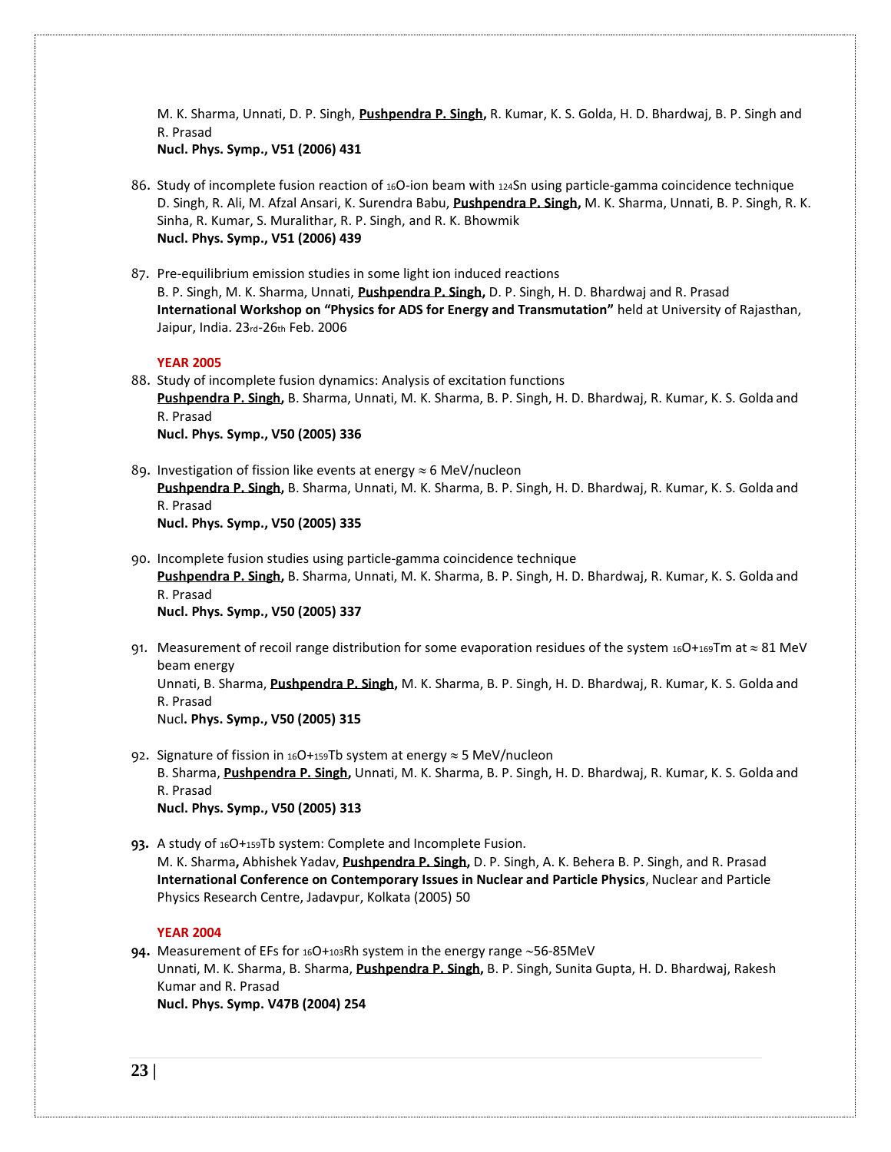M. K. Sharma, Unnati, D. P. Singh, **[Pushpendra](http://publish.aps.org/search/field/author/P.%20P.%20Singh) P. Singh,** R. Kumar, K. S. Golda, H. D. Bhardwaj, B. P. Singh and R. Prasad

**Nucl. Phys. Symp., V51 (2006) 431**

- 86. Study of incomplete fusion reaction of 16O-ion beam with 124Sn using particle-gamma coincidence technique D. Singh, R. Ali, M. Afzal Ansari, K. Surendra Babu, **[Pushpendra](http://publish.aps.org/search/field/author/P.%20P.%20Singh) P. Singh,** M. K. Sharma, Unnati, B. P. Singh, R. K. Sinha, R. Kumar, S. Muralithar, R. P. Singh, and R. K. Bhowmik **Nucl. Phys. Symp., V51 (2006) 439**
- 87. Pre-equilibrium emission studies in some light ion induced reactions B. P. Singh, M. K. Sharma, Unnati, **[Pushpendra](http://publish.aps.org/search/field/author/P.%20P.%20Singh) P. Singh,** D. P. Singh, H. D. Bhardwaj and R. Prasad **International Workshop on "Physics for ADS for Energy and Transmutation"** held at University of Rajasthan, Jaipur, India. 23rd-26th Feb. 2006

## **YEAR 2005**

88. Study of incomplete fusion dynamics: Analysis of excitation functions **[Pushpendra](http://publish.aps.org/search/field/author/P.%20P.%20Singh) P. Singh,** B. Sharma, Unnati, M. K. Sharma, B. P. Singh, H. D. Bhardwaj, R. Kumar, K. S. Golda and R. Prasad **Nucl. Phys. Symp., V50 (2005) 336**

- 89. Investigation of fission like events at energy  $\approx$  6 MeV/nucleon **[Pushpendra](http://publish.aps.org/search/field/author/P.%20P.%20Singh) P. Singh,** B. Sharma, Unnati, M. K. Sharma, B. P. Singh, H. D. Bhardwaj, R. Kumar, K. S. Golda and R. Prasad **Nucl. Phys. Symp., V50 (2005) 335**
- 90. Incomplete fusion studies using particle-gamma coincidence technique **[Pushpendra](http://publish.aps.org/search/field/author/P.%20P.%20Singh) P. Singh,** B. Sharma, Unnati, M. K. Sharma, B. P. Singh, H. D. Bhardwaj, R. Kumar, K. S. Golda and R. Prasad **Nucl. Phys. Symp., V50 (2005) 337**
- 91. Measurement of recoil range distribution for some evaporation residues of the system 16O+169Tm at  $\approx 81$  MeV beam energy Unnati, B. Sharma, **[Pushpendra](http://publish.aps.org/search/field/author/P.%20P.%20Singh) P. Singh,** M. K. Sharma, B. P. Singh, H. D. Bhardwaj, R. Kumar, K. S. Golda and R. Prasad Nucl**. Phys. Symp., V50 (2005) 315**
- 92. Signature of fission in 16O+159Tb system at energy  $\approx$  5 MeV/nucleon B. Sharma, **[Pushpendra](http://publish.aps.org/search/field/author/P.%20P.%20Singh) P. Singh,** Unnati, M. K. Sharma, B. P. Singh, H. D. Bhardwaj, R. Kumar, K. S. Golda and R. Prasad **Nucl. Phys. Symp., V50 (2005) 313**

**93.** A study of 16O+159Tb system: Complete and Incomplete Fusion. M. K. Sharma**,** Abhishek Yadav, **[Pushpendra](http://publish.aps.org/search/field/author/P.%20P.%20Singh) P. Singh,** D. P. Singh, A. K. Behera B. P. Singh, and R. Prasad **International Conference on Contemporary Issues in Nuclear and Particle Physics**, Nuclear and Particle Physics Research Centre, Jadavpur, Kolkata (2005) 50

#### **YEAR 2004**

**94.** Measurement of EFs for 16O+103Rh system in the energy range ~56-85MeV Unnati, M. K. Sharma, B. Sharma, **[Pushpendra](http://publish.aps.org/search/field/author/P.%20P.%20Singh) P. Singh,** B. P. Singh, Sunita Gupta, H. D. Bhardwaj, Rakesh Kumar and R. Prasad **Nucl. Phys. Symp. V47B (2004) 254**